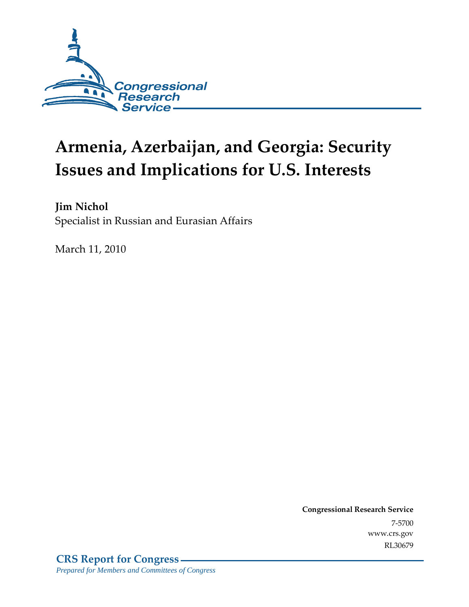

# **Armenia, Azerbaijan, and Georgia: Security Issues and Implications for U.S. Interests**

**Jim Nichol**  Specialist in Russian and Eurasian Affairs

March 11, 2010

**Congressional Research Service** 7-5700 www.crs.gov RL30679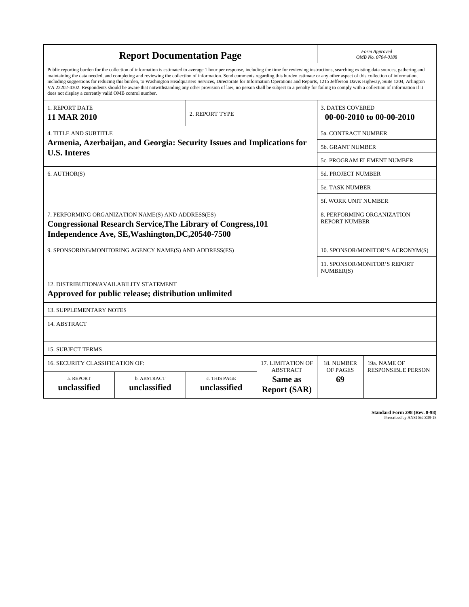| <b>Report Documentation Page</b>                                                                                                                                                                                                                                                                                                                                                                                                                                                                                                                                                                                                                                                                                                                                                                                                                                   |                                                                        |  |                   | Form Approved<br>OMB No. 0704-0188                  |                            |  |  |
|--------------------------------------------------------------------------------------------------------------------------------------------------------------------------------------------------------------------------------------------------------------------------------------------------------------------------------------------------------------------------------------------------------------------------------------------------------------------------------------------------------------------------------------------------------------------------------------------------------------------------------------------------------------------------------------------------------------------------------------------------------------------------------------------------------------------------------------------------------------------|------------------------------------------------------------------------|--|-------------------|-----------------------------------------------------|----------------------------|--|--|
| Public reporting burden for the collection of information is estimated to average 1 hour per response, including the time for reviewing instructions, searching existing data sources, gathering and<br>maintaining the data needed, and completing and reviewing the collection of information. Send comments regarding this burden estimate or any other aspect of this collection of information,<br>including suggestions for reducing this burden, to Washington Headquarters Services, Directorate for Information Operations and Reports, 1215 Jefferson Davis Highway, Suite 1204, Arlington<br>VA 22202-4302. Respondents should be aware that notwithstanding any other provision of law, no person shall be subject to a penalty for failing to comply with a collection of information if it<br>does not display a currently valid OMB control number. |                                                                        |  |                   |                                                     |                            |  |  |
| <b>1. REPORT DATE</b><br>2. REPORT TYPE<br>11 MAR 2010                                                                                                                                                                                                                                                                                                                                                                                                                                                                                                                                                                                                                                                                                                                                                                                                             |                                                                        |  |                   | <b>3. DATES COVERED</b><br>00-00-2010 to 00-00-2010 |                            |  |  |
| <b>4. TITLE AND SUBTITLE</b>                                                                                                                                                                                                                                                                                                                                                                                                                                                                                                                                                                                                                                                                                                                                                                                                                                       |                                                                        |  |                   |                                                     | <b>5a. CONTRACT NUMBER</b> |  |  |
|                                                                                                                                                                                                                                                                                                                                                                                                                                                                                                                                                                                                                                                                                                                                                                                                                                                                    | Armenia, Azerbaijan, and Georgia: Security Issues and Implications for |  |                   | 5b. GRANT NUMBER                                    |                            |  |  |
| <b>U.S. Interes</b>                                                                                                                                                                                                                                                                                                                                                                                                                                                                                                                                                                                                                                                                                                                                                                                                                                                |                                                                        |  |                   | 5c. PROGRAM ELEMENT NUMBER                          |                            |  |  |
| 6. AUTHOR(S)                                                                                                                                                                                                                                                                                                                                                                                                                                                                                                                                                                                                                                                                                                                                                                                                                                                       |                                                                        |  |                   | <b>5d. PROJECT NUMBER</b>                           |                            |  |  |
|                                                                                                                                                                                                                                                                                                                                                                                                                                                                                                                                                                                                                                                                                                                                                                                                                                                                    |                                                                        |  |                   | <b>5e. TASK NUMBER</b>                              |                            |  |  |
| 5f. WORK UNIT NUMBER                                                                                                                                                                                                                                                                                                                                                                                                                                                                                                                                                                                                                                                                                                                                                                                                                                               |                                                                        |  |                   |                                                     |                            |  |  |
| 7. PERFORMING ORGANIZATION NAME(S) AND ADDRESS(ES)<br>8. PERFORMING ORGANIZATION<br><b>REPORT NUMBER</b><br><b>Congressional Research Service, The Library of Congress, 101</b><br>Independence Ave, SE, Washington, DC, 20540-7500                                                                                                                                                                                                                                                                                                                                                                                                                                                                                                                                                                                                                                |                                                                        |  |                   |                                                     |                            |  |  |
| 9. SPONSORING/MONITORING AGENCY NAME(S) AND ADDRESS(ES)<br>10. SPONSOR/MONITOR'S ACRONYM(S)                                                                                                                                                                                                                                                                                                                                                                                                                                                                                                                                                                                                                                                                                                                                                                        |                                                                        |  |                   |                                                     |                            |  |  |
|                                                                                                                                                                                                                                                                                                                                                                                                                                                                                                                                                                                                                                                                                                                                                                                                                                                                    |                                                                        |  |                   | 11. SPONSOR/MONITOR'S REPORT<br>NUMBER(S)           |                            |  |  |
| 12. DISTRIBUTION/AVAILABILITY STATEMENT<br>Approved for public release; distribution unlimited                                                                                                                                                                                                                                                                                                                                                                                                                                                                                                                                                                                                                                                                                                                                                                     |                                                                        |  |                   |                                                     |                            |  |  |
| <b>13. SUPPLEMENTARY NOTES</b>                                                                                                                                                                                                                                                                                                                                                                                                                                                                                                                                                                                                                                                                                                                                                                                                                                     |                                                                        |  |                   |                                                     |                            |  |  |
| 14. ABSTRACT                                                                                                                                                                                                                                                                                                                                                                                                                                                                                                                                                                                                                                                                                                                                                                                                                                                       |                                                                        |  |                   |                                                     |                            |  |  |
| <b>15. SUBJECT TERMS</b>                                                                                                                                                                                                                                                                                                                                                                                                                                                                                                                                                                                                                                                                                                                                                                                                                                           |                                                                        |  |                   |                                                     |                            |  |  |
| 16. SECURITY CLASSIFICATION OF:                                                                                                                                                                                                                                                                                                                                                                                                                                                                                                                                                                                                                                                                                                                                                                                                                                    |                                                                        |  | 17. LIMITATION OF | 18. NUMBER                                          | 19a. NAME OF               |  |  |
| <b>ABSTRACT</b><br>a. REPORT<br><b>b. ABSTRACT</b><br>c. THIS PAGE<br>Same as<br>unclassified<br>unclassified<br>unclassified<br><b>Report (SAR)</b>                                                                                                                                                                                                                                                                                                                                                                                                                                                                                                                                                                                                                                                                                                               |                                                                        |  |                   | OF PAGES<br>69                                      | <b>RESPONSIBLE PERSON</b>  |  |  |

**Standard Form 298 (Rev. 8-98)**<br>Prescribed by ANSI Std Z39-18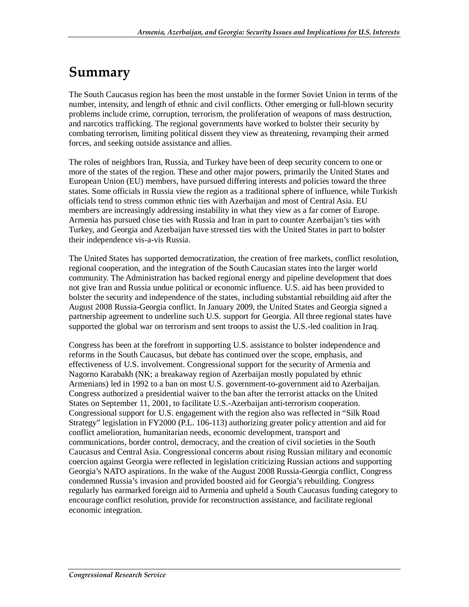# **Summary**

The South Caucasus region has been the most unstable in the former Soviet Union in terms of the number, intensity, and length of ethnic and civil conflicts. Other emerging or full-blown security problems include crime, corruption, terrorism, the proliferation of weapons of mass destruction, and narcotics trafficking. The regional governments have worked to bolster their security by combating terrorism, limiting political dissent they view as threatening, revamping their armed forces, and seeking outside assistance and allies.

The roles of neighbors Iran, Russia, and Turkey have been of deep security concern to one or more of the states of the region. These and other major powers, primarily the United States and European Union (EU) members, have pursued differing interests and policies toward the three states. Some officials in Russia view the region as a traditional sphere of influence, while Turkish officials tend to stress common ethnic ties with Azerbaijan and most of Central Asia. EU members are increasingly addressing instability in what they view as a far corner of Europe. Armenia has pursued close ties with Russia and Iran in part to counter Azerbaijan's ties with Turkey, and Georgia and Azerbaijan have stressed ties with the United States in part to bolster their independence vis-a-vis Russia.

The United States has supported democratization, the creation of free markets, conflict resolution, regional cooperation, and the integration of the South Caucasian states into the larger world community. The Administration has backed regional energy and pipeline development that does not give Iran and Russia undue political or economic influence. U.S. aid has been provided to bolster the security and independence of the states, including substantial rebuilding aid after the August 2008 Russia-Georgia conflict. In January 2009, the United States and Georgia signed a partnership agreement to underline such U.S. support for Georgia. All three regional states have supported the global war on terrorism and sent troops to assist the U.S.-led coalition in Iraq.

Congress has been at the forefront in supporting U.S. assistance to bolster independence and reforms in the South Caucasus, but debate has continued over the scope, emphasis, and effectiveness of U.S. involvement. Congressional support for the security of Armenia and Nagorno Karabakh (NK; a breakaway region of Azerbaijan mostly populated by ethnic Armenians) led in 1992 to a ban on most U.S. government-to-government aid to Azerbaijan. Congress authorized a presidential waiver to the ban after the terrorist attacks on the United States on September 11, 2001, to facilitate U.S.-Azerbaijan anti-terrorism cooperation. Congressional support for U.S. engagement with the region also was reflected in "Silk Road Strategy" legislation in FY2000 (P.L. 106-113) authorizing greater policy attention and aid for conflict amelioration, humanitarian needs, economic development, transport and communications, border control, democracy, and the creation of civil societies in the South Caucasus and Central Asia. Congressional concerns about rising Russian military and economic coercion against Georgia were reflected in legislation criticizing Russian actions and supporting Georgia's NATO aspirations. In the wake of the August 2008 Russia-Georgia conflict, Congress condemned Russia's invasion and provided boosted aid for Georgia's rebuilding. Congress regularly has earmarked foreign aid to Armenia and upheld a South Caucasus funding category to encourage conflict resolution, provide for reconstruction assistance, and facilitate regional economic integration.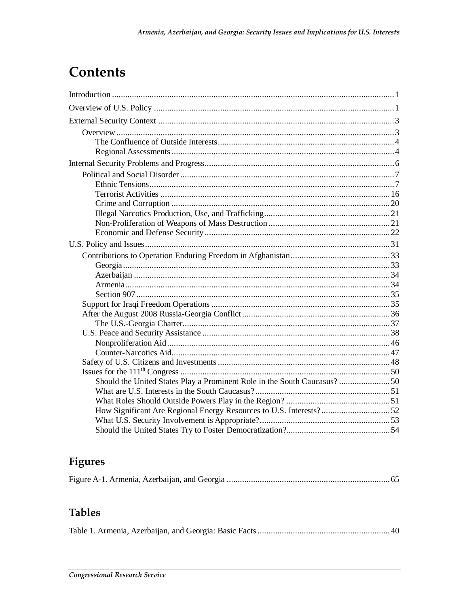# Contents

| Should the United States Play a Prominent Role in the South Caucasus?50 |  |
|-------------------------------------------------------------------------|--|
|                                                                         |  |
|                                                                         |  |
|                                                                         |  |
|                                                                         |  |
|                                                                         |  |

# Figures

## **Tables**

|--|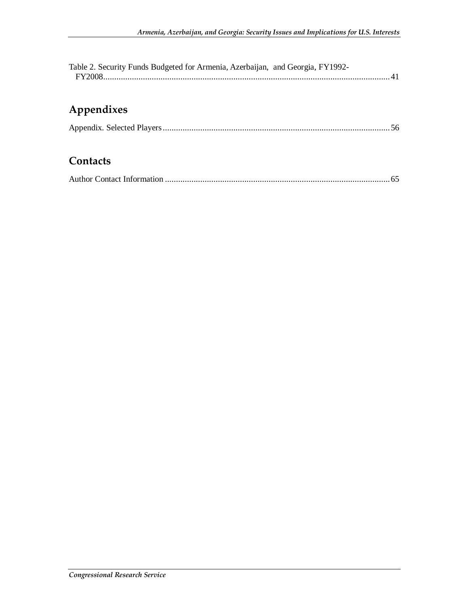| Table 2. Security Funds Budgeted for Armenia, Azerbaijan, and Georgia, FY1992- |  |  |
|--------------------------------------------------------------------------------|--|--|
|                                                                                |  |  |

# **Appendixes**

### **Contacts**

|--|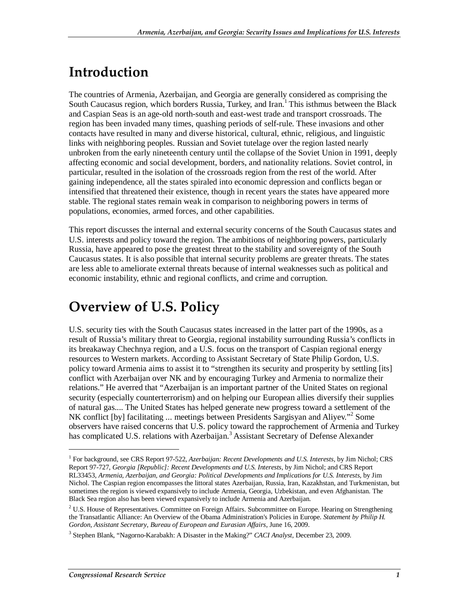# **Introduction**

The countries of Armenia, Azerbaijan, and Georgia are generally considered as comprising the South Caucasus region, which borders Russia, Turkey, and Iran.<sup>1</sup> This isthmus between the Black and Caspian Seas is an age-old north-south and east-west trade and transport crossroads. The region has been invaded many times, quashing periods of self-rule. These invasions and other contacts have resulted in many and diverse historical, cultural, ethnic, religious, and linguistic links with neighboring peoples. Russian and Soviet tutelage over the region lasted nearly unbroken from the early nineteenth century until the collapse of the Soviet Union in 1991, deeply affecting economic and social development, borders, and nationality relations. Soviet control, in particular, resulted in the isolation of the crossroads region from the rest of the world. After gaining independence, all the states spiraled into economic depression and conflicts began or intensified that threatened their existence, though in recent years the states have appeared more stable. The regional states remain weak in comparison to neighboring powers in terms of populations, economies, armed forces, and other capabilities.

This report discusses the internal and external security concerns of the South Caucasus states and U.S. interests and policy toward the region. The ambitions of neighboring powers, particularly Russia, have appeared to pose the greatest threat to the stability and sovereignty of the South Caucasus states. It is also possible that internal security problems are greater threats. The states are less able to ameliorate external threats because of internal weaknesses such as political and economic instability, ethnic and regional conflicts, and crime and corruption.

# **Overview of U.S. Policy**

U.S. security ties with the South Caucasus states increased in the latter part of the 1990s, as a result of Russia's military threat to Georgia, regional instability surrounding Russia's conflicts in its breakaway Chechnya region, and a U.S. focus on the transport of Caspian regional energy resources to Western markets. According to Assistant Secretary of State Philip Gordon, U.S. policy toward Armenia aims to assist it to "strengthen its security and prosperity by settling [its] conflict with Azerbaijan over NK and by encouraging Turkey and Armenia to normalize their relations." He averred that "Azerbaijan is an important partner of the United States on regional security (especially counterterrorism) and on helping our European allies diversify their supplies of natural gas.... The United States has helped generate new progress toward a settlement of the NK conflict [by] facilitating ... meetings between Presidents Sargisyan and Aliyev."<sup>2</sup> Some observers have raised concerns that U.S. policy toward the rapprochement of Armenia and Turkey has complicated U.S. relations with Azerbaijan.<sup>3</sup> Assistant Secretary of Defense Alexander

<sup>1</sup> For background, see CRS Report 97-522, *Azerbaijan: Recent Developments and U.S. Interests*, by Jim Nichol; CRS Report 97-727, *Georgia [Republic]: Recent Developments and U.S. Interests*, by Jim Nichol; and CRS Report RL33453, *Armenia, Azerbaijan, and Georgia: Political Developments and Implications for U.S. Interests*, by Jim Nichol. The Caspian region encompasses the littoral states Azerbaijan, Russia, Iran, Kazakhstan, and Turkmenistan, but sometimes the region is viewed expansively to include Armenia, Georgia, Uzbekistan, and even Afghanistan. The Black Sea region also has been viewed expansively to include Armenia and Azerbaijan.

 $2^2$  U.S. House of Representatives. Committee on Foreign Affairs. Subcommittee on Europe. Hearing on Strengthening the Transatlantic Alliance: An Overview of the Obama Administration's Policies in Europe. *Statement by Philip H. Gordon, Assistant Secretary, Bureau of European and Eurasian Affairs*, June 16, 2009.

<sup>3</sup> Stephen Blank, "Nagorno-Karabakh: A Disaster in the Making?" *CACI Analyst*, December 23, 2009.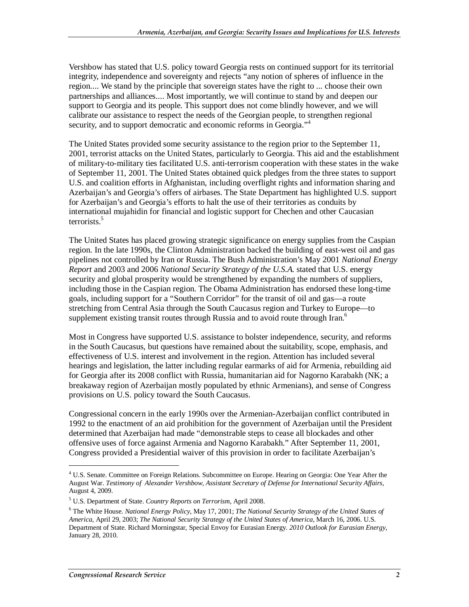Vershbow has stated that U.S. policy toward Georgia rests on continued support for its territorial integrity, independence and sovereignty and rejects "any notion of spheres of influence in the region.... We stand by the principle that sovereign states have the right to ... choose their own partnerships and alliances.... Most importantly, we will continue to stand by and deepen our support to Georgia and its people. This support does not come blindly however, and we will calibrate our assistance to respect the needs of the Georgian people, to strengthen regional security, and to support democratic and economic reforms in Georgia."<sup>4</sup>

The United States provided some security assistance to the region prior to the September 11, 2001, terrorist attacks on the United States, particularly to Georgia. This aid and the establishment of military-to-military ties facilitated U.S. anti-terrorism cooperation with these states in the wake of September 11, 2001. The United States obtained quick pledges from the three states to support U.S. and coalition efforts in Afghanistan, including overflight rights and information sharing and Azerbaijan's and Georgia's offers of airbases. The State Department has highlighted U.S. support for Azerbaijan's and Georgia's efforts to halt the use of their territories as conduits by international mujahidin for financial and logistic support for Chechen and other Caucasian terrorists.<sup>5</sup>

The United States has placed growing strategic significance on energy supplies from the Caspian region. In the late 1990s, the Clinton Administration backed the building of east-west oil and gas pipelines not controlled by Iran or Russia. The Bush Administration's May 2001 *National Energy Report* and 2003 and 2006 *National Security Strategy of the U.S.A.* stated that U.S. energy security and global prosperity would be strengthened by expanding the numbers of suppliers, including those in the Caspian region. The Obama Administration has endorsed these long-time goals, including support for a "Southern Corridor" for the transit of oil and gas—a route stretching from Central Asia through the South Caucasus region and Turkey to Europe—to supplement existing transit routes through Russia and to avoid route through Iran.<sup>6</sup>

Most in Congress have supported U.S. assistance to bolster independence, security, and reforms in the South Caucasus, but questions have remained about the suitability, scope, emphasis, and effectiveness of U.S. interest and involvement in the region. Attention has included several hearings and legislation, the latter including regular earmarks of aid for Armenia, rebuilding aid for Georgia after its 2008 conflict with Russia, humanitarian aid for Nagorno Karabakh (NK; a breakaway region of Azerbaijan mostly populated by ethnic Armenians), and sense of Congress provisions on U.S. policy toward the South Caucasus.

Congressional concern in the early 1990s over the Armenian-Azerbaijan conflict contributed in 1992 to the enactment of an aid prohibition for the government of Azerbaijan until the President determined that Azerbaijan had made "demonstrable steps to cease all blockades and other offensive uses of force against Armenia and Nagorno Karabakh." After September 11, 2001, Congress provided a Presidential waiver of this provision in order to facilitate Azerbaijan's

<sup>&</sup>lt;sup>4</sup> U.S. Senate. Committee on Foreign Relations. Subcommittee on Europe. Hearing on Georgia: One Year After the August War. *Testimony of Alexander Vershbow, Assistant Secretary of Defense for International Security Affairs,*  August 4, 2009.

<sup>5</sup> U.S. Department of State. *Country Reports on Terrorism*, April 2008.

<sup>6</sup> The White House. *National Energy Policy*, May 17, 2001; *The National Security Strategy of the United States of America*, April 29, 2003; *The National Security Strategy of the United States of America*, March 16, 2006. U.S. Department of State. Richard Morningstar, Special Envoy for Eurasian Energy. *2010 Outlook for Eurasian Energy*, January 28, 2010.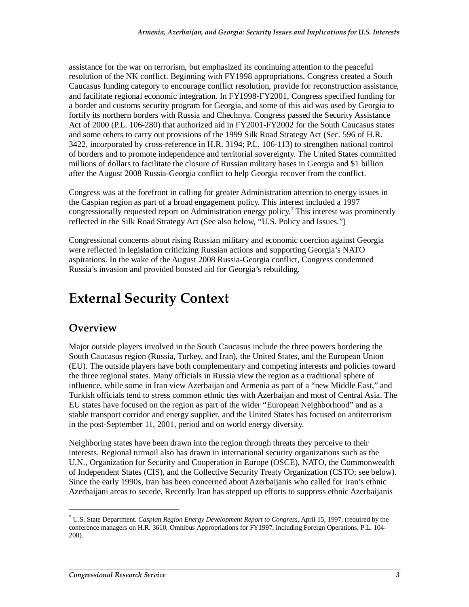assistance for the war on terrorism, but emphasized its continuing attention to the peaceful resolution of the NK conflict. Beginning with FY1998 appropriations, Congress created a South Caucasus funding category to encourage conflict resolution, provide for reconstruction assistance, and facilitate regional economic integration. In FY1998-FY2001, Congress specified funding for a border and customs security program for Georgia, and some of this aid was used by Georgia to fortify its northern borders with Russia and Chechnya. Congress passed the Security Assistance Act of 2000 (P.L. 106-280) that authorized aid in FY2001-FY2002 for the South Caucasus states and some others to carry out provisions of the 1999 Silk Road Strategy Act (Sec. 596 of H.R. 3422, incorporated by cross-reference in H.R. 3194; P.L. 106-113) to strengthen national control of borders and to promote independence and territorial sovereignty. The United States committed millions of dollars to facilitate the closure of Russian military bases in Georgia and \$1 billion after the August 2008 Russia-Georgia conflict to help Georgia recover from the conflict.

Congress was at the forefront in calling for greater Administration attention to energy issues in the Caspian region as part of a broad engagement policy. This interest included a 1997 congressionally requested report on Administration energy policy.<sup>7</sup> This interest was prominently reflected in the Silk Road Strategy Act (See also below, "U.S. Policy and Issues*.*")

Congressional concerns about rising Russian military and economic coercion against Georgia were reflected in legislation criticizing Russian actions and supporting Georgia's NATO aspirations. In the wake of the August 2008 Russia-Georgia conflict, Congress condemned Russia's invasion and provided boosted aid for Georgia's rebuilding.

# **External Security Context**

## **Overview**

1

Major outside players involved in the South Caucasus include the three powers bordering the South Caucasus region (Russia, Turkey, and Iran), the United States, and the European Union (EU). The outside players have both complementary and competing interests and policies toward the three regional states. Many officials in Russia view the region as a traditional sphere of influence, while some in Iran view Azerbaijan and Armenia as part of a "new Middle East," and Turkish officials tend to stress common ethnic ties with Azerbaijan and most of Central Asia. The EU states have focused on the region as part of the wider "European Neighborhood" and as a stable transport corridor and energy supplier, and the United States has focused on antiterrorism in the post-September 11, 2001, period and on world energy diversity.

Neighboring states have been drawn into the region through threats they perceive to their interests. Regional turmoil also has drawn in international security organizations such as the U.N., Organization for Security and Cooperation in Europe (OSCE), NATO, the Commonwealth of Independent States (CIS), and the Collective Security Treaty Organization (CSTO; see below). Since the early 1990s, Iran has been concerned about Azerbaijanis who called for Iran's ethnic Azerbaijani areas to secede. Recently Iran has stepped up efforts to suppress ethnic Azerbaijanis

<sup>7</sup> U.S. State Department. *Caspian Region Energy Development Report to Congress*, April 15, 1997, (required by the conference managers on H.R. 3610, Omnibus Appropriations for FY1997, including Foreign Operations, P.L. 104- 208).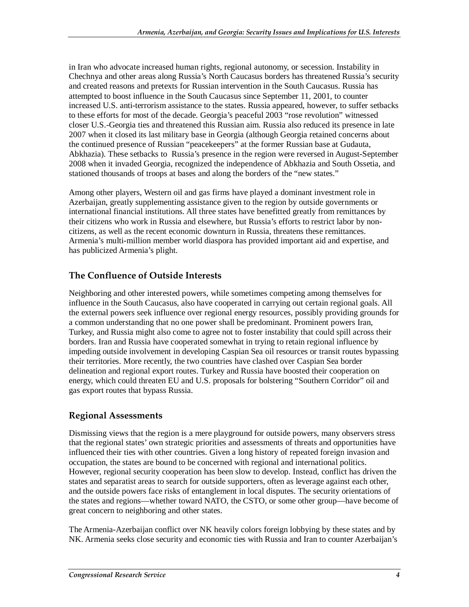in Iran who advocate increased human rights, regional autonomy, or secession. Instability in Chechnya and other areas along Russia's North Caucasus borders has threatened Russia's security and created reasons and pretexts for Russian intervention in the South Caucasus. Russia has attempted to boost influence in the South Caucasus since September 11, 2001, to counter increased U.S. anti-terrorism assistance to the states. Russia appeared, however, to suffer setbacks to these efforts for most of the decade. Georgia's peaceful 2003 "rose revolution" witnessed closer U.S.-Georgia ties and threatened this Russian aim. Russia also reduced its presence in late 2007 when it closed its last military base in Georgia (although Georgia retained concerns about the continued presence of Russian "peacekeepers" at the former Russian base at Gudauta, Abkhazia). These setbacks to Russia's presence in the region were reversed in August-September 2008 when it invaded Georgia, recognized the independence of Abkhazia and South Ossetia, and stationed thousands of troops at bases and along the borders of the "new states."

Among other players, Western oil and gas firms have played a dominant investment role in Azerbaijan, greatly supplementing assistance given to the region by outside governments or international financial institutions. All three states have benefitted greatly from remittances by their citizens who work in Russia and elsewhere, but Russia's efforts to restrict labor by noncitizens, as well as the recent economic downturn in Russia, threatens these remittances. Armenia's multi-million member world diaspora has provided important aid and expertise, and has publicized Armenia's plight.

#### **The Confluence of Outside Interests**

Neighboring and other interested powers, while sometimes competing among themselves for influence in the South Caucasus, also have cooperated in carrying out certain regional goals. All the external powers seek influence over regional energy resources, possibly providing grounds for a common understanding that no one power shall be predominant. Prominent powers Iran, Turkey, and Russia might also come to agree not to foster instability that could spill across their borders. Iran and Russia have cooperated somewhat in trying to retain regional influence by impeding outside involvement in developing Caspian Sea oil resources or transit routes bypassing their territories. More recently, the two countries have clashed over Caspian Sea border delineation and regional export routes. Turkey and Russia have boosted their cooperation on energy, which could threaten EU and U.S. proposals for bolstering "Southern Corridor" oil and gas export routes that bypass Russia.

#### **Regional Assessments**

Dismissing views that the region is a mere playground for outside powers, many observers stress that the regional states' own strategic priorities and assessments of threats and opportunities have influenced their ties with other countries. Given a long history of repeated foreign invasion and occupation, the states are bound to be concerned with regional and international politics. However, regional security cooperation has been slow to develop. Instead, conflict has driven the states and separatist areas to search for outside supporters, often as leverage against each other, and the outside powers face risks of entanglement in local disputes. The security orientations of the states and regions—whether toward NATO, the CSTO, or some other group—have become of great concern to neighboring and other states.

The Armenia-Azerbaijan conflict over NK heavily colors foreign lobbying by these states and by NK. Armenia seeks close security and economic ties with Russia and Iran to counter Azerbaijan's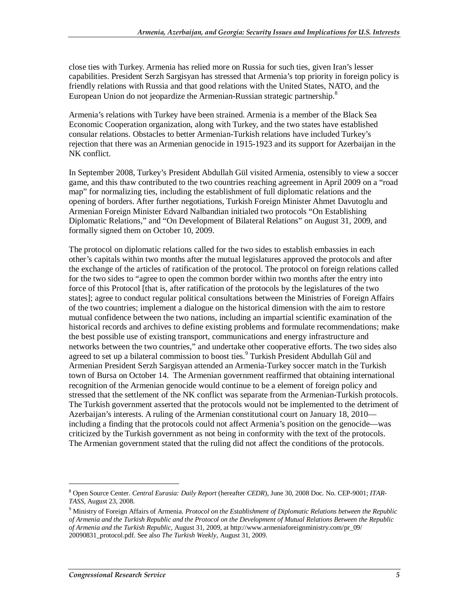close ties with Turkey. Armenia has relied more on Russia for such ties, given Iran's lesser capabilities. President Serzh Sargisyan has stressed that Armenia's top priority in foreign policy is friendly relations with Russia and that good relations with the United States, NATO, and the European Union do not jeopardize the Armenian-Russian strategic partnership.<sup>8</sup>

Armenia's relations with Turkey have been strained. Armenia is a member of the Black Sea Economic Cooperation organization, along with Turkey, and the two states have established consular relations. Obstacles to better Armenian-Turkish relations have included Turkey's rejection that there was an Armenian genocide in 1915-1923 and its support for Azerbaijan in the NK conflict.

In September 2008, Turkey's President Abdullah Gül visited Armenia, ostensibly to view a soccer game, and this thaw contributed to the two countries reaching agreement in April 2009 on a "road map" for normalizing ties, including the establishment of full diplomatic relations and the opening of borders. After further negotiations, Turkish Foreign Minister Ahmet Davutoglu and Armenian Foreign Minister Edvard Nalbandian initialed two protocols "On Establishing Diplomatic Relations," and "On Development of Bilateral Relations" on August 31, 2009, and formally signed them on October 10, 2009.

The protocol on diplomatic relations called for the two sides to establish embassies in each other's capitals within two months after the mutual legislatures approved the protocols and after the exchange of the articles of ratification of the protocol. The protocol on foreign relations called for the two sides to "agree to open the common border within two months after the entry into force of this Protocol [that is, after ratification of the protocols by the legislatures of the two states]; agree to conduct regular political consultations between the Ministries of Foreign Affairs of the two countries; implement a dialogue on the historical dimension with the aim to restore mutual confidence between the two nations, including an impartial scientific examination of the historical records and archives to define existing problems and formulate recommendations; make the best possible use of existing transport, communications and energy infrastructure and networks between the two countries," and undertake other cooperative efforts. The two sides also agreed to set up a bilateral commission to boost ties.<sup>9</sup> Turkish President Abdullah Gül and Armenian President Serzh Sargisyan attended an Armenia-Turkey soccer match in the Turkish town of Bursa on October 14. The Armenian government reaffirmed that obtaining international recognition of the Armenian genocide would continue to be a element of foreign policy and stressed that the settlement of the NK conflict was separate from the Armenian-Turkish protocols. The Turkish government asserted that the protocols would not be implemented to the detriment of Azerbaijan's interests. A ruling of the Armenian constitutional court on January 18, 2010 including a finding that the protocols could not affect Armenia's position on the genocide—was criticized by the Turkish government as not being in conformity with the text of the protocols. The Armenian government stated that the ruling did not affect the conditions of the protocols.

<sup>8</sup> Open Source Center. *Central Eurasia: Daily Report* (hereafter *CEDR*), June 30, 2008 Doc. No. CEP-9001; *ITAR-TASS*, August 23, 2008.

<sup>9</sup> Ministry of Foreign Affairs of Armenia. *Protocol on the Establishment of Diplomatic Relations between the Republic of Armenia and the Turkish Republic and the Protocol on the Development of Mutual Relations Between the Republic of Armenia and the Turkish Republic*, August 31, 2009, at http://www.armeniaforeignministry.com/pr\_09/ 20090831\_protocol.pdf. See also *The Turkish Weekly*, August 31, 2009.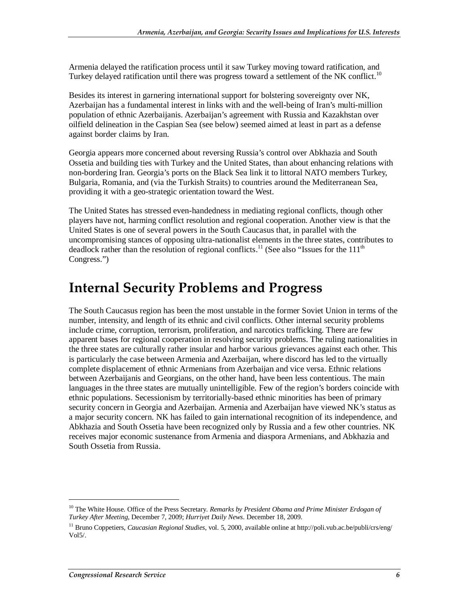Armenia delayed the ratification process until it saw Turkey moving toward ratification, and Turkey delayed ratification until there was progress toward a settlement of the NK conflict.<sup>10</sup>

Besides its interest in garnering international support for bolstering sovereignty over NK, Azerbaijan has a fundamental interest in links with and the well-being of Iran's multi-million population of ethnic Azerbaijanis. Azerbaijan's agreement with Russia and Kazakhstan over oilfield delineation in the Caspian Sea (see below) seemed aimed at least in part as a defense against border claims by Iran.

Georgia appears more concerned about reversing Russia's control over Abkhazia and South Ossetia and building ties with Turkey and the United States, than about enhancing relations with non-bordering Iran. Georgia's ports on the Black Sea link it to littoral NATO members Turkey, Bulgaria, Romania, and (via the Turkish Straits) to countries around the Mediterranean Sea, providing it with a geo-strategic orientation toward the West.

The United States has stressed even-handedness in mediating regional conflicts, though other players have not, harming conflict resolution and regional cooperation. Another view is that the United States is one of several powers in the South Caucasus that, in parallel with the uncompromising stances of opposing ultra-nationalist elements in the three states, contributes to deadlock rather than the resolution of regional conflicts.<sup>11</sup> (See also "Issues for the 111<sup>th</sup> Congress.")

# **Internal Security Problems and Progress**

The South Caucasus region has been the most unstable in the former Soviet Union in terms of the number, intensity, and length of its ethnic and civil conflicts. Other internal security problems include crime, corruption, terrorism, proliferation, and narcotics trafficking. There are few apparent bases for regional cooperation in resolving security problems. The ruling nationalities in the three states are culturally rather insular and harbor various grievances against each other. This is particularly the case between Armenia and Azerbaijan, where discord has led to the virtually complete displacement of ethnic Armenians from Azerbaijan and vice versa. Ethnic relations between Azerbaijanis and Georgians, on the other hand, have been less contentious. The main languages in the three states are mutually unintelligible. Few of the region's borders coincide with ethnic populations. Secessionism by territorially-based ethnic minorities has been of primary security concern in Georgia and Azerbaijan. Armenia and Azerbaijan have viewed NK's status as a major security concern. NK has failed to gain international recognition of its independence, and Abkhazia and South Ossetia have been recognized only by Russia and a few other countries. NK receives major economic sustenance from Armenia and diaspora Armenians, and Abkhazia and South Ossetia from Russia.

<sup>&</sup>lt;sup>10</sup> The White House. Office of the Press Secretary. *Remarks by President Obama and Prime Minister Erdogan of Turkey After Meeting*, December 7, 2009; *Hurriyet Daily News*. December 18, 2009.

<sup>11</sup> Bruno Coppetiers, *Caucasian Regional Studies*, vol. 5, 2000, available online at http://poli.vub.ac.be/publi/crs/eng/ Vol5/.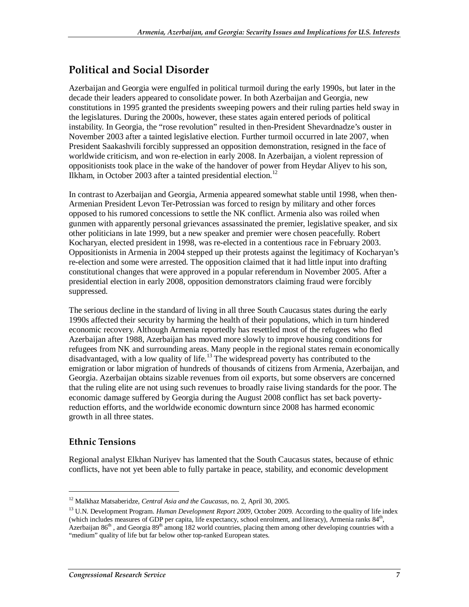## **Political and Social Disorder**

Azerbaijan and Georgia were engulfed in political turmoil during the early 1990s, but later in the decade their leaders appeared to consolidate power. In both Azerbaijan and Georgia, new constitutions in 1995 granted the presidents sweeping powers and their ruling parties held sway in the legislatures. During the 2000s, however, these states again entered periods of political instability. In Georgia, the "rose revolution" resulted in then-President Shevardnadze's ouster in November 2003 after a tainted legislative election. Further turmoil occurred in late 2007, when President Saakashvili forcibly suppressed an opposition demonstration, resigned in the face of worldwide criticism, and won re-election in early 2008. In Azerbaijan, a violent repression of oppositionists took place in the wake of the handover of power from Heydar Aliyev to his son, Ilkham, in October 2003 after a tainted presidential election.<sup>12</sup>

In contrast to Azerbaijan and Georgia, Armenia appeared somewhat stable until 1998, when then-Armenian President Levon Ter-Petrossian was forced to resign by military and other forces opposed to his rumored concessions to settle the NK conflict. Armenia also was roiled when gunmen with apparently personal grievances assassinated the premier, legislative speaker, and six other politicians in late 1999, but a new speaker and premier were chosen peacefully. Robert Kocharyan, elected president in 1998, was re-elected in a contentious race in February 2003. Oppositionists in Armenia in 2004 stepped up their protests against the legitimacy of Kocharyan's re-election and some were arrested. The opposition claimed that it had little input into drafting constitutional changes that were approved in a popular referendum in November 2005. After a presidential election in early 2008, opposition demonstrators claiming fraud were forcibly suppressed.

The serious decline in the standard of living in all three South Caucasus states during the early 1990s affected their security by harming the health of their populations, which in turn hindered economic recovery. Although Armenia reportedly has resettled most of the refugees who fled Azerbaijan after 1988, Azerbaijan has moved more slowly to improve housing conditions for refugees from NK and surrounding areas. Many people in the regional states remain economically disadvantaged, with a low quality of life.<sup>13</sup> The widespread poverty has contributed to the emigration or labor migration of hundreds of thousands of citizens from Armenia, Azerbaijan, and Georgia. Azerbaijan obtains sizable revenues from oil exports, but some observers are concerned that the ruling elite are not using such revenues to broadly raise living standards for the poor. The economic damage suffered by Georgia during the August 2008 conflict has set back povertyreduction efforts, and the worldwide economic downturn since 2008 has harmed economic growth in all three states.

#### **Ethnic Tensions**

1

Regional analyst Elkhan Nuriyev has lamented that the South Caucasus states, because of ethnic conflicts, have not yet been able to fully partake in peace, stability, and economic development

<sup>12</sup> Malkhaz Matsaberidze, *Central Asia and the Caucasus*, no. 2, April 30, 2005.

<sup>&</sup>lt;sup>13</sup> U.N. Development Program. *Human Development Report 2009*, October 2009. According to the quality of life index (which includes measures of GDP per capita, life expectancy, school enrolment, and literacy), Armenia ranks  $84<sup>th</sup>$ , Azerbaijan  $86<sup>th</sup>$ , and Georgia  $89<sup>th</sup>$  among 182 world countries, placing them among other developing countries with a "medium" quality of life but far below other top-ranked European states.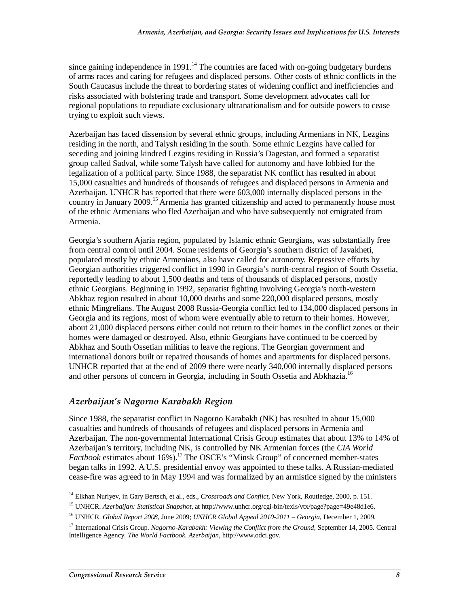since gaining independence in 1991.<sup>14</sup> The countries are faced with on-going budgetary burdens of arms races and caring for refugees and displaced persons. Other costs of ethnic conflicts in the South Caucasus include the threat to bordering states of widening conflict and inefficiencies and risks associated with bolstering trade and transport. Some development advocates call for regional populations to repudiate exclusionary ultranationalism and for outside powers to cease trying to exploit such views.

Azerbaijan has faced dissension by several ethnic groups, including Armenians in NK, Lezgins residing in the north, and Talysh residing in the south. Some ethnic Lezgins have called for seceding and joining kindred Lezgins residing in Russia's Dagestan, and formed a separatist group called Sadval, while some Talysh have called for autonomy and have lobbied for the legalization of a political party. Since 1988, the separatist NK conflict has resulted in about 15,000 casualties and hundreds of thousands of refugees and displaced persons in Armenia and Azerbaijan. UNHCR has reported that there were 603,000 internally displaced persons in the country in January 2009.<sup>15</sup> Armenia has granted citizenship and acted to permanently house most of the ethnic Armenians who fled Azerbaijan and who have subsequently not emigrated from Armenia.

Georgia's southern Ajaria region, populated by Islamic ethnic Georgians, was substantially free from central control until 2004. Some residents of Georgia's southern district of Javakheti, populated mostly by ethnic Armenians, also have called for autonomy. Repressive efforts by Georgian authorities triggered conflict in 1990 in Georgia's north-central region of South Ossetia, reportedly leading to about 1,500 deaths and tens of thousands of displaced persons, mostly ethnic Georgians. Beginning in 1992, separatist fighting involving Georgia's north-western Abkhaz region resulted in about 10,000 deaths and some 220,000 displaced persons, mostly ethnic Mingrelians. The August 2008 Russia-Georgia conflict led to 134,000 displaced persons in Georgia and its regions, most of whom were eventually able to return to their homes. However, about 21,000 displaced persons either could not return to their homes in the conflict zones or their homes were damaged or destroyed. Also, ethnic Georgians have continued to be coerced by Abkhaz and South Ossetian militias to leave the regions. The Georgian government and international donors built or repaired thousands of homes and apartments for displaced persons. UNHCR reported that at the end of 2009 there were nearly 340,000 internally displaced persons and other persons of concern in Georgia, including in South Ossetia and Abkhazia.16

#### *Azerbaijan's Nagorno Karabakh Region*

Since 1988, the separatist conflict in Nagorno Karabakh (NK) has resulted in about 15,000 casualties and hundreds of thousands of refugees and displaced persons in Armenia and Azerbaijan. The non-governmental International Crisis Group estimates that about 13% to 14% of Azerbaijan's territory, including NK, is controlled by NK Armenian forces (the *CIA World Factbook* estimates about 16%).<sup>17</sup> The OSCE's "Minsk Group" of concerned member-states began talks in 1992. A U.S. presidential envoy was appointed to these talks. A Russian-mediated cease-fire was agreed to in May 1994 and was formalized by an armistice signed by the ministers

<sup>&</sup>lt;sup>14</sup> Elkhan Nuriyev, in Gary Bertsch, et al., eds., *Crossroads and Conflict*, New York, Routledge, 2000, p. 151.

<sup>15</sup> UNHCR. *Azerbaijan: Statistical Snapshot*, at http://www.unhcr.org/cgi-bin/texis/vtx/page?page=49e48d1e6.

<sup>16</sup> UNHCR. *Global Report 2008*, June 2009; *UNHCR Global Appeal 2010-2011 – Georgia*, December 1, 2009.

<sup>&</sup>lt;sup>17</sup> International Crisis Group. *Nagorno-Karabakh: Viewing the Conflict from the Ground*, September 14, 2005. Central Intelligence Agency. *The World Factbook*. *Azerbaijan*, http://www.odci.gov.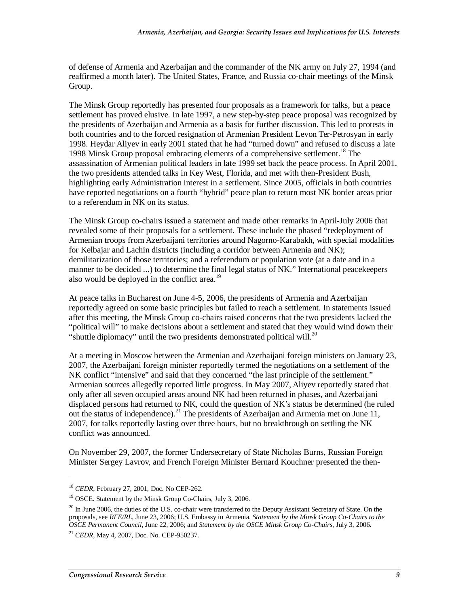of defense of Armenia and Azerbaijan and the commander of the NK army on July 27, 1994 (and reaffirmed a month later). The United States, France, and Russia co-chair meetings of the Minsk Group.

The Minsk Group reportedly has presented four proposals as a framework for talks, but a peace settlement has proved elusive. In late 1997, a new step-by-step peace proposal was recognized by the presidents of Azerbaijan and Armenia as a basis for further discussion. This led to protests in both countries and to the forced resignation of Armenian President Levon Ter-Petrosyan in early 1998. Heydar Aliyev in early 2001 stated that he had "turned down" and refused to discuss a late 1998 Minsk Group proposal embracing elements of a comprehensive settlement.<sup>18</sup> The assassination of Armenian political leaders in late 1999 set back the peace process. In April 2001, the two presidents attended talks in Key West, Florida, and met with then-President Bush, highlighting early Administration interest in a settlement. Since 2005, officials in both countries have reported negotiations on a fourth "hybrid" peace plan to return most NK border areas prior to a referendum in NK on its status.

The Minsk Group co-chairs issued a statement and made other remarks in April-July 2006 that revealed some of their proposals for a settlement. These include the phased "redeployment of Armenian troops from Azerbaijani territories around Nagorno-Karabakh, with special modalities for Kelbajar and Lachin districts (including a corridor between Armenia and NK); demilitarization of those territories; and a referendum or population vote (at a date and in a manner to be decided ...) to determine the final legal status of NK." International peacekeepers also would be deployed in the conflict area.<sup>19</sup>

At peace talks in Bucharest on June 4-5, 2006, the presidents of Armenia and Azerbaijan reportedly agreed on some basic principles but failed to reach a settlement. In statements issued after this meeting, the Minsk Group co-chairs raised concerns that the two presidents lacked the "political will" to make decisions about a settlement and stated that they would wind down their "shuttle diplomacy" until the two presidents demonstrated political will.<sup>20</sup>

At a meeting in Moscow between the Armenian and Azerbaijani foreign ministers on January 23, 2007, the Azerbaijani foreign minister reportedly termed the negotiations on a settlement of the NK conflict "intensive" and said that they concerned "the last principle of the settlement." Armenian sources allegedly reported little progress. In May 2007, Aliyev reportedly stated that only after all seven occupied areas around NK had been returned in phases, and Azerbaijani displaced persons had returned to NK, could the question of NK's status be determined (he ruled out the status of independence).<sup>21</sup> The presidents of Azerbaijan and Armenia met on June 11, 2007, for talks reportedly lasting over three hours, but no breakthrough on settling the NK conflict was announced.

On November 29, 2007, the former Undersecretary of State Nicholas Burns, Russian Foreign Minister Sergey Lavrov, and French Foreign Minister Bernard Kouchner presented the then-

<sup>&</sup>lt;sup>18</sup> *CEDR*, February 27, 2001, Doc. No CEP-262.<br><sup>19</sup> OSCE. Statement by the Minsk Group Co-Chairs, July 3, 2006.

 $^{20}$  In June 2006, the duties of the U.S. co-chair were transferred to the Deputy Assistant Secretary of State. On the proposals, see *RFE/RL*, June 23, 2006; U.S. Embassy in Armenia, *Statement by the Minsk Group Co-Chairs to the OSCE Permanent Council*, June 22, 2006; and *Statement by the OSCE Minsk Group Co-Chairs*, July 3, 2006.

<sup>21</sup> *CEDR*, May 4, 2007, Doc. No. CEP-950237.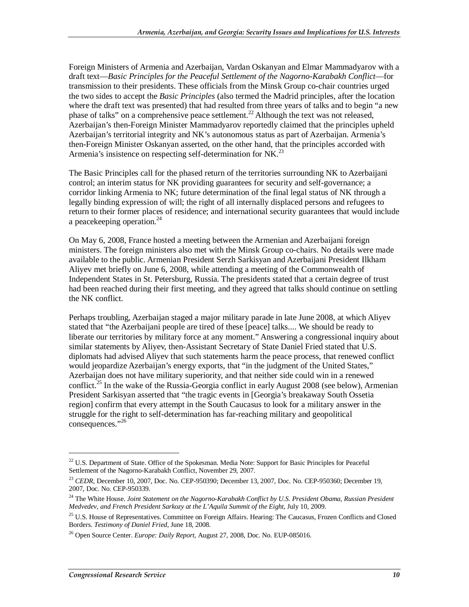Foreign Ministers of Armenia and Azerbaijan, Vardan Oskanyan and Elmar Mammadyarov with a draft text—*Basic Principles for the Peaceful Settlement of the Nagorno-Karabakh Conflict*—for transmission to their presidents. These officials from the Minsk Group co-chair countries urged the two sides to accept the *Basic Principles* (also termed the Madrid principles, after the location where the draft text was presented) that had resulted from three years of talks and to begin "a new phase of talks" on a comprehensive peace settlement.<sup>22</sup> Although the text was not released. Azerbaijan's then-Foreign Minister Mammadyarov reportedly claimed that the principles upheld Azerbaijan's territorial integrity and NK's autonomous status as part of Azerbaijan. Armenia's then-Foreign Minister Oskanyan asserted, on the other hand, that the principles accorded with Armenia's insistence on respecting self-determination for NK $^{23}$ 

The Basic Principles call for the phased return of the territories surrounding NK to Azerbaijani control; an interim status for NK providing guarantees for security and self-governance; a corridor linking Armenia to NK; future determination of the final legal status of NK through a legally binding expression of will; the right of all internally displaced persons and refugees to return to their former places of residence; and international security guarantees that would include a peacekeeping operation.<sup>24</sup>

On May 6, 2008, France hosted a meeting between the Armenian and Azerbaijani foreign ministers. The foreign ministers also met with the Minsk Group co-chairs. No details were made available to the public. Armenian President Serzh Sarkisyan and Azerbaijani President Ilkham Aliyev met briefly on June 6, 2008, while attending a meeting of the Commonwealth of Independent States in St. Petersburg, Russia. The presidents stated that a certain degree of trust had been reached during their first meeting, and they agreed that talks should continue on settling the NK conflict.

Perhaps troubling, Azerbaijan staged a major military parade in late June 2008, at which Aliyev stated that "the Azerbaijani people are tired of these [peace] talks.... We should be ready to liberate our territories by military force at any moment." Answering a congressional inquiry about similar statements by Aliyev, then-Assistant Secretary of State Daniel Fried stated that U.S. diplomats had advised Aliyev that such statements harm the peace process, that renewed conflict would jeopardize Azerbaijan's energy exports, that "in the judgment of the United States," Azerbaijan does not have military superiority, and that neither side could win in a renewed conflict.<sup>25</sup> In the wake of the Russia-Georgia conflict in early August 2008 (see below), Armenian President Sarkisyan asserted that "the tragic events in [Georgia's breakaway South Ossetia region] confirm that every attempt in the South Caucasus to look for a military answer in the struggle for the right to self-determination has far-reaching military and geopolitical consequences."<sup>26</sup>

 $22$  U.S. Department of State. Office of the Spokesman. Media Note: Support for Basic Principles for Peaceful Settlement of the Nagorno-Karabakh Conflict, November 29, 2007.

<sup>&</sup>lt;sup>23</sup> *CEDR*, December 10, 2007, Doc. No. CEP-950390; December 13, 2007, Doc. No. CEP-950360; December 19, 2007, Doc. No. CEP-950339.

<sup>24</sup> The White House. *Joint Statement on the Nagorno-Karabakh Conflict by U.S. President Obama, Russian President Medvedev, and French President Sarkozy at the L'Aquila Summit of the Eight*, July 10, 2009.

<sup>&</sup>lt;sup>25</sup> U.S. House of Representatives. Committee on Foreign Affairs. Hearing: The Caucasus, Frozen Conflicts and Closed Borders. *Testimony of Daniel Fried*, June 18, 2008.

<sup>26</sup> Open Source Center. *Europe: Daily Report,* August 27, 2008, Doc. No. EUP-085016.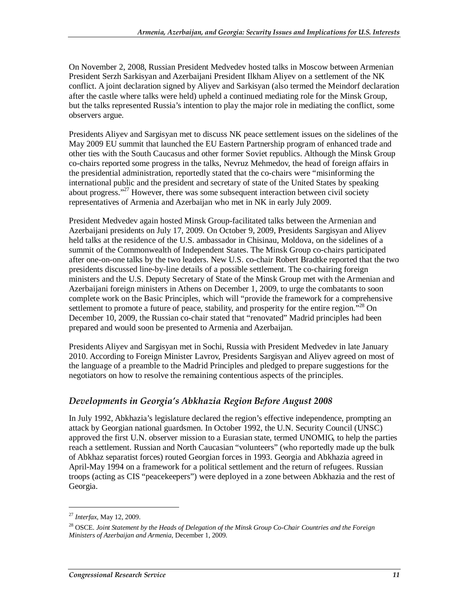On November 2, 2008, Russian President Medvedev hosted talks in Moscow between Armenian President Serzh Sarkisyan and Azerbaijani President Ilkham Aliyev on a settlement of the NK conflict. A joint declaration signed by Aliyev and Sarkisyan (also termed the Meindorf declaration after the castle where talks were held) upheld a continued mediating role for the Minsk Group, but the talks represented Russia's intention to play the major role in mediating the conflict, some observers argue.

Presidents Aliyev and Sargisyan met to discuss NK peace settlement issues on the sidelines of the May 2009 EU summit that launched the EU Eastern Partnership program of enhanced trade and other ties with the South Caucasus and other former Soviet republics. Although the Minsk Group co-chairs reported some progress in the talks, Nevruz Mehmedov, the head of foreign affairs in the presidential administration, reportedly stated that the co-chairs were "misinforming the international public and the president and secretary of state of the United States by speaking about progress."<sup>27</sup> However, there was some subsequent interaction between civil society representatives of Armenia and Azerbaijan who met in NK in early July 2009.

President Medvedev again hosted Minsk Group-facilitated talks between the Armenian and Azerbaijani presidents on July 17, 2009. On October 9, 2009, Presidents Sargisyan and Aliyev held talks at the residence of the U.S. ambassador in Chisinau, Moldova, on the sidelines of a summit of the Commonwealth of Independent States. The Minsk Group co-chairs participated after one-on-one talks by the two leaders. New U.S. co-chair Robert Bradtke reported that the two presidents discussed line-by-line details of a possible settlement. The co-chairing foreign ministers and the U.S. Deputy Secretary of State of the Minsk Group met with the Armenian and Azerbaijani foreign ministers in Athens on December 1, 2009, to urge the combatants to soon complete work on the Basic Principles, which will "provide the framework for a comprehensive settlement to promote a future of peace, stability, and prosperity for the entire region."<sup>28</sup> On December 10, 2009, the Russian co-chair stated that "renovated" Madrid principles had been prepared and would soon be presented to Armenia and Azerbaijan.

Presidents Aliyev and Sargisyan met in Sochi, Russia with President Medvedev in late January 2010. According to Foreign Minister Lavrov, Presidents Sargisyan and Aliyev agreed on most of the language of a preamble to the Madrid Principles and pledged to prepare suggestions for the negotiators on how to resolve the remaining contentious aspects of the principles.

#### *Developments in Georgia's Abkhazia Region Before August 2008*

In July 1992, Abkhazia's legislature declared the region's effective independence, prompting an attack by Georgian national guardsmen. In October 1992, the U.N. Security Council (UNSC) approved the first U.N. observer mission to a Eurasian state, termed UNOMIG, to help the parties reach a settlement. Russian and North Caucasian "volunteers" (who reportedly made up the bulk of Abkhaz separatist forces) routed Georgian forces in 1993. Georgia and Abkhazia agreed in April-May 1994 on a framework for a political settlement and the return of refugees. Russian troops (acting as CIS "peacekeepers") were deployed in a zone between Abkhazia and the rest of Georgia.

<sup>27</sup> *Interfax*, May 12, 2009.

<sup>28</sup> OSCE. *Joint Statement by the Heads of Delegation of the Minsk Group Co-Chair Countries and the Foreign Ministers of Azerbaijan and Armenia*, December 1, 2009.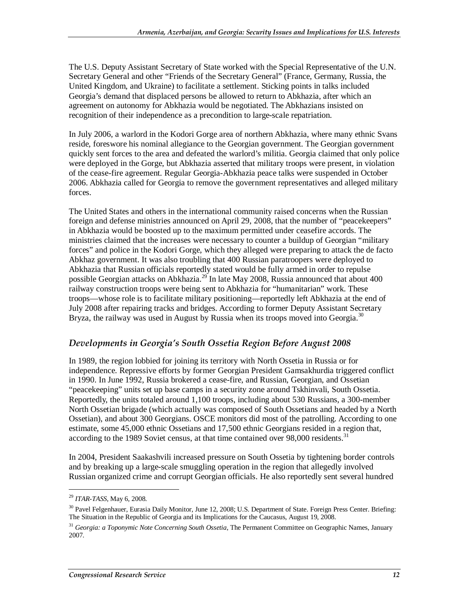The U.S. Deputy Assistant Secretary of State worked with the Special Representative of the U.N. Secretary General and other "Friends of the Secretary General" (France, Germany, Russia, the United Kingdom, and Ukraine) to facilitate a settlement. Sticking points in talks included Georgia's demand that displaced persons be allowed to return to Abkhazia, after which an agreement on autonomy for Abkhazia would be negotiated. The Abkhazians insisted on recognition of their independence as a precondition to large-scale repatriation.

In July 2006, a warlord in the Kodori Gorge area of northern Abkhazia, where many ethnic Svans reside, foreswore his nominal allegiance to the Georgian government. The Georgian government quickly sent forces to the area and defeated the warlord's militia. Georgia claimed that only police were deployed in the Gorge, but Abkhazia asserted that military troops were present, in violation of the cease-fire agreement. Regular Georgia-Abkhazia peace talks were suspended in October 2006. Abkhazia called for Georgia to remove the government representatives and alleged military forces.

The United States and others in the international community raised concerns when the Russian foreign and defense ministries announced on April 29, 2008, that the number of "peacekeepers" in Abkhazia would be boosted up to the maximum permitted under ceasefire accords. The ministries claimed that the increases were necessary to counter a buildup of Georgian "military forces" and police in the Kodori Gorge, which they alleged were preparing to attack the de facto Abkhaz government. It was also troubling that 400 Russian paratroopers were deployed to Abkhazia that Russian officials reportedly stated would be fully armed in order to repulse possible Georgian attacks on Abkhazia.<sup>29</sup> In late May 2008, Russia announced that about 400 railway construction troops were being sent to Abkhazia for "humanitarian" work. These troops—whose role is to facilitate military positioning—reportedly left Abkhazia at the end of July 2008 after repairing tracks and bridges. According to former Deputy Assistant Secretary Bryza, the railway was used in August by Russia when its troops moved into Georgia.<sup>30</sup>

#### *Developments in Georgia's South Ossetia Region Before August 2008*

In 1989, the region lobbied for joining its territory with North Ossetia in Russia or for independence. Repressive efforts by former Georgian President Gamsakhurdia triggered conflict in 1990. In June 1992, Russia brokered a cease-fire, and Russian, Georgian, and Ossetian "peacekeeping" units set up base camps in a security zone around Tskhinvali, South Ossetia. Reportedly, the units totaled around 1,100 troops, including about 530 Russians, a 300-member North Ossetian brigade (which actually was composed of South Ossetians and headed by a North Ossetian), and about 300 Georgians. OSCE monitors did most of the patrolling. According to one estimate, some 45,000 ethnic Ossetians and 17,500 ethnic Georgians resided in a region that, according to the 1989 Soviet census, at that time contained over  $98,000$  residents.<sup>31</sup>

In 2004, President Saakashvili increased pressure on South Ossetia by tightening border controls and by breaking up a large-scale smuggling operation in the region that allegedly involved Russian organized crime and corrupt Georgian officials. He also reportedly sent several hundred

<sup>29</sup> *ITAR-TASS*, May 6, 2008.

<sup>&</sup>lt;sup>30</sup> Pavel Felgenhauer, Eurasia Daily Monitor, June 12, 2008; U.S. Department of State. Foreign Press Center. Briefing: The Situation in the Republic of Georgia and its Implications for the Caucasus, August 19, 2008.

<sup>31</sup> *Georgia: a Toponymic Note Concerning South Ossetia*, The Permanent Committee on Geographic Names, January 2007.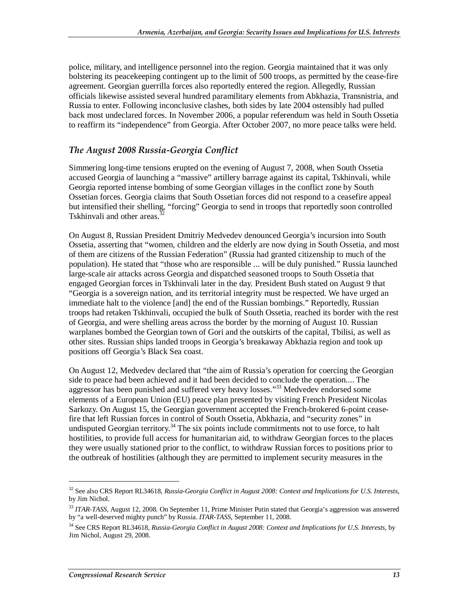police, military, and intelligence personnel into the region. Georgia maintained that it was only bolstering its peacekeeping contingent up to the limit of 500 troops, as permitted by the cease-fire agreement. Georgian guerrilla forces also reportedly entered the region. Allegedly, Russian officials likewise assisted several hundred paramilitary elements from Abkhazia, Transnistria, and Russia to enter. Following inconclusive clashes, both sides by late 2004 ostensibly had pulled back most undeclared forces. In November 2006, a popular referendum was held in South Ossetia to reaffirm its "independence" from Georgia. After October 2007, no more peace talks were held.

#### *The August 2008 Russia-Georgia Conflict*

Simmering long-time tensions erupted on the evening of August 7, 2008, when South Ossetia accused Georgia of launching a "massive" artillery barrage against its capital, Tskhinvali, while Georgia reported intense bombing of some Georgian villages in the conflict zone by South Ossetian forces. Georgia claims that South Ossetian forces did not respond to a ceasefire appeal but intensified their shelling, "forcing" Georgia to send in troops that reportedly soon controlled Tskhinvali and other areas.<sup>3</sup>

On August 8, Russian President Dmitriy Medvedev denounced Georgia's incursion into South Ossetia, asserting that "women, children and the elderly are now dying in South Ossetia, and most of them are citizens of the Russian Federation" (Russia had granted citizenship to much of the population). He stated that "those who are responsible ... will be duly punished." Russia launched large-scale air attacks across Georgia and dispatched seasoned troops to South Ossetia that engaged Georgian forces in Tskhinvali later in the day. President Bush stated on August 9 that "Georgia is a sovereign nation, and its territorial integrity must be respected. We have urged an immediate halt to the violence [and] the end of the Russian bombings." Reportedly, Russian troops had retaken Tskhinvali, occupied the bulk of South Ossetia, reached its border with the rest of Georgia, and were shelling areas across the border by the morning of August 10. Russian warplanes bombed the Georgian town of Gori and the outskirts of the capital, Tbilisi, as well as other sites. Russian ships landed troops in Georgia's breakaway Abkhazia region and took up positions off Georgia's Black Sea coast.

On August 12, Medvedev declared that "the aim of Russia's operation for coercing the Georgian side to peace had been achieved and it had been decided to conclude the operation.... The aggressor has been punished and suffered very heavy losses."<sup>33</sup> Medvedev endorsed some elements of a European Union (EU) peace plan presented by visiting French President Nicolas Sarkozy. On August 15, the Georgian government accepted the French-brokered 6-point ceasefire that left Russian forces in control of South Ossetia, Abkhazia, and "security zones" in undisputed Georgian territory.<sup>34</sup> The six points include commitments not to use force, to halt hostilities, to provide full access for humanitarian aid, to withdraw Georgian forces to the places they were usually stationed prior to the conflict, to withdraw Russian forces to positions prior to the outbreak of hostilities (although they are permitted to implement security measures in the

<sup>32</sup> See also CRS Report RL34618, *Russia-Georgia Conflict in August 2008: Context and Implications for U.S. Interests*, by Jim Nichol.

<sup>&</sup>lt;sup>33</sup> ITAR-TASS, August 12, 2008. On September 11, Prime Minister Putin stated that Georgia's aggression was answered by "a well-deserved mighty punch" by Russia. *ITAR-TASS*, September 11, 2008.

<sup>34</sup> See CRS Report RL34618, *Russia-Georgia Conflict in August 2008: Context and Implications for U.S. Interests*, by Jim Nichol, August 29, 2008.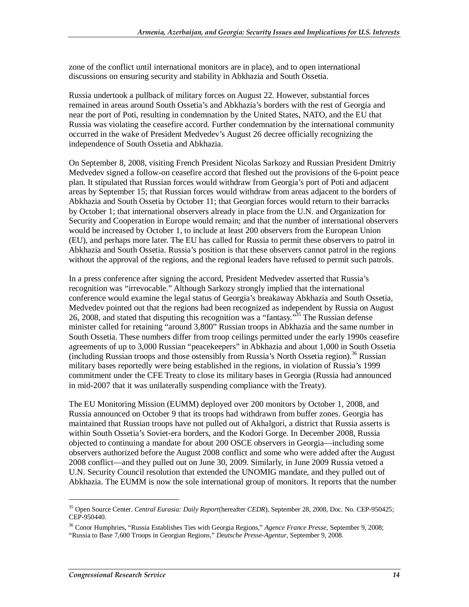zone of the conflict until international monitors are in place), and to open international discussions on ensuring security and stability in Abkhazia and South Ossetia.

Russia undertook a pullback of military forces on August 22. However, substantial forces remained in areas around South Ossetia's and Abkhazia's borders with the rest of Georgia and near the port of Poti, resulting in condemnation by the United States, NATO, and the EU that Russia was violating the ceasefire accord. Further condemnation by the international community occurred in the wake of President Medvedev's August 26 decree officially recognizing the independence of South Ossetia and Abkhazia.

On September 8, 2008, visiting French President Nicolas Sarkozy and Russian President Dmitriy Medvedev signed a follow-on ceasefire accord that fleshed out the provisions of the 6-point peace plan. It stipulated that Russian forces would withdraw from Georgia's port of Poti and adjacent areas by September 15; that Russian forces would withdraw from areas adjacent to the borders of Abkhazia and South Ossetia by October 11; that Georgian forces would return to their barracks by October 1; that international observers already in place from the U.N. and Organization for Security and Cooperation in Europe would remain; and that the number of international observers would be increased by October 1, to include at least 200 observers from the European Union (EU), and perhaps more later. The EU has called for Russia to permit these observers to patrol in Abkhazia and South Ossetia. Russia's position is that these observers cannot patrol in the regions without the approval of the regions, and the regional leaders have refused to permit such patrols.

In a press conference after signing the accord, President Medvedev asserted that Russia's recognition was "irrevocable." Although Sarkozy strongly implied that the international conference would examine the legal status of Georgia's breakaway Abkhazia and South Ossetia, Medvedev pointed out that the regions had been recognized as independent by Russia on August 26, 2008, and stated that disputing this recognition was a "fantasy."<sup>35</sup> The Russian defense minister called for retaining "around 3,800" Russian troops in Abkhazia and the same number in South Ossetia. These numbers differ from troop ceilings permitted under the early 1990s ceasefire agreements of up to 3,000 Russian "peacekeepers" in Abkhazia and about 1,000 in South Ossetia (including Russian troops and those ostensibly from Russia's North Ossetia region).<sup>36</sup> Russian military bases reportedly were being established in the regions, in violation of Russia's 1999 commitment under the CFE Treaty to close its military bases in Georgia (Russia had announced in mid-2007 that it was unilaterally suspending compliance with the Treaty).

The EU Monitoring Mission (EUMM) deployed over 200 monitors by October 1, 2008, and Russia announced on October 9 that its troops had withdrawn from buffer zones. Georgia has maintained that Russian troops have not pulled out of Akhalgori, a district that Russia asserts is within South Ossetia's Soviet-era borders, and the Kodori Gorge. In December 2008, Russia objected to continuing a mandate for about 200 OSCE observers in Georgia—including some observers authorized before the August 2008 conflict and some who were added after the August 2008 conflict—and they pulled out on June 30, 2009. Similarly, in June 2009 Russia vetoed a U.N. Security Council resolution that extended the UNOMIG mandate, and they pulled out of Abkhazia. The EUMM is now the sole international group of monitors. It reports that the number

<sup>35</sup> Open Source Center. *Central Eurasia: Daily Report*(hereafter *CEDR*), September 28, 2008, Doc. No. CEP-950425; CEP-950440.

<sup>36</sup> Conor Humphries, "Russia Establishes Ties with Georgia Regions," *Agence France Presse*, September 9, 2008; "Russia to Base 7,600 Troops in Georgian Regions," *Deutsche Presse-Agentur*, September 9, 2008.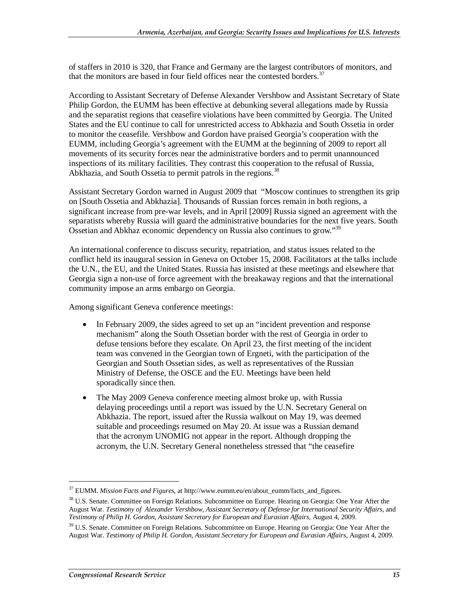of staffers in 2010 is 320, that France and Germany are the largest contributors of monitors, and that the monitors are based in four field offices near the contested borders.<sup>37</sup>

According to Assistant Secretary of Defense Alexander Vershbow and Assistant Secretary of State Philip Gordon, the EUMM has been effective at debunking several allegations made by Russia and the separatist regions that ceasefire violations have been committed by Georgia. The United States and the EU continue to call for unrestricted access to Abkhazia and South Ossetia in order to monitor the ceasefile. Vershbow and Gordon have praised Georgia's cooperation with the EUMM, including Georgia's agreement with the EUMM at the beginning of 2009 to report all movements of its security forces near the administrative borders and to permit unannounced inspections of its military facilities. They contrast this cooperation to the refusal of Russia, Abkhazia, and South Ossetia to permit patrols in the regions.<sup>38</sup>

Assistant Secretary Gordon warned in August 2009 that "Moscow continues to strengthen its grip on [South Ossetia and Abkhazia]. Thousands of Russian forces remain in both regions, a significant increase from pre-war levels, and in April [2009] Russia signed an agreement with the separatists whereby Russia will guard the administrative boundaries for the next five years. South Ossetian and Abkhaz economic dependency on Russia also continues to grow.<sup>339</sup>

An international conference to discuss security, repatriation, and status issues related to the conflict held its inaugural session in Geneva on October 15, 2008. Facilitators at the talks include the U.N., the EU, and the United States. Russia has insisted at these meetings and elsewhere that Georgia sign a non-use of force agreement with the breakaway regions and that the international community impose an arms embargo on Georgia.

Among significant Geneva conference meetings:

- In February 2009, the sides agreed to set up an "incident prevention and response" mechanism" along the South Ossetian border with the rest of Georgia in order to defuse tensions before they escalate. On April 23, the first meeting of the incident team was convened in the Georgian town of Ergneti, with the participation of the Georgian and South Ossetian sides, as well as representatives of the Russian Ministry of Defense, the OSCE and the EU. Meetings have been held sporadically since then.
- The May 2009 Geneva conference meeting almost broke up, with Russia delaying proceedings until a report was issued by the U.N. Secretary General on Abkhazia. The report, issued after the Russia walkout on May 19, was deemed suitable and proceedings resumed on May 20. At issue was a Russian demand that the acronym UNOMIG not appear in the report. Although dropping the acronym, the U.N. Secretary General nonetheless stressed that "the ceasefire

<sup>37</sup> EUMM. *Mission Facts and Figures*, at http://www.eumm.eu/en/about\_eumm/facts\_and\_figures.

<sup>&</sup>lt;sup>38</sup> U.S. Senate. Committee on Foreign Relations. Subcommittee on Europe. Hearing on Georgia: One Year After the August War. *Testimony of Alexander Vershbow, Assistant Secretary of Defense for International Security Affairs*, and *Testimony of Philip H. Gordon, Assistant Secretary for European and Eurasian Affairs*, August 4, 2009.

<sup>&</sup>lt;sup>39</sup> U.S. Senate. Committee on Foreign Relations. Subcommittee on Europe. Hearing on Georgia: One Year After the August War. *Testimony of Philip H. Gordon, Assistant Secretary for European and Eurasian Affairs*, August 4, 2009.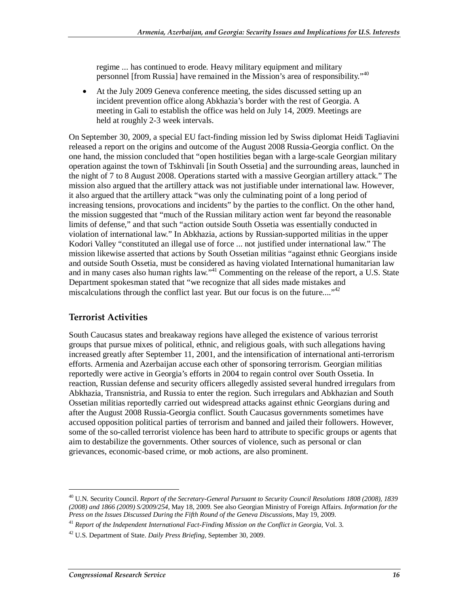regime ... has continued to erode. Heavy military equipment and military personnel [from Russia] have remained in the Mission's area of responsibility."40

• At the July 2009 Geneva conference meeting, the sides discussed setting up an incident prevention office along Abkhazia's border with the rest of Georgia. A meeting in Gali to establish the office was held on July 14, 2009. Meetings are held at roughly 2-3 week intervals.

On September 30, 2009, a special EU fact-finding mission led by Swiss diplomat Heidi Tagliavini released a report on the origins and outcome of the August 2008 Russia-Georgia conflict. On the one hand, the mission concluded that "open hostilities began with a large-scale Georgian military operation against the town of Tskhinvali [in South Ossetia] and the surrounding areas, launched in the night of 7 to 8 August 2008. Operations started with a massive Georgian artillery attack." The mission also argued that the artillery attack was not justifiable under international law. However, it also argued that the artillery attack "was only the culminating point of a long period of increasing tensions, provocations and incidents" by the parties to the conflict. On the other hand, the mission suggested that "much of the Russian military action went far beyond the reasonable limits of defense," and that such "action outside South Ossetia was essentially conducted in violation of international law." In Abkhazia, actions by Russian-supported militias in the upper Kodori Valley "constituted an illegal use of force ... not justified under international law." The mission likewise asserted that actions by South Ossetian militias "against ethnic Georgians inside and outside South Ossetia, must be considered as having violated International humanitarian law and in many cases also human rights law."<sup>41</sup> Commenting on the release of the report, a U.S. State Department spokesman stated that "we recognize that all sides made mistakes and miscalculations through the conflict last year. But our focus is on the future...."<sup>42</sup>

#### **Terrorist Activities**

South Caucasus states and breakaway regions have alleged the existence of various terrorist groups that pursue mixes of political, ethnic, and religious goals, with such allegations having increased greatly after September 11, 2001, and the intensification of international anti-terrorism efforts. Armenia and Azerbaijan accuse each other of sponsoring terrorism. Georgian militias reportedly were active in Georgia's efforts in 2004 to regain control over South Ossetia. In reaction, Russian defense and security officers allegedly assisted several hundred irregulars from Abkhazia, Transnistria, and Russia to enter the region. Such irregulars and Abkhazian and South Ossetian militias reportedly carried out widespread attacks against ethnic Georgians during and after the August 2008 Russia-Georgia conflict. South Caucasus governments sometimes have accused opposition political parties of terrorism and banned and jailed their followers. However, some of the so-called terrorist violence has been hard to attribute to specific groups or agents that aim to destabilize the governments. Other sources of violence, such as personal or clan grievances, economic-based crime, or mob actions, are also prominent.

<sup>40</sup> U.N. Security Council. *Report of the Secretary-General Pursuant to Security Council Resolutions 1808 (2008), 1839 (2008) and 1866 (2009) S/2009/254*, May 18, 2009. See also Georgian Ministry of Foreign Affairs. *Information for the* 

<sup>&</sup>lt;sup>41</sup> Report of the Independent International Fact-Finding Mission on the Conflict in Georgia, Vol. 3.

<sup>42</sup> U.S. Department of State. *Daily Press Briefing*, September 30, 2009.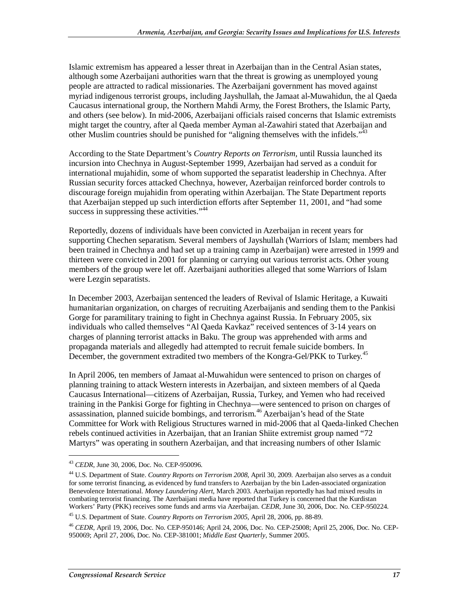Islamic extremism has appeared a lesser threat in Azerbaijan than in the Central Asian states, although some Azerbaijani authorities warn that the threat is growing as unemployed young people are attracted to radical missionaries. The Azerbaijani government has moved against myriad indigenous terrorist groups, including Jayshullah, the Jamaat al-Muwahidun, the al Qaeda Caucasus international group, the Northern Mahdi Army, the Forest Brothers, the Islamic Party, and others (see below). In mid-2006, Azerbaijani officials raised concerns that Islamic extremists might target the country, after al Qaeda member Ayman al-Zawahiri stated that Azerbaijan and other Muslim countries should be punished for "aligning themselves with the infidels."<sup>43</sup>

According to the State Department's *Country Reports on Terrorism,* until Russia launched its incursion into Chechnya in August-September 1999, Azerbaijan had served as a conduit for international mujahidin, some of whom supported the separatist leadership in Chechnya. After Russian security forces attacked Chechnya, however, Azerbaijan reinforced border controls to discourage foreign mujahidin from operating within Azerbaijan. The State Department reports that Azerbaijan stepped up such interdiction efforts after September 11, 2001, and "had some success in suppressing these activities."<sup>44</sup>

Reportedly, dozens of individuals have been convicted in Azerbaijan in recent years for supporting Chechen separatism. Several members of Jayshullah (Warriors of Islam; members had been trained in Chechnya and had set up a training camp in Azerbaijan) were arrested in 1999 and thirteen were convicted in 2001 for planning or carrying out various terrorist acts. Other young members of the group were let off. Azerbaijani authorities alleged that some Warriors of Islam were Lezgin separatists.

In December 2003, Azerbaijan sentenced the leaders of Revival of Islamic Heritage, a Kuwaiti humanitarian organization, on charges of recruiting Azerbaijanis and sending them to the Pankisi Gorge for paramilitary training to fight in Chechnya against Russia. In February 2005, six individuals who called themselves "Al Qaeda Kavkaz" received sentences of 3-14 years on charges of planning terrorist attacks in Baku. The group was apprehended with arms and propaganda materials and allegedly had attempted to recruit female suicide bombers. In December, the government extradited two members of the Kongra-Gel/PKK to Turkey.<sup>45</sup>

In April 2006, ten members of Jamaat al-Muwahidun were sentenced to prison on charges of planning training to attack Western interests in Azerbaijan, and sixteen members of al Qaeda Caucasus International—citizens of Azerbaijan, Russia, Turkey, and Yemen who had received training in the Pankisi Gorge for fighting in Chechnya—were sentenced to prison on charges of assassination, planned suicide bombings, and terrorism.<sup>46</sup> Azerbaijan's head of the State Committee for Work with Religious Structures warned in mid-2006 that al Qaeda-linked Chechen rebels continued activities in Azerbaijan, that an Iranian Shiite extremist group named "72 Martyrs" was operating in southern Azerbaijan, and that increasing numbers of other Islamic

<sup>43</sup> *CEDR*, June 30, 2006, Doc. No. CEP-950096.

<sup>44</sup> U.S. Department of State. *Country Reports on Terrorism 2008*, April 30, 2009. Azerbaijan also serves as a conduit for some terrorist financing, as evidenced by fund transfers to Azerbaijan by the bin Laden-associated organization Benevolence International. *Money Laundering Alert*, March 2003. Azerbaijan reportedly has had mixed results in combating terrorist financing. The Azerbaijani media have reported that Turkey is concerned that the Kurdistan Workers' Party (PKK) receives some funds and arms via Azerbaijan. *CEDR*, June 30, 2006, Doc. No. CEP-950224.

<sup>45</sup> U.S. Department of State. *Country Reports on Terrorism 2005*, April 28, 2006, pp. 88-89.

<sup>46</sup> *CEDR*, April 19, 2006, Doc. No. CEP-950146; April 24, 2006, Doc. No. CEP-25008; April 25, 2006, Doc. No. CEP-950069; April 27, 2006, Doc. No. CEP-381001; *Middle East Quarterly*, Summer 2005.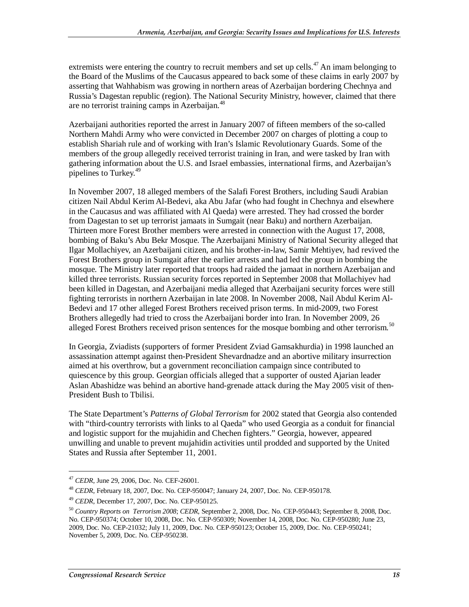extremists were entering the country to recruit members and set up cells.<sup>47</sup> An imam belonging to the Board of the Muslims of the Caucasus appeared to back some of these claims in early 2007 by asserting that Wahhabism was growing in northern areas of Azerbaijan bordering Chechnya and Russia's Dagestan republic (region). The National Security Ministry, however, claimed that there are no terrorist training camps in Azerbaijan.<sup>48</sup>

Azerbaijani authorities reported the arrest in January 2007 of fifteen members of the so-called Northern Mahdi Army who were convicted in December 2007 on charges of plotting a coup to establish Shariah rule and of working with Iran's Islamic Revolutionary Guards. Some of the members of the group allegedly received terrorist training in Iran, and were tasked by Iran with gathering information about the U.S. and Israel embassies, international firms, and Azerbaijan's pipelines to Turkey.<sup>49</sup>

In November 2007, 18 alleged members of the Salafi Forest Brothers, including Saudi Arabian citizen Nail Abdul Kerim Al-Bedevi, aka Abu Jafar (who had fought in Chechnya and elsewhere in the Caucasus and was affiliated with Al Qaeda) were arrested. They had crossed the border from Dagestan to set up terrorist jamaats in Sumgait (near Baku) and northern Azerbaijan. Thirteen more Forest Brother members were arrested in connection with the August 17, 2008, bombing of Baku's Abu Bekr Mosque. The Azerbaijani Ministry of National Security alleged that Ilgar Mollachiyev, an Azerbaijani citizen, and his brother-in-law, Samir Mehtiyev, had revived the Forest Brothers group in Sumgait after the earlier arrests and had led the group in bombing the mosque. The Ministry later reported that troops had raided the jamaat in northern Azerbaijan and killed three terrorists. Russian security forces reported in September 2008 that Mollachiyev had been killed in Dagestan, and Azerbaijani media alleged that Azerbaijani security forces were still fighting terrorists in northern Azerbaijan in late 2008. In November 2008, Nail Abdul Kerim Al-Bedevi and 17 other alleged Forest Brothers received prison terms. In mid-2009, two Forest Brothers allegedly had tried to cross the Azerbaijani border into Iran. In November 2009, 26 alleged Forest Brothers received prison sentences for the mosque bombing and other terrorism.<sup>50</sup>

In Georgia, Zviadists (supporters of former President Zviad Gamsakhurdia) in 1998 launched an assassination attempt against then-President Shevardnadze and an abortive military insurrection aimed at his overthrow, but a government reconciliation campaign since contributed to quiescence by this group. Georgian officials alleged that a supporter of ousted Ajarian leader Aslan Abashidze was behind an abortive hand-grenade attack during the May 2005 visit of then-President Bush to Tbilisi.

The State Department's *Patterns of Global Terrorism* for 2002 stated that Georgia also contended with "third-country terrorists with links to al Qaeda" who used Georgia as a conduit for financial and logistic support for the mujahidin and Chechen fighters." Georgia, however, appeared unwilling and unable to prevent mujahidin activities until prodded and supported by the United States and Russia after September 11, 2001.

<sup>&</sup>lt;sup>47</sup> *CEDR*, June 29, 2006, Doc. No. CEF-26001.<br><sup>48</sup> *CEDR*, February 18, 2007, Doc. No. CEP-950047; January 24, 2007, Doc. No. CEP-950178.

<sup>49</sup> *CEDR*, December 17, 2007, Doc. No. CEP-950125.

<sup>50</sup> *Country Reports on Terrorism 2008*; *CEDR*, September 2, 2008, Doc. No. CEP-950443; September 8, 2008, Doc. No. CEP-950374; October 10, 2008, Doc. No. CEP-950309; November 14, 2008, Doc. No. CEP-950280; June 23, 2009, Doc. No. CEP-21032; July 11, 2009, Doc. No. CEP-950123; October 15, 2009, Doc. No. CEP-950241; November 5, 2009, Doc. No. CEP-950238.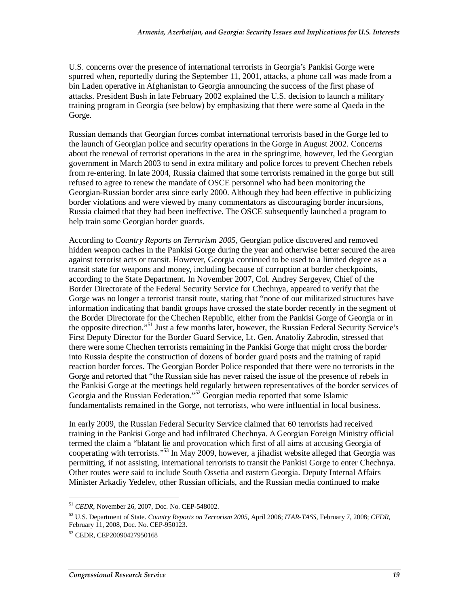U.S. concerns over the presence of international terrorists in Georgia's Pankisi Gorge were spurred when, reportedly during the September 11, 2001, attacks, a phone call was made from a bin Laden operative in Afghanistan to Georgia announcing the success of the first phase of attacks. President Bush in late February 2002 explained the U.S. decision to launch a military training program in Georgia (see below) by emphasizing that there were some al Qaeda in the Gorge.

Russian demands that Georgian forces combat international terrorists based in the Gorge led to the launch of Georgian police and security operations in the Gorge in August 2002. Concerns about the renewal of terrorist operations in the area in the springtime, however, led the Georgian government in March 2003 to send in extra military and police forces to prevent Chechen rebels from re-entering. In late 2004, Russia claimed that some terrorists remained in the gorge but still refused to agree to renew the mandate of OSCE personnel who had been monitoring the Georgian-Russian border area since early 2000. Although they had been effective in publicizing border violations and were viewed by many commentators as discouraging border incursions, Russia claimed that they had been ineffective. The OSCE subsequently launched a program to help train some Georgian border guards.

According to *Country Reports on Terrorism 2005*, Georgian police discovered and removed hidden weapon caches in the Pankisi Gorge during the year and otherwise better secured the area against terrorist acts or transit. However, Georgia continued to be used to a limited degree as a transit state for weapons and money, including because of corruption at border checkpoints, according to the State Department. In November 2007, Col. Andrey Sergeyev, Chief of the Border Directorate of the Federal Security Service for Chechnya, appeared to verify that the Gorge was no longer a terrorist transit route, stating that "none of our militarized structures have information indicating that bandit groups have crossed the state border recently in the segment of the Border Directorate for the Chechen Republic, either from the Pankisi Gorge of Georgia or in the opposite direction."51 Just a few months later, however, the Russian Federal Security Service's First Deputy Director for the Border Guard Service, Lt. Gen. Anatoliy Zabrodin, stressed that there were some Chechen terrorists remaining in the Pankisi Gorge that might cross the border into Russia despite the construction of dozens of border guard posts and the training of rapid reaction border forces. The Georgian Border Police responded that there were no terrorists in the Gorge and retorted that "the Russian side has never raised the issue of the presence of rebels in the Pankisi Gorge at the meetings held regularly between representatives of the border services of Georgia and the Russian Federation."<sup>52</sup> Georgian media reported that some Islamic fundamentalists remained in the Gorge, not terrorists, who were influential in local business.

In early 2009, the Russian Federal Security Service claimed that 60 terrorists had received training in the Pankisi Gorge and had infiltrated Chechnya. A Georgian Foreign Ministry official termed the claim a "blatant lie and provocation which first of all aims at accusing Georgia of cooperating with terrorists."<sup>53</sup> In May 2009, however, a jihadist website alleged that Georgia was permitting, if not assisting, international terrorists to transit the Pankisi Gorge to enter Chechnya. Other routes were said to include South Ossetia and eastern Georgia. Deputy Internal Affairs Minister Arkadiy Yedelev, other Russian officials, and the Russian media continued to make

<sup>51</sup> *CEDR*, November 26, 2007, Doc. No. CEP-548002.

<sup>52</sup> U.S. Department of State. *Country Reports on Terrorism 2005*, April 2006; *ITAR-TASS*, February 7, 2008; *CEDR*, February 11, 2008, Doc. No. CEP-950123.

<sup>53</sup> CEDR, CEP20090427950168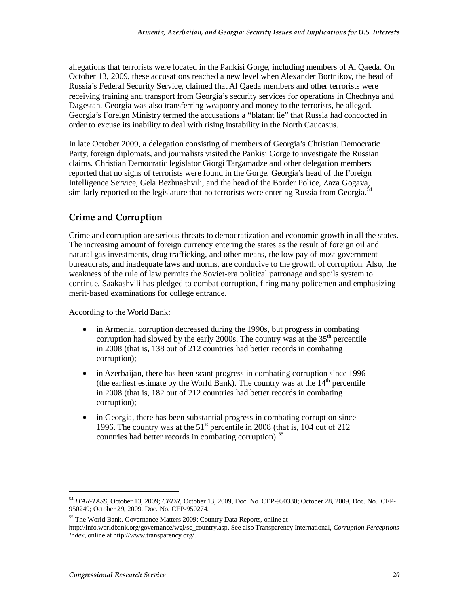allegations that terrorists were located in the Pankisi Gorge, including members of Al Qaeda. On October 13, 2009, these accusations reached a new level when Alexander Bortnikov, the head of Russia's Federal Security Service, claimed that Al Qaeda members and other terrorists were receiving training and transport from Georgia's security services for operations in Chechnya and Dagestan. Georgia was also transferring weaponry and money to the terrorists, he alleged. Georgia's Foreign Ministry termed the accusations a "blatant lie" that Russia had concocted in order to excuse its inability to deal with rising instability in the North Caucasus.

In late October 2009, a delegation consisting of members of Georgia's Christian Democratic Party, foreign diplomats, and journalists visited the Pankisi Gorge to investigate the Russian claims. Christian Democratic legislator Giorgi Targamadze and other delegation members reported that no signs of terrorists were found in the Gorge. Georgia's head of the Foreign Intelligence Service, Gela Bezhuashvili, and the head of the Border Police, Zaza Gogava, similarly reported to the legislature that no terrorists were entering Russia from Georgia.<sup>54</sup>

#### **Crime and Corruption**

Crime and corruption are serious threats to democratization and economic growth in all the states. The increasing amount of foreign currency entering the states as the result of foreign oil and natural gas investments, drug trafficking, and other means, the low pay of most government bureaucrats, and inadequate laws and norms, are conducive to the growth of corruption. Also, the weakness of the rule of law permits the Soviet-era political patronage and spoils system to continue. Saakashvili has pledged to combat corruption, firing many policemen and emphasizing merit-based examinations for college entrance.

According to the World Bank:

- in Armenia, corruption decreased during the 1990s, but progress in combating corruption had slowed by the early 2000s. The country was at the  $35<sup>th</sup>$  percentile in 2008 (that is, 138 out of 212 countries had better records in combating corruption);
- in Azerbaijan, there has been scant progress in combating corruption since 1996 (the earliest estimate by the World Bank). The country was at the  $14<sup>th</sup>$  percentile in 2008 (that is, 182 out of 212 countries had better records in combating corruption);
- in Georgia, there has been substantial progress in combating corruption since 1996. The country was at the  $51<sup>st</sup>$  percentile in 2008 (that is, 104 out of 212) countries had better records in combating corruption).<sup>55</sup>

<sup>54</sup> *ITAR-TASS*, October 13, 2009; *CEDR*, October 13, 2009, Doc. No. CEP-950330; October 28, 2009, Doc. No. CEP-950249; October 29, 2009, Doc. No. CEP-950274.

<sup>55</sup> The World Bank. Governance Matters 2009: Country Data Reports, online at

http://info.worldbank.org/governance/wgi/sc\_country.asp. See also Transparency International, *Corruption Perceptions Index*, online at http://www.transparency.org/.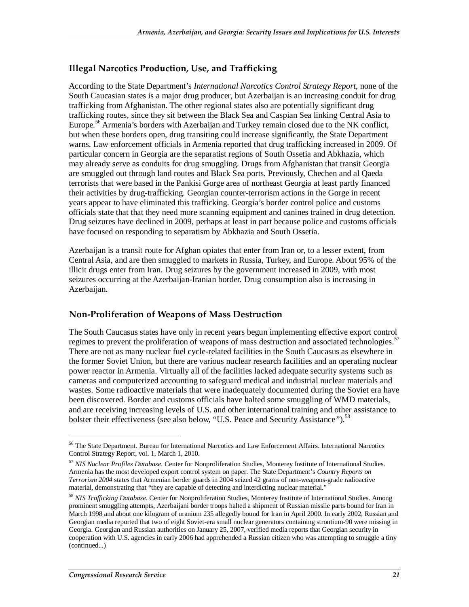#### **Illegal Narcotics Production, Use, and Trafficking**

According to the State Department's *International Narcotics Control Strategy Report*, none of the South Caucasian states is a major drug producer, but Azerbaijan is an increasing conduit for drug trafficking from Afghanistan. The other regional states also are potentially significant drug trafficking routes, since they sit between the Black Sea and Caspian Sea linking Central Asia to Europe.<sup>56</sup> Armenia's borders with Azerbaijan and Turkey remain closed due to the NK conflict, but when these borders open, drug transiting could increase significantly, the State Department warns. Law enforcement officials in Armenia reported that drug trafficking increased in 2009. Of particular concern in Georgia are the separatist regions of South Ossetia and Abkhazia, which may already serve as conduits for drug smuggling. Drugs from Afghanistan that transit Georgia are smuggled out through land routes and Black Sea ports. Previously, Chechen and al Qaeda terrorists that were based in the Pankisi Gorge area of northeast Georgia at least partly financed their activities by drug-trafficking. Georgian counter-terrorism actions in the Gorge in recent years appear to have eliminated this trafficking. Georgia's border control police and customs officials state that that they need more scanning equipment and canines trained in drug detection. Drug seizures have declined in 2009, perhaps at least in part because police and customs officials have focused on responding to separatism by Abkhazia and South Ossetia.

Azerbaijan is a transit route for Afghan opiates that enter from Iran or, to a lesser extent, from Central Asia, and are then smuggled to markets in Russia, Turkey, and Europe. About 95% of the illicit drugs enter from Iran. Drug seizures by the government increased in 2009, with most seizures occurring at the Azerbaijan-Iranian border. Drug consumption also is increasing in Azerbaijan.

#### **Non-Proliferation of Weapons of Mass Destruction**

The South Caucasus states have only in recent years begun implementing effective export control regimes to prevent the proliferation of weapons of mass destruction and associated technologies.<sup>57</sup> There are not as many nuclear fuel cycle-related facilities in the South Caucasus as elsewhere in the former Soviet Union, but there are various nuclear research facilities and an operating nuclear power reactor in Armenia. Virtually all of the facilities lacked adequate security systems such as cameras and computerized accounting to safeguard medical and industrial nuclear materials and wastes. Some radioactive materials that were inadequately documented during the Soviet era have been discovered. Border and customs officials have halted some smuggling of WMD materials, and are receiving increasing levels of U.S. and other international training and other assistance to bolster their effectiveness (see also below, "U.S. Peace and Security Assistance*"*).<sup>58</sup>

<sup>56</sup> The State Department. Bureau for International Narcotics and Law Enforcement Affairs. International Narcotics Control Strategy Report, vol. 1, March 1, 2010.

<sup>57</sup> *NIS Nuclear Profiles Database*. Center for Nonproliferation Studies, Monterey Institute of International Studies. Armenia has the most developed export control system on paper. The State Department's *Country Reports on Terrorism 2004* states that Armenian border guards in 2004 seized 42 grams of non-weapons-grade radioactive material, demonstrating that "they are capable of detecting and interdicting nuclear material."

<sup>58</sup> *NIS Trafficking Database*. Center for Nonproliferation Studies, Monterey Institute of International Studies. Among prominent smuggling attempts, Azerbaijani border troops halted a shipment of Russian missile parts bound for Iran in March 1998 and about one kilogram of uranium 235 allegedly bound for Iran in April 2000. In early 2002, Russian and Georgian media reported that two of eight Soviet-era small nuclear generators containing strontium-90 were missing in Georgia. Georgian and Russian authorities on January 25, 2007, verified media reports that Georgian security in cooperation with U.S. agencies in early 2006 had apprehended a Russian citizen who was attempting to smuggle a tiny (continued...)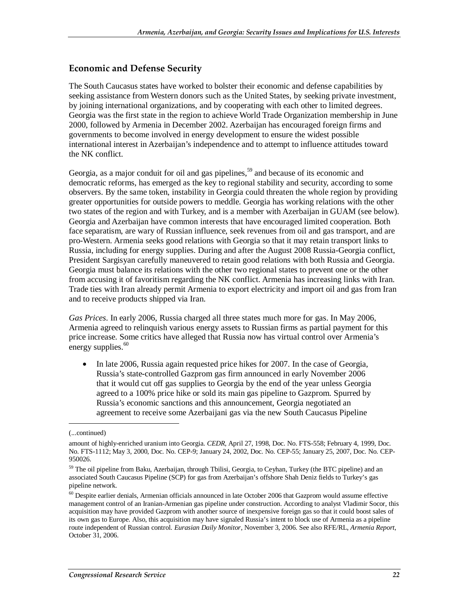#### **Economic and Defense Security**

The South Caucasus states have worked to bolster their economic and defense capabilities by seeking assistance from Western donors such as the United States, by seeking private investment, by joining international organizations, and by cooperating with each other to limited degrees. Georgia was the first state in the region to achieve World Trade Organization membership in June 2000, followed by Armenia in December 2002. Azerbaijan has encouraged foreign firms and governments to become involved in energy development to ensure the widest possible international interest in Azerbaijan's independence and to attempt to influence attitudes toward the NK conflict.

Georgia, as a major conduit for oil and gas pipelines,<sup>59</sup> and because of its economic and democratic reforms, has emerged as the key to regional stability and security, according to some observers. By the same token, instability in Georgia could threaten the whole region by providing greater opportunities for outside powers to meddle. Georgia has working relations with the other two states of the region and with Turkey, and is a member with Azerbaijan in GUAM (see below). Georgia and Azerbaijan have common interests that have encouraged limited cooperation. Both face separatism, are wary of Russian influence, seek revenues from oil and gas transport, and are pro-Western. Armenia seeks good relations with Georgia so that it may retain transport links to Russia, including for energy supplies. During and after the August 2008 Russia-Georgia conflict, President Sargisyan carefully maneuvered to retain good relations with both Russia and Georgia. Georgia must balance its relations with the other two regional states to prevent one or the other from accusing it of favoritism regarding the NK conflict. Armenia has increasing links with Iran. Trade ties with Iran already permit Armenia to export electricity and import oil and gas from Iran and to receive products shipped via Iran.

*Gas Prices*. In early 2006, Russia charged all three states much more for gas. In May 2006, Armenia agreed to relinquish various energy assets to Russian firms as partial payment for this price increase. Some critics have alleged that Russia now has virtual control over Armenia's energy supplies. $60$ 

• In late 2006, Russia again requested price hikes for 2007. In the case of Georgia, Russia's state-controlled Gazprom gas firm announced in early November 2006 that it would cut off gas supplies to Georgia by the end of the year unless Georgia agreed to a 100% price hike or sold its main gas pipeline to Gazprom. Spurred by Russia's economic sanctions and this announcement, Georgia negotiated an agreement to receive some Azerbaijani gas via the new South Caucasus Pipeline

<sup>(...</sup>continued)

amount of highly-enriched uranium into Georgia. *CEDR,* April 27, 1998, Doc. No. FTS-558; February 4, 1999, Doc. No. FTS-1112; May 3, 2000, Doc. No. CEP-9; January 24, 2002, Doc. No. CEP-55; January 25, 2007, Doc. No. CEP-950026.

<sup>&</sup>lt;sup>59</sup> The oil pipeline from Baku, Azerbaijan, through Tbilisi, Georgia, to Ceyhan, Turkey (the BTC pipeline) and an associated South Caucasus Pipeline (SCP) for gas from Azerbaijan's offshore Shah Deniz fields to Turkey's gas pipeline network.

 $60$  Despite earlier denials, Armenian officials announced in late October 2006 that Gazprom would assume effective management control of an Iranian-Armenian gas pipeline under construction. According to analyst Vladimir Socor, this acquisition may have provided Gazprom with another source of inexpensive foreign gas so that it could boost sales of its own gas to Europe. Also, this acquisition may have signaled Russia's intent to block use of Armenia as a pipeline route independent of Russian control. *Eurasian Daily Monitor*, November 3, 2006. See also RFE/RL, *Armenia Report*, October 31, 2006.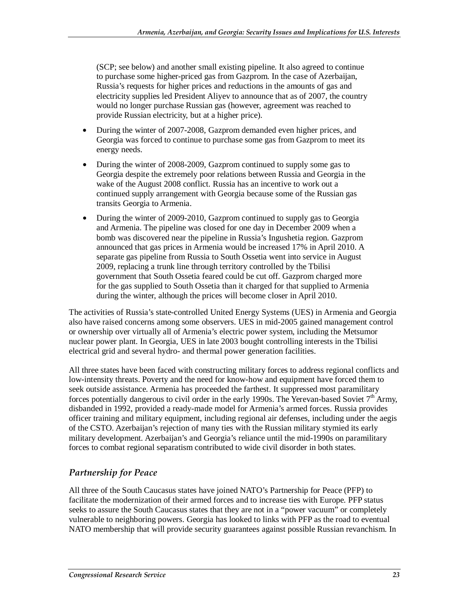(SCP; see below) and another small existing pipeline. It also agreed to continue to purchase some higher-priced gas from Gazprom. In the case of Azerbaijan, Russia's requests for higher prices and reductions in the amounts of gas and electricity supplies led President Aliyev to announce that as of 2007, the country would no longer purchase Russian gas (however, agreement was reached to provide Russian electricity, but at a higher price).

- During the winter of 2007-2008, Gazprom demanded even higher prices, and Georgia was forced to continue to purchase some gas from Gazprom to meet its energy needs.
- During the winter of 2008-2009, Gazprom continued to supply some gas to Georgia despite the extremely poor relations between Russia and Georgia in the wake of the August 2008 conflict. Russia has an incentive to work out a continued supply arrangement with Georgia because some of the Russian gas transits Georgia to Armenia.
- During the winter of 2009-2010, Gazprom continued to supply gas to Georgia and Armenia. The pipeline was closed for one day in December 2009 when a bomb was discovered near the pipeline in Russia's Ingushetia region. Gazprom announced that gas prices in Armenia would be increased 17% in April 2010. A separate gas pipeline from Russia to South Ossetia went into service in August 2009, replacing a trunk line through territory controlled by the Tbilisi government that South Ossetia feared could be cut off. Gazprom charged more for the gas supplied to South Ossetia than it charged for that supplied to Armenia during the winter, although the prices will become closer in April 2010.

The activities of Russia's state-controlled United Energy Systems (UES) in Armenia and Georgia also have raised concerns among some observers. UES in mid-2005 gained management control or ownership over virtually all of Armenia's electric power system, including the Metsumor nuclear power plant. In Georgia, UES in late 2003 bought controlling interests in the Tbilisi electrical grid and several hydro- and thermal power generation facilities.

All three states have been faced with constructing military forces to address regional conflicts and low-intensity threats. Poverty and the need for know-how and equipment have forced them to seek outside assistance. Armenia has proceeded the farthest. It suppressed most paramilitary forces potentially dangerous to civil order in the early 1990s. The Yerevan-based Soviet  $7<sup>th</sup>$  Army, disbanded in 1992, provided a ready-made model for Armenia's armed forces. Russia provides officer training and military equipment, including regional air defenses, including under the aegis of the CSTO. Azerbaijan's rejection of many ties with the Russian military stymied its early military development. Azerbaijan's and Georgia's reliance until the mid-1990s on paramilitary forces to combat regional separatism contributed to wide civil disorder in both states.

#### *Partnership for Peace*

All three of the South Caucasus states have joined NATO's Partnership for Peace (PFP) to facilitate the modernization of their armed forces and to increase ties with Europe. PFP status seeks to assure the South Caucasus states that they are not in a "power vacuum" or completely vulnerable to neighboring powers. Georgia has looked to links with PFP as the road to eventual NATO membership that will provide security guarantees against possible Russian revanchism. In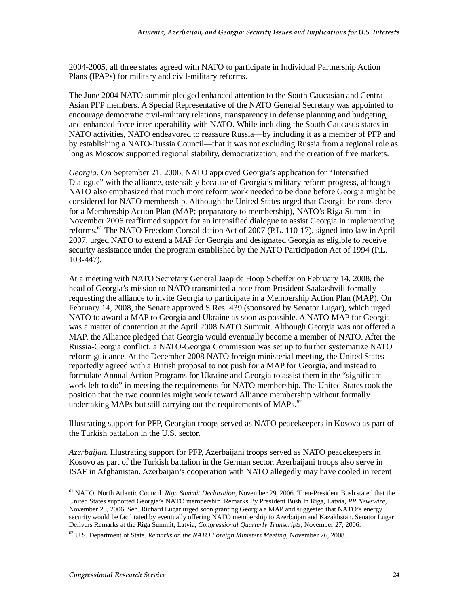2004-2005, all three states agreed with NATO to participate in Individual Partnership Action Plans (IPAPs) for military and civil-military reforms.

The June 2004 NATO summit pledged enhanced attention to the South Caucasian and Central Asian PFP members. A Special Representative of the NATO General Secretary was appointed to encourage democratic civil-military relations, transparency in defense planning and budgeting, and enhanced force inter-operability with NATO. While including the South Caucasus states in NATO activities, NATO endeavored to reassure Russia—by including it as a member of PFP and by establishing a NATO-Russia Council—that it was not excluding Russia from a regional role as long as Moscow supported regional stability, democratization, and the creation of free markets.

*Georgia.* On September 21, 2006, NATO approved Georgia's application for "Intensified Dialogue" with the alliance, ostensibly because of Georgia's military reform progress, although NATO also emphasized that much more reform work needed to be done before Georgia might be considered for NATO membership. Although the United States urged that Georgia be considered for a Membership Action Plan (MAP; preparatory to membership), NATO's Riga Summit in November 2006 reaffirmed support for an intensified dialogue to assist Georgia in implementing reforms.<sup>61</sup> The NATO Freedom Consolidation Act of 2007 (P.L. 110-17), signed into law in April 2007, urged NATO to extend a MAP for Georgia and designated Georgia as eligible to receive security assistance under the program established by the NATO Participation Act of 1994 (P.L. 103-447).

At a meeting with NATO Secretary General Jaap de Hoop Scheffer on February 14, 2008, the head of Georgia's mission to NATO transmitted a note from President Saakashvili formally requesting the alliance to invite Georgia to participate in a Membership Action Plan (MAP). On February 14, 2008, the Senate approved S.Res. 439 (sponsored by Senator Lugar), which urged NATO to award a MAP to Georgia and Ukraine as soon as possible. A NATO MAP for Georgia was a matter of contention at the April 2008 NATO Summit. Although Georgia was not offered a MAP, the Alliance pledged that Georgia would eventually become a member of NATO. After the Russia-Georgia conflict, a NATO-Georgia Commission was set up to further systematize NATO reform guidance. At the December 2008 NATO foreign ministerial meeting, the United States reportedly agreed with a British proposal to not push for a MAP for Georgia, and instead to formulate Annual Action Programs for Ukraine and Georgia to assist them in the "significant work left to do" in meeting the requirements for NATO membership. The United States took the position that the two countries might work toward Alliance membership without formally undertaking MAPs but still carrying out the requirements of MAPs.<sup>62</sup>

Illustrating support for PFP, Georgian troops served as NATO peacekeepers in Kosovo as part of the Turkish battalion in the U.S. sector.

*Azerbaijan.* Illustrating support for PFP, Azerbaijani troops served as NATO peacekeepers in Kosovo as part of the Turkish battalion in the German sector. Azerbaijani troops also serve in ISAF in Afghanistan. Azerbaijan's cooperation with NATO allegedly may have cooled in recent

<sup>61</sup> NATO. North Atlantic Council. *Riga Summit Declaration*, November 29, 2006. Then-President Bush stated that the United States supported Georgia's NATO membership. Remarks By President Bush In Riga, Latvia, *PR Newswire*, November 28, 2006. Sen. Richard Lugar urged soon granting Georgia a MAP and suggested that NATO's energy security would be facilitated by eventually offering NATO membership to Azerbaijan and Kazakhstan. Senator Lugar Delivers Remarks at the Riga Summit, Latvia, *Congressional Quarterly Transcripts*, November 27, 2006.

<sup>62</sup> U.S. Department of State. *Remarks on the NATO Foreign Ministers Meeting*, November 26, 2008.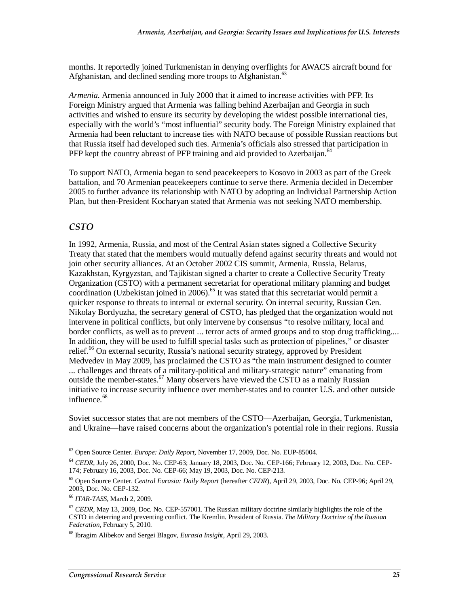months. It reportedly joined Turkmenistan in denying overflights for AWACS aircraft bound for Afghanistan, and declined sending more troops to Afghanistan.<sup>63</sup>

*Armenia.* Armenia announced in July 2000 that it aimed to increase activities with PFP. Its Foreign Ministry argued that Armenia was falling behind Azerbaijan and Georgia in such activities and wished to ensure its security by developing the widest possible international ties, especially with the world's "most influential" security body. The Foreign Ministry explained that Armenia had been reluctant to increase ties with NATO because of possible Russian reactions but that Russia itself had developed such ties. Armenia's officials also stressed that participation in PFP kept the country abreast of PFP training and aid provided to Azerbaijan.<sup>64</sup>

To support NATO, Armenia began to send peacekeepers to Kosovo in 2003 as part of the Greek battalion, and 70 Armenian peacekeepers continue to serve there. Armenia decided in December 2005 to further advance its relationship with NATO by adopting an Individual Partnership Action Plan, but then-President Kocharyan stated that Armenia was not seeking NATO membership.

#### *CSTO*

In 1992, Armenia, Russia, and most of the Central Asian states signed a Collective Security Treaty that stated that the members would mutually defend against security threats and would not join other security alliances. At an October 2002 CIS summit, Armenia, Russia, Belarus, Kazakhstan, Kyrgyzstan, and Tajikistan signed a charter to create a Collective Security Treaty Organization (CSTO) with a permanent secretariat for operational military planning and budget coordination (Uzbekistan joined in 2006).<sup>65</sup> It was stated that this secretariat would permit a quicker response to threats to internal or external security. On internal security, Russian Gen. Nikolay Bordyuzha, the secretary general of CSTO, has pledged that the organization would not intervene in political conflicts, but only intervene by consensus "to resolve military, local and border conflicts, as well as to prevent ... terror acts of armed groups and to stop drug trafficking.... In addition, they will be used to fulfill special tasks such as protection of pipelines," or disaster relief.<sup>66</sup> On external security, Russia's national security strategy, approved by President Medvedev in May 2009, has proclaimed the CSTO as "the main instrument designed to counter ... challenges and threats of a military-political and military-strategic nature" emanating from outside the member-states.<sup>67</sup> Many observers have viewed the CSTO as a mainly Russian initiative to increase security influence over member-states and to counter U.S. and other outside influence.<sup>68</sup>

Soviet successor states that are not members of the CSTO—Azerbaijan, Georgia, Turkmenistan, and Ukraine—have raised concerns about the organization's potential role in their regions. Russia

<sup>63</sup> Open Source Center. *Europe: Daily Report*, November 17, 2009, Doc. No. EUP-85004.

<sup>64</sup> *CEDR*, July 26, 2000, Doc. No. CEP-63; January 18, 2003, Doc. No. CEP-166; February 12, 2003, Doc. No. CEP-174; February 16, 2003, Doc. No. CEP-66; May 19, 2003, Doc. No. CEP-213.

<sup>65</sup> Open Source Center. *Central Eurasia: Daily Report* (hereafter *CEDR*), April 29, 2003, Doc. No. CEP-96; April 29, 2003, Doc. No. CEP-132.

<sup>66</sup> *ITAR-TASS*, March 2, 2009.

<sup>&</sup>lt;sup>67</sup> *CEDR*, May 13, 2009, Doc. No. CEP-557001. The Russian military doctrine similarly highlights the role of the CSTO in deterring and preventing conflict. The Kremlin. President of Russia. *The Military Doctrine of the Russian Federation*, February 5, 2010.

<sup>68</sup> Ibragim Alibekov and Sergei Blagov, *Eurasia Insight*, April 29, 2003.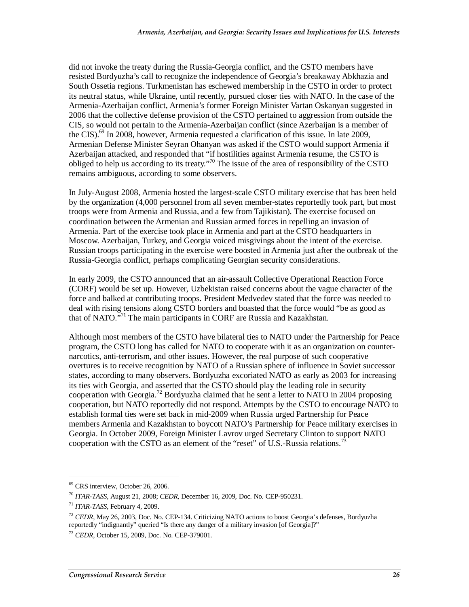did not invoke the treaty during the Russia-Georgia conflict, and the CSTO members have resisted Bordyuzha's call to recognize the independence of Georgia's breakaway Abkhazia and South Ossetia regions. Turkmenistan has eschewed membership in the CSTO in order to protect its neutral status, while Ukraine, until recently, pursued closer ties with NATO. In the case of the Armenia-Azerbaijan conflict, Armenia's former Foreign Minister Vartan Oskanyan suggested in 2006 that the collective defense provision of the CSTO pertained to aggression from outside the CIS, so would not pertain to the Armenia-Azerbaijan conflict (since Azerbaijan is a member of the CIS).<sup>69</sup> In 2008, however, Armenia requested a clarification of this issue. In late 2009, Armenian Defense Minister Seyran Ohanyan was asked if the CSTO would support Armenia if Azerbaijan attacked, and responded that "if hostilities against Armenia resume, the CSTO is obliged to help us according to its treaty."70 The issue of the area of responsibility of the CSTO remains ambiguous, according to some observers.

In July-August 2008, Armenia hosted the largest-scale CSTO military exercise that has been held by the organization (4,000 personnel from all seven member-states reportedly took part, but most troops were from Armenia and Russia, and a few from Tajikistan). The exercise focused on coordination between the Armenian and Russian armed forces in repelling an invasion of Armenia. Part of the exercise took place in Armenia and part at the CSTO headquarters in Moscow. Azerbaijan, Turkey, and Georgia voiced misgivings about the intent of the exercise. Russian troops participating in the exercise were boosted in Armenia just after the outbreak of the Russia-Georgia conflict, perhaps complicating Georgian security considerations.

In early 2009, the CSTO announced that an air-assault Collective Operational Reaction Force (CORF) would be set up. However, Uzbekistan raised concerns about the vague character of the force and balked at contributing troops. President Medvedev stated that the force was needed to deal with rising tensions along CSTO borders and boasted that the force would "be as good as that of NATO.<sup>571</sup> The main participants in CORF are Russia and Kazakhstan.

Although most members of the CSTO have bilateral ties to NATO under the Partnership for Peace program, the CSTO long has called for NATO to cooperate with it as an organization on counternarcotics, anti-terrorism, and other issues. However, the real purpose of such cooperative overtures is to receive recognition by NATO of a Russian sphere of influence in Soviet successor states, according to many observers. Bordyuzha excoriated NATO as early as 2003 for increasing its ties with Georgia, and asserted that the CSTO should play the leading role in security cooperation with Georgia.<sup>72</sup> Bordyuzha claimed that he sent a letter to NATO in 2004 proposing cooperation, but NATO reportedly did not respond. Attempts by the CSTO to encourage NATO to establish formal ties were set back in mid-2009 when Russia urged Partnership for Peace members Armenia and Kazakhstan to boycott NATO's Partnership for Peace military exercises in Georgia. In October 2009, Foreign Minister Lavrov urged Secretary Clinton to support NATO cooperation with the CSTO as an element of the "reset" of U.S.-Russia relations.<sup>73</sup>

<sup>69</sup> CRS interview, October 26, 2006.

<sup>70</sup> *ITAR-TASS*, August 21, 2008; *CEDR*, December 16, 2009, Doc. No. CEP-950231.

<sup>71</sup> *ITAR-TASS*, February 4, 2009.

<sup>72</sup> *CEDR*, May 26, 2003, Doc. No. CEP-134. Criticizing NATO actions to boost Georgia's defenses, Bordyuzha reportedly "indignantly" queried "Is there any danger of a military invasion [of Georgia]?"

<sup>73</sup> *CEDR*, October 15, 2009, Doc. No. CEP-379001.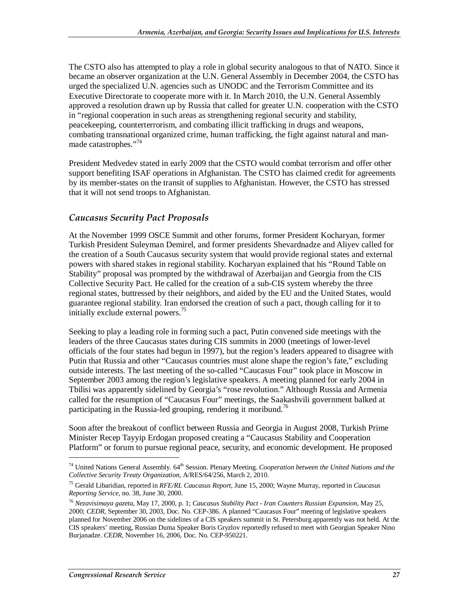The CSTO also has attempted to play a role in global security analogous to that of NATO. Since it became an observer organization at the U.N. General Assembly in December 2004, the CSTO has urged the specialized U.N. agencies such as UNODC and the Terrorism Committee and its Executive Directorate to cooperate more with it. In March 2010, the U.N. General Assembly approved a resolution drawn up by Russia that called for greater U.N. cooperation with the CSTO in "regional cooperation in such areas as strengthening regional security and stability, peacekeeping, counterterrorism, and combating illicit trafficking in drugs and weapons, combating transnational organized crime, human trafficking, the fight against natural and manmade catastrophes."74

President Medvedev stated in early 2009 that the CSTO would combat terrorism and offer other support benefiting ISAF operations in Afghanistan. The CSTO has claimed credit for agreements by its member-states on the transit of supplies to Afghanistan. However, the CSTO has stressed that it will not send troops to Afghanistan.

#### *Caucasus Security Pact Proposals*

At the November 1999 OSCE Summit and other forums, former President Kocharyan, former Turkish President Suleyman Demirel, and former presidents Shevardnadze and Aliyev called for the creation of a South Caucasus security system that would provide regional states and external powers with shared stakes in regional stability. Kocharyan explained that his "Round Table on Stability" proposal was prompted by the withdrawal of Azerbaijan and Georgia from the CIS Collective Security Pact. He called for the creation of a sub-CIS system whereby the three regional states, buttressed by their neighbors, and aided by the EU and the United States, would guarantee regional stability. Iran endorsed the creation of such a pact, though calling for it to initially exclude external powers.<sup>75</sup>

Seeking to play a leading role in forming such a pact, Putin convened side meetings with the leaders of the three Caucasus states during CIS summits in 2000 (meetings of lower-level officials of the four states had begun in 1997), but the region's leaders appeared to disagree with Putin that Russia and other "Caucasus countries must alone shape the region's fate," excluding outside interests. The last meeting of the so-called "Caucasus Four" took place in Moscow in September 2003 among the region's legislative speakers. A meeting planned for early 2004 in Tbilisi was apparently sidelined by Georgia's "rose revolution." Although Russia and Armenia called for the resumption of "Caucasus Four" meetings, the Saakashvili government balked at participating in the Russia-led grouping, rendering it moribund.<sup>76</sup>

Soon after the breakout of conflict between Russia and Georgia in August 2008, Turkish Prime Minister Recep Tayyip Erdogan proposed creating a "Caucasus Stability and Cooperation Platform" or forum to pursue regional peace, security, and economic development. He proposed

 $74$  United Nations General Assembly.  $64<sup>th</sup>$  Session. Plenary Meeting. *Cooperation between the United Nations and the Collective Security Treaty Organization*, A/RES/64/256, March 2, 2010.

<sup>75</sup> Gerald Libaridian, reported in *RFE/RL Caucasus Report*, June 15, 2000; Wayne Murray, reported in *Caucasus Reporting Service*, no. 38, June 30, 2000.

<sup>76</sup> *Nezavisimaya gazeta*, May 17, 2000, p. 1; *Caucasus Stability Pact - Iran Counters Russian Expansion*, May 25, 2000; *CEDR*, September 30, 2003, Doc. No. CEP-386. A planned "Caucasus Four" meeting of legislative speakers planned for November 2006 on the sidelines of a CIS speakers summit in St. Petersburg apparently was not held. At the CIS speakers' meeting, Russian Duma Speaker Boris Gryzlov reportedly refused to meet with Georgian Speaker Nino Burjanadze. *CEDR*, November 16, 2006, Doc. No. CEP-950221.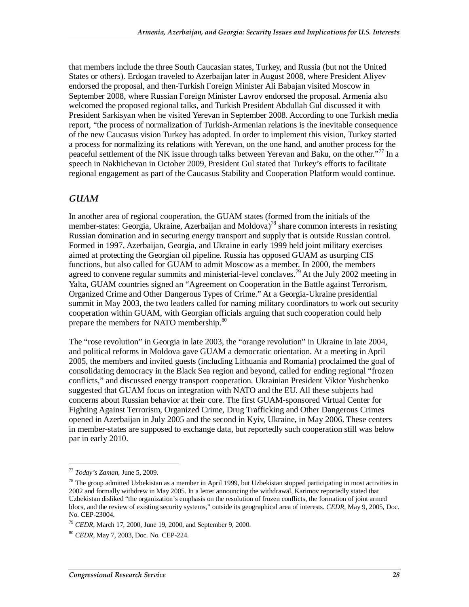that members include the three South Caucasian states, Turkey, and Russia (but not the United States or others). Erdogan traveled to Azerbaijan later in August 2008, where President Aliyev endorsed the proposal, and then-Turkish Foreign Minister Ali Babajan visited Moscow in September 2008, where Russian Foreign Minister Lavrov endorsed the proposal. Armenia also welcomed the proposed regional talks, and Turkish President Abdullah Gul discussed it with President Sarkisyan when he visited Yerevan in September 2008. According to one Turkish media report, "the process of normalization of Turkish-Armenian relations is the inevitable consequence of the new Caucasus vision Turkey has adopted. In order to implement this vision, Turkey started a process for normalizing its relations with Yerevan, on the one hand, and another process for the peaceful settlement of the NK issue through talks between Yerevan and Baku, on the other."77 In a speech in Nakhichevan in October 2009, President Gul stated that Turkey's efforts to facilitate regional engagement as part of the Caucasus Stability and Cooperation Platform would continue.

#### *GUAM*

In another area of regional cooperation, the GUAM states (formed from the initials of the member-states: Georgia, Ukraine, Azerbaijan and Moldova)<sup>78</sup> share common interests in resisting Russian domination and in securing energy transport and supply that is outside Russian control. Formed in 1997, Azerbaijan, Georgia, and Ukraine in early 1999 held joint military exercises aimed at protecting the Georgian oil pipeline. Russia has opposed GUAM as usurping CIS functions, but also called for GUAM to admit Moscow as a member. In 2000, the members agreed to convene regular summits and ministerial-level conclaves.<sup>79</sup> At the July 2002 meeting in Yalta, GUAM countries signed an "Agreement on Cooperation in the Battle against Terrorism, Organized Crime and Other Dangerous Types of Crime." At a Georgia-Ukraine presidential summit in May 2003, the two leaders called for naming military coordinators to work out security cooperation within GUAM, with Georgian officials arguing that such cooperation could help prepare the members for NATO membership.<sup>80</sup>

The "rose revolution" in Georgia in late 2003, the "orange revolution" in Ukraine in late 2004, and political reforms in Moldova gave GUAM a democratic orientation. At a meeting in April 2005, the members and invited guests (including Lithuania and Romania) proclaimed the goal of consolidating democracy in the Black Sea region and beyond, called for ending regional "frozen conflicts," and discussed energy transport cooperation. Ukrainian President Viktor Yushchenko suggested that GUAM focus on integration with NATO and the EU. All these subjects had concerns about Russian behavior at their core. The first GUAM-sponsored Virtual Center for Fighting Against Terrorism, Organized Crime, Drug Trafficking and Other Dangerous Crimes opened in Azerbaijan in July 2005 and the second in Kyiv, Ukraine, in May 2006. These centers in member-states are supposed to exchange data, but reportedly such cooperation still was below par in early 2010.

<sup>77</sup> *Today's Zaman*, June 5, 2009.

<sup>&</sup>lt;sup>78</sup> The group admitted Uzbekistan as a member in April 1999, but Uzbekistan stopped participating in most activities in 2002 and formally withdrew in May 2005. In a letter announcing the withdrawal, Karimov reportedly stated that Uzbekistan disliked "the organization's emphasis on the resolution of frozen conflicts, the formation of joint armed blocs, and the review of existing security systems," outside its geographical area of interests. *CEDR*, May 9, 2005, Doc. No. CEP-23004.

<sup>79</sup> *CEDR*, March 17, 2000, June 19, 2000, and September 9, 2000.

<sup>80</sup> *CEDR*, May 7, 2003, Doc. No. CEP-224.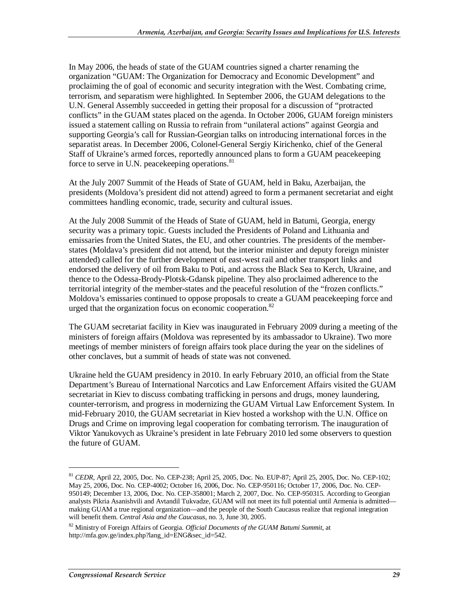In May 2006, the heads of state of the GUAM countries signed a charter renaming the organization "GUAM: The Organization for Democracy and Economic Development" and proclaiming the of goal of economic and security integration with the West. Combating crime, terrorism, and separatism were highlighted. In September 2006, the GUAM delegations to the U.N. General Assembly succeeded in getting their proposal for a discussion of "protracted conflicts" in the GUAM states placed on the agenda. In October 2006, GUAM foreign ministers issued a statement calling on Russia to refrain from "unilateral actions" against Georgia and supporting Georgia's call for Russian-Georgian talks on introducing international forces in the separatist areas. In December 2006, Colonel-General Sergiy Kirichenko, chief of the General Staff of Ukraine's armed forces, reportedly announced plans to form a GUAM peacekeeping force to serve in U.N. peacekeeping operations.<sup>81</sup>

At the July 2007 Summit of the Heads of State of GUAM, held in Baku, Azerbaijan, the presidents (Moldova's president did not attend) agreed to form a permanent secretariat and eight committees handling economic, trade, security and cultural issues.

At the July 2008 Summit of the Heads of State of GUAM, held in Batumi, Georgia, energy security was a primary topic. Guests included the Presidents of Poland and Lithuania and emissaries from the United States, the EU, and other countries. The presidents of the memberstates (Moldava's president did not attend, but the interior minister and deputy foreign minister attended) called for the further development of east-west rail and other transport links and endorsed the delivery of oil from Baku to Poti, and across the Black Sea to Kerch, Ukraine, and thence to the Odessa-Brody-Plotsk-Gdansk pipeline. They also proclaimed adherence to the territorial integrity of the member-states and the peaceful resolution of the "frozen conflicts." Moldova's emissaries continued to oppose proposals to create a GUAM peacekeeping force and urged that the organization focus on economic cooperation.<sup>82</sup>

The GUAM secretariat facility in Kiev was inaugurated in February 2009 during a meeting of the ministers of foreign affairs (Moldova was represented by its ambassador to Ukraine). Two more meetings of member ministers of foreign affairs took place during the year on the sidelines of other conclaves, but a summit of heads of state was not convened.

Ukraine held the GUAM presidency in 2010. In early February 2010, an official from the State Department's Bureau of International Narcotics and Law Enforcement Affairs visited the GUAM secretariat in Kiev to discuss combating trafficking in persons and drugs, money laundering, counter-terrorism, and progress in modernizing the GUAM Virtual Law Enforcement System. In mid-February 2010, the GUAM secretariat in Kiev hosted a workshop with the U.N. Office on Drugs and Crime on improving legal cooperation for combating terrorism. The inauguration of Viktor Yanukovych as Ukraine's president in late February 2010 led some observers to question the future of GUAM.

<sup>81</sup> *CEDR*, April 22, 2005, Doc. No. CEP-238; April 25, 2005, Doc. No. EUP-87; April 25, 2005, Doc. No. CEP-102; May 25, 2006, Doc. No. CEP-4002; October 16, 2006, Doc. No. CEP-950116; October 17, 2006, Doc. No. CEP-950149; December 13, 2006, Doc. No. CEP-358001; March 2, 2007, Doc. No. CEP-950315. According to Georgian analysts Pikria Asanishvili and Avtandil Tukvadze, GUAM will not meet its full potential until Armenia is admitted making GUAM a true regional organization—and the people of the South Caucasus realize that regional integration will benefit them. *Central Asia and the Caucasus*, no. 3, June 30, 2005.

<sup>82</sup> Ministry of Foreign Affairs of Georgia*. Official Documents of the GUAM Batumi Summit*, at http://mfa.gov.ge/index.php?lang\_id=ENG&sec\_id=542.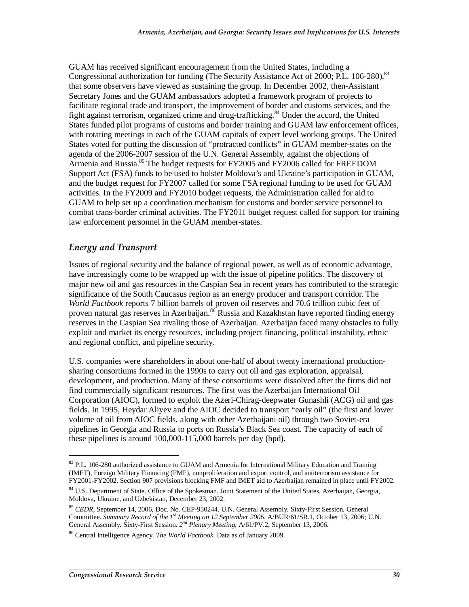GUAM has received significant encouragement from the United States, including a Congressional authorization for funding (The Security Assistance Act of 2000; P.L. 106-280), <sup>83</sup> that some observers have viewed as sustaining the group. In December 2002, then-Assistant Secretary Jones and the GUAM ambassadors adopted a framework program of projects to facilitate regional trade and transport, the improvement of border and customs services, and the fight against terrorism, organized crime and drug-trafficking.<sup>84</sup> Under the accord, the United States funded pilot programs of customs and border training and GUAM law enforcement offices, with rotating meetings in each of the GUAM capitals of expert level working groups. The United States voted for putting the discussion of "protracted conflicts" in GUAM member-states on the agenda of the 2006-2007 session of the U.N. General Assembly, against the objections of Armenia and Russia.<sup>85</sup> The budget requests for FY2005 and FY2006 called for FREEDOM Support Act (FSA) funds to be used to bolster Moldova's and Ukraine's participation in GUAM, and the budget request for FY2007 called for some FSA regional funding to be used for GUAM activities. In the FY2009 and FY2010 budget requests, the Administration called for aid to GUAM to help set up a coordination mechanism for customs and border service personnel to combat trans-border criminal activities. The FY2011 budget request called for support for training law enforcement personnel in the GUAM member-states.

#### *Energy and Transport*

Issues of regional security and the balance of regional power, as well as of economic advantage, have increasingly come to be wrapped up with the issue of pipeline politics. The discovery of major new oil and gas resources in the Caspian Sea in recent years has contributed to the strategic significance of the South Caucasus region as an energy producer and transport corridor. The *World Factbook* reports 7 billion barrels of proven oil reserves and 70.6 trillion cubic feet of proven natural gas reserves in Azerbaijan.<sup>86</sup> Russia and Kazakhstan have reported finding energy reserves in the Caspian Sea rivaling those of Azerbaijan. Azerbaijan faced many obstacles to fully exploit and market its energy resources, including project financing, political instability, ethnic and regional conflict, and pipeline security.

U.S. companies were shareholders in about one-half of about twenty international productionsharing consortiums formed in the 1990s to carry out oil and gas exploration, appraisal, development, and production. Many of these consortiums were dissolved after the firms did not find commercially significant resources. The first was the Azerbaijan International Oil Corporation (AIOC), formed to exploit the Azeri-Chirag-deepwater Gunashli (ACG) oil and gas fields. In 1995, Heydar Aliyev and the AIOC decided to transport "early oil" (the first and lower volume of oil from AIOC fields, along with other Azerbaijani oil) through two Soviet-era pipelines in Georgia and Russia to ports on Russia's Black Sea coast. The capacity of each of these pipelines is around 100,000-115,000 barrels per day (bpd).

<sup>&</sup>lt;sup>83</sup> P.L. 106-280 authorized assistance to GUAM and Armenia for International Military Education and Training (IMET), Foreign Military Financing (FMF), nonproliferation and export control, and antiterrorism assistance for FY2001-FY2002. Section 907 provisions blocking FMF and IMET aid to Azerbaijan remained in place until FY2002.

<sup>&</sup>lt;sup>84</sup> U.S. Department of State. Office of the Spokesman. Joint Statement of the United States, Azerbaijan, Georgia, Moldova, Ukraine, and Uzbekistan, December 23, 2002.

<sup>85</sup> *CEDR*, September 14, 2006, Doc. No. CEP-950244. U.N. General Assembly. Sixty-First Session. General Committee. Summary Record of the 1<sup>st</sup> Meeting on 12 September 2006, A/BUR/61/SR.1, October 13, 2006; U.N. General Assembly. Sixty-First Session. *2nd Plenary Meeting*, A/61/PV.2, September 13, 2006.

<sup>86</sup> Central Intelligence Agency. *The World Factbook*. Data as of January 2009.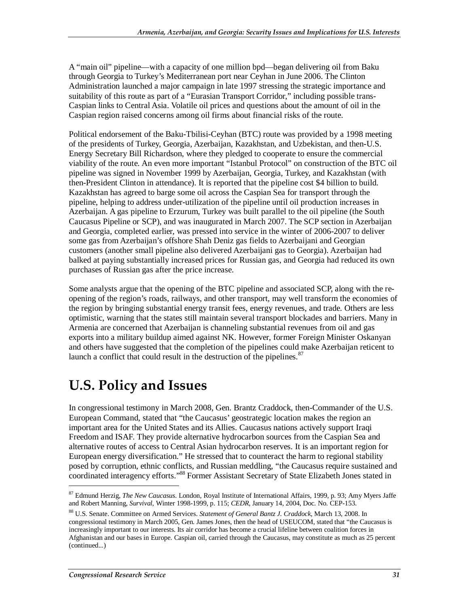A "main oil" pipeline—with a capacity of one million bpd—began delivering oil from Baku through Georgia to Turkey's Mediterranean port near Ceyhan in June 2006. The Clinton Administration launched a major campaign in late 1997 stressing the strategic importance and suitability of this route as part of a "Eurasian Transport Corridor," including possible trans-Caspian links to Central Asia. Volatile oil prices and questions about the amount of oil in the Caspian region raised concerns among oil firms about financial risks of the route.

Political endorsement of the Baku-Tbilisi-Ceyhan (BTC) route was provided by a 1998 meeting of the presidents of Turkey, Georgia, Azerbaijan, Kazakhstan, and Uzbekistan, and then-U.S. Energy Secretary Bill Richardson, where they pledged to cooperate to ensure the commercial viability of the route. An even more important "Istanbul Protocol" on construction of the BTC oil pipeline was signed in November 1999 by Azerbaijan, Georgia, Turkey, and Kazakhstan (with then-President Clinton in attendance). It is reported that the pipeline cost \$4 billion to build. Kazakhstan has agreed to barge some oil across the Caspian Sea for transport through the pipeline, helping to address under-utilization of the pipeline until oil production increases in Azerbaijan. A gas pipeline to Erzurum, Turkey was built parallel to the oil pipeline (the South Caucasus Pipeline or SCP), and was inaugurated in March 2007. The SCP section in Azerbaijan and Georgia, completed earlier, was pressed into service in the winter of 2006-2007 to deliver some gas from Azerbaijan's offshore Shah Deniz gas fields to Azerbaijani and Georgian customers (another small pipeline also delivered Azerbaijani gas to Georgia). Azerbaijan had balked at paying substantially increased prices for Russian gas, and Georgia had reduced its own purchases of Russian gas after the price increase.

Some analysts argue that the opening of the BTC pipeline and associated SCP, along with the reopening of the region's roads, railways, and other transport, may well transform the economies of the region by bringing substantial energy transit fees, energy revenues, and trade. Others are less optimistic, warning that the states still maintain several transport blockades and barriers. Many in Armenia are concerned that Azerbaijan is channeling substantial revenues from oil and gas exports into a military buildup aimed against NK. However, former Foreign Minister Oskanyan and others have suggested that the completion of the pipelines could make Azerbaijan reticent to launch a conflict that could result in the destruction of the pipelines. $\frac{87}{5}$ 

# **U.S. Policy and Issues**

In congressional testimony in March 2008, Gen. Brantz Craddock, then-Commander of the U.S. European Command, stated that "the Caucasus' geostrategic location makes the region an important area for the United States and its Allies. Caucasus nations actively support Iraqi Freedom and ISAF. They provide alternative hydrocarbon sources from the Caspian Sea and alternative routes of access to Central Asian hydrocarbon reserves. It is an important region for European energy diversification." He stressed that to counteract the harm to regional stability posed by corruption, ethnic conflicts, and Russian meddling, "the Caucasus require sustained and coordinated interagency efforts."<sup>88</sup> Former Assistant Secretary of State Elizabeth Jones stated in

<sup>87</sup> Edmund Herzig, *The New Caucasus*. London, Royal Institute of International Affairs, 1999, p. 93; Amy Myers Jaffe and Robert Manning, *Survival*, Winter 1998-1999, p. 115; *CEDR*, January 14, 2004, Doc. No. CEP-153.

<sup>88</sup> U.S. Senate. Committee on Armed Services. *Statement of General Bantz J. Craddock*, March 13, 2008. In congressional testimony in March 2005, Gen. James Jones, then the head of USEUCOM, stated that "the Caucasus is increasingly important to our interests. Its air corridor has become a crucial lifeline between coalition forces in Afghanistan and our bases in Europe. Caspian oil, carried through the Caucasus, may constitute as much as 25 percent (continued...)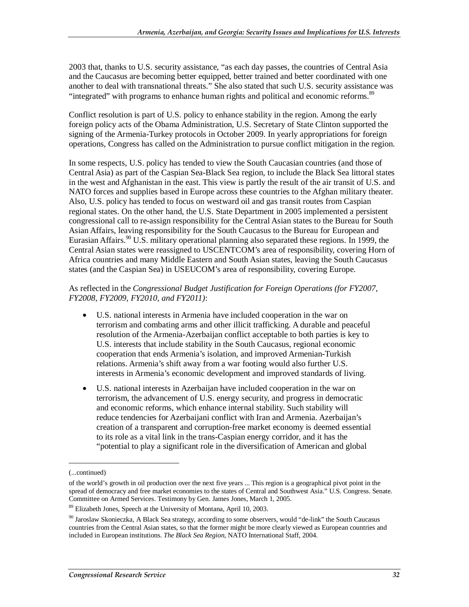2003 that, thanks to U.S. security assistance, "as each day passes, the countries of Central Asia and the Caucasus are becoming better equipped, better trained and better coordinated with one another to deal with transnational threats." She also stated that such U.S. security assistance was "integrated" with programs to enhance human rights and political and economic reforms.<sup>89</sup>

Conflict resolution is part of U.S. policy to enhance stability in the region. Among the early foreign policy acts of the Obama Administration, U.S. Secretary of State Clinton supported the signing of the Armenia-Turkey protocols in October 2009. In yearly appropriations for foreign operations, Congress has called on the Administration to pursue conflict mitigation in the region.

In some respects, U.S. policy has tended to view the South Caucasian countries (and those of Central Asia) as part of the Caspian Sea-Black Sea region, to include the Black Sea littoral states in the west and Afghanistan in the east. This view is partly the result of the air transit of U.S. and NATO forces and supplies based in Europe across these countries to the Afghan military theater. Also, U.S. policy has tended to focus on westward oil and gas transit routes from Caspian regional states. On the other hand, the U.S. State Department in 2005 implemented a persistent congressional call to re-assign responsibility for the Central Asian states to the Bureau for South Asian Affairs, leaving responsibility for the South Caucasus to the Bureau for European and Eurasian Affairs.<sup>90</sup> U.S. military operational planning also separated these regions. In 1999, the Central Asian states were reassigned to USCENTCOM's area of responsibility, covering Horn of Africa countries and many Middle Eastern and South Asian states, leaving the South Caucasus states (and the Caspian Sea) in USEUCOM's area of responsibility, covering Europe.

#### As reflected in the *Congressional Budget Justification for Foreign Operations (for FY2007, FY2008, FY2009, FY2010, and FY2011)*:

- U.S. national interests in Armenia have included cooperation in the war on terrorism and combating arms and other illicit trafficking. A durable and peaceful resolution of the Armenia-Azerbaijan conflict acceptable to both parties is key to U.S. interests that include stability in the South Caucasus, regional economic cooperation that ends Armenia's isolation, and improved Armenian-Turkish relations. Armenia's shift away from a war footing would also further U.S. interests in Armenia's economic development and improved standards of living.
- U.S. national interests in Azerbaijan have included cooperation in the war on terrorism, the advancement of U.S. energy security, and progress in democratic and economic reforms, which enhance internal stability. Such stability will reduce tendencies for Azerbaijani conflict with Iran and Armenia. Azerbaijan's creation of a transparent and corruption-free market economy is deemed essential to its role as a vital link in the trans-Caspian energy corridor, and it has the "potential to play a significant role in the diversification of American and global

<sup>(...</sup>continued)

of the world's growth in oil production over the next five years ... This region is a geographical pivot point in the spread of democracy and free market economies to the states of Central and Southwest Asia." U.S. Congress. Senate. Committee on Armed Services. Testimony by Gen. James Jones, March 1, 2005.

<sup>89</sup> Elizabeth Jones, Speech at the University of Montana, April 10, 2003.

<sup>90</sup> Jaroslaw Skonieczka, A Black Sea strategy, according to some observers, would "de-link" the South Caucasus countries from the Central Asian states, so that the former might be more clearly viewed as European countries and included in European institutions. *The Black Sea Region*, NATO International Staff, 2004.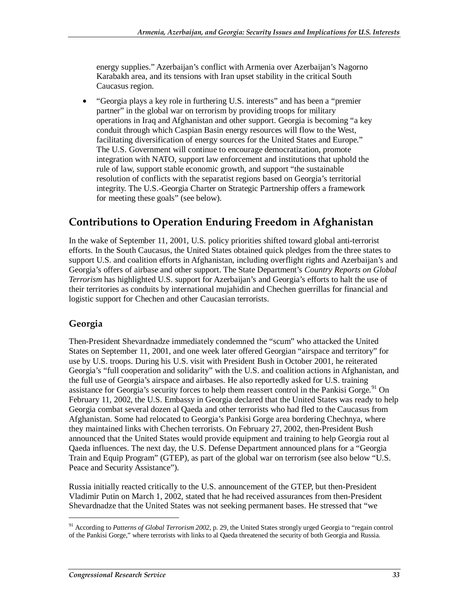energy supplies." Azerbaijan's conflict with Armenia over Azerbaijan's Nagorno Karabakh area, and its tensions with Iran upset stability in the critical South Caucasus region.

• "Georgia plays a key role in furthering U.S. interests" and has been a "premier partner" in the global war on terrorism by providing troops for military operations in Iraq and Afghanistan and other support. Georgia is becoming "a key conduit through which Caspian Basin energy resources will flow to the West, facilitating diversification of energy sources for the United States and Europe." The U.S. Government will continue to encourage democratization, promote integration with NATO, support law enforcement and institutions that uphold the rule of law, support stable economic growth, and support "the sustainable resolution of conflicts with the separatist regions based on Georgia's territorial integrity. The U.S.-Georgia Charter on Strategic Partnership offers a framework for meeting these goals" (see below).

### **Contributions to Operation Enduring Freedom in Afghanistan**

In the wake of September 11, 2001, U.S. policy priorities shifted toward global anti-terrorist efforts. In the South Caucasus, the United States obtained quick pledges from the three states to support U.S. and coalition efforts in Afghanistan, including overflight rights and Azerbaijan's and Georgia's offers of airbase and other support. The State Department's *Country Reports on Global Terrorism* has highlighted U.S. support for Azerbaijan's and Georgia's efforts to halt the use of their territories as conduits by international mujahidin and Chechen guerrillas for financial and logistic support for Chechen and other Caucasian terrorists.

#### **Georgia**

1

Then-President Shevardnadze immediately condemned the "scum" who attacked the United States on September 11, 2001, and one week later offered Georgian "airspace and territory" for use by U.S. troops. During his U.S. visit with President Bush in October 2001, he reiterated Georgia's "full cooperation and solidarity" with the U.S. and coalition actions in Afghanistan, and the full use of Georgia's airspace and airbases. He also reportedly asked for U.S. training assistance for Georgia's security forces to help them reassert control in the Pankisi Gorge.<sup>91</sup> On February 11, 2002, the U.S. Embassy in Georgia declared that the United States was ready to help Georgia combat several dozen al Qaeda and other terrorists who had fled to the Caucasus from Afghanistan. Some had relocated to Georgia's Pankisi Gorge area bordering Chechnya, where they maintained links with Chechen terrorists. On February 27, 2002, then-President Bush announced that the United States would provide equipment and training to help Georgia rout al Qaeda influences. The next day, the U.S. Defense Department announced plans for a "Georgia Train and Equip Program" (GTEP), as part of the global war on terrorism (see also below "U.S. Peace and Security Assistance").

Russia initially reacted critically to the U.S. announcement of the GTEP, but then-President Vladimir Putin on March 1, 2002, stated that he had received assurances from then-President Shevardnadze that the United States was not seeking permanent bases. He stressed that "we

<sup>&</sup>lt;sup>91</sup> According to Patterns of Global Terrorism 2002, p. 29, the United States strongly urged Georgia to "regain control of the Pankisi Gorge," where terrorists with links to al Qaeda threatened the security of both Georgia and Russia.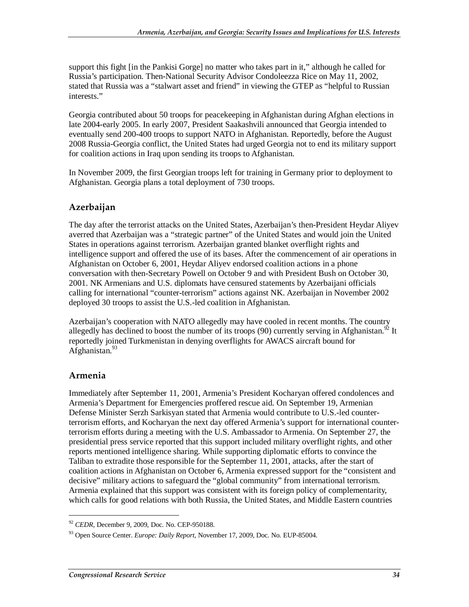support this fight [in the Pankisi Gorge] no matter who takes part in it," although he called for Russia's participation. Then-National Security Advisor Condoleezza Rice on May 11, 2002, stated that Russia was a "stalwart asset and friend" in viewing the GTEP as "helpful to Russian interests."

Georgia contributed about 50 troops for peacekeeping in Afghanistan during Afghan elections in late 2004-early 2005. In early 2007, President Saakashvili announced that Georgia intended to eventually send 200-400 troops to support NATO in Afghanistan. Reportedly, before the August 2008 Russia-Georgia conflict, the United States had urged Georgia not to end its military support for coalition actions in Iraq upon sending its troops to Afghanistan.

In November 2009, the first Georgian troops left for training in Germany prior to deployment to Afghanistan. Georgia plans a total deployment of 730 troops.

#### **Azerbaijan**

The day after the terrorist attacks on the United States, Azerbaijan's then-President Heydar Aliyev averred that Azerbaijan was a "strategic partner" of the United States and would join the United States in operations against terrorism. Azerbaijan granted blanket overflight rights and intelligence support and offered the use of its bases. After the commencement of air operations in Afghanistan on October 6, 2001, Heydar Aliyev endorsed coalition actions in a phone conversation with then-Secretary Powell on October 9 and with President Bush on October 30, 2001. NK Armenians and U.S. diplomats have censured statements by Azerbaijani officials calling for international "counter-terrorism" actions against NK. Azerbaijan in November 2002 deployed 30 troops to assist the U.S.-led coalition in Afghanistan.

Azerbaijan's cooperation with NATO allegedly may have cooled in recent months. The country allegedly has declined to boost the number of its troops  $(90)$  currently serving in Afghanistan.<sup>92</sup> It reportedly joined Turkmenistan in denying overflights for AWACS aircraft bound for Afghanistan.<sup>93</sup>

#### **Armenia**

1

Immediately after September 11, 2001, Armenia's President Kocharyan offered condolences and Armenia's Department for Emergencies proffered rescue aid. On September 19, Armenian Defense Minister Serzh Sarkisyan stated that Armenia would contribute to U.S.-led counterterrorism efforts, and Kocharyan the next day offered Armenia's support for international counterterrorism efforts during a meeting with the U.S. Ambassador to Armenia. On September 27, the presidential press service reported that this support included military overflight rights, and other reports mentioned intelligence sharing. While supporting diplomatic efforts to convince the Taliban to extradite those responsible for the September 11, 2001, attacks, after the start of coalition actions in Afghanistan on October 6, Armenia expressed support for the "consistent and decisive" military actions to safeguard the "global community" from international terrorism. Armenia explained that this support was consistent with its foreign policy of complementarity, which calls for good relations with both Russia, the United States, and Middle Eastern countries

<sup>92</sup> *CEDR*, December 9, 2009, Doc. No. CEP-950188.

<sup>93</sup> Open Source Center. *Europe: Daily Report*, November 17, 2009, Doc. No. EUP-85004.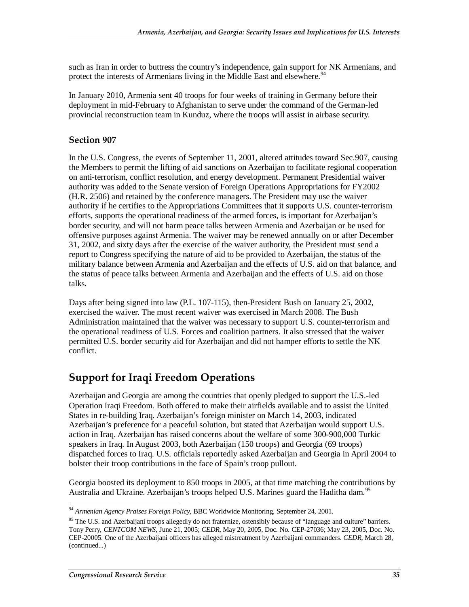such as Iran in order to buttress the country's independence, gain support for NK Armenians, and protect the interests of Armenians living in the Middle East and elsewhere.<sup>94</sup>

In January 2010, Armenia sent 40 troops for four weeks of training in Germany before their deployment in mid-February to Afghanistan to serve under the command of the German-led provincial reconstruction team in Kunduz, where the troops will assist in airbase security.

#### **Section 907**

In the U.S. Congress, the events of September 11, 2001, altered attitudes toward Sec.907, causing the Members to permit the lifting of aid sanctions on Azerbaijan to facilitate regional cooperation on anti-terrorism, conflict resolution, and energy development. Permanent Presidential waiver authority was added to the Senate version of Foreign Operations Appropriations for FY2002 (H.R. 2506) and retained by the conference managers. The President may use the waiver authority if he certifies to the Appropriations Committees that it supports U.S. counter-terrorism efforts, supports the operational readiness of the armed forces, is important for Azerbaijan's border security, and will not harm peace talks between Armenia and Azerbaijan or be used for offensive purposes against Armenia. The waiver may be renewed annually on or after December 31, 2002, and sixty days after the exercise of the waiver authority, the President must send a report to Congress specifying the nature of aid to be provided to Azerbaijan, the status of the military balance between Armenia and Azerbaijan and the effects of U.S. aid on that balance, and the status of peace talks between Armenia and Azerbaijan and the effects of U.S. aid on those talks.

Days after being signed into law (P.L. 107-115), then-President Bush on January 25, 2002, exercised the waiver. The most recent waiver was exercised in March 2008. The Bush Administration maintained that the waiver was necessary to support U.S. counter-terrorism and the operational readiness of U.S. Forces and coalition partners. It also stressed that the waiver permitted U.S. border security aid for Azerbaijan and did not hamper efforts to settle the NK conflict.

### **Support for Iraqi Freedom Operations**

Azerbaijan and Georgia are among the countries that openly pledged to support the U.S.-led Operation Iraqi Freedom. Both offered to make their airfields available and to assist the United States in re-building Iraq. Azerbaijan's foreign minister on March 14, 2003, indicated Azerbaijan's preference for a peaceful solution, but stated that Azerbaijan would support U.S. action in Iraq. Azerbaijan has raised concerns about the welfare of some 300-900,000 Turkic speakers in Iraq. In August 2003, both Azerbaijan (150 troops) and Georgia (69 troops) dispatched forces to Iraq. U.S. officials reportedly asked Azerbaijan and Georgia in April 2004 to bolster their troop contributions in the face of Spain's troop pullout.

Georgia boosted its deployment to 850 troops in 2005, at that time matching the contributions by Australia and Ukraine. Azerbaijan's troops helped U.S. Marines guard the Haditha dam.<sup>95</sup>

<sup>94</sup> *Armenian Agency Praises Foreign Policy*, BBC Worldwide Monitoring, September 24, 2001.

<sup>&</sup>lt;sup>95</sup> The U.S. and Azerbaijani troops allegedly do not fraternize, ostensibly because of "language and culture" barriers. Tony Perry, *CENTCOM NEWS*, June 21, 2005; *CEDR*, May 20, 2005, Doc. No. CEP-27036; May 23, 2005, Doc. No. CEP-20005. One of the Azerbaijani officers has alleged mistreatment by Azerbaijani commanders. *CEDR*, March 28, (continued...)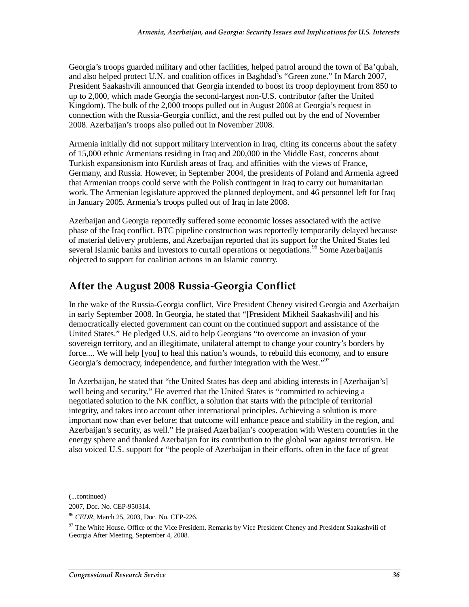Georgia's troops guarded military and other facilities, helped patrol around the town of Ba'qubah, and also helped protect U.N. and coalition offices in Baghdad's "Green zone." In March 2007, President Saakashvili announced that Georgia intended to boost its troop deployment from 850 to up to 2,000, which made Georgia the second-largest non-U.S. contributor (after the United Kingdom). The bulk of the 2,000 troops pulled out in August 2008 at Georgia's request in connection with the Russia-Georgia conflict, and the rest pulled out by the end of November 2008. Azerbaijan's troops also pulled out in November 2008.

Armenia initially did not support military intervention in Iraq, citing its concerns about the safety of 15,000 ethnic Armenians residing in Iraq and 200,000 in the Middle East, concerns about Turkish expansionism into Kurdish areas of Iraq, and affinities with the views of France, Germany, and Russia. However, in September 2004, the presidents of Poland and Armenia agreed that Armenian troops could serve with the Polish contingent in Iraq to carry out humanitarian work. The Armenian legislature approved the planned deployment, and 46 personnel left for Iraq in January 2005. Armenia's troops pulled out of Iraq in late 2008.

Azerbaijan and Georgia reportedly suffered some economic losses associated with the active phase of the Iraq conflict. BTC pipeline construction was reportedly temporarily delayed because of material delivery problems, and Azerbaijan reported that its support for the United States led several Islamic banks and investors to curtail operations or negotiations.<sup>96</sup> Some Azerbaijanis objected to support for coalition actions in an Islamic country.

### **After the August 2008 Russia-Georgia Conflict**

In the wake of the Russia-Georgia conflict, Vice President Cheney visited Georgia and Azerbaijan in early September 2008. In Georgia, he stated that "[President Mikheil Saakashvili] and his democratically elected government can count on the continued support and assistance of the United States." He pledged U.S. aid to help Georgians "to overcome an invasion of your sovereign territory, and an illegitimate, unilateral attempt to change your country's borders by force.... We will help [you] to heal this nation's wounds, to rebuild this economy, and to ensure Georgia's democracy, independence, and further integration with the West."<sup>97</sup>

In Azerbaijan, he stated that "the United States has deep and abiding interests in [Azerbaijan's] well being and security." He averred that the United States is "committed to achieving a negotiated solution to the NK conflict, a solution that starts with the principle of territorial integrity, and takes into account other international principles. Achieving a solution is more important now than ever before; that outcome will enhance peace and stability in the region, and Azerbaijan's security, as well." He praised Azerbaijan's cooperation with Western countries in the energy sphere and thanked Azerbaijan for its contribution to the global war against terrorism. He also voiced U.S. support for "the people of Azerbaijan in their efforts, often in the face of great

<sup>(...</sup>continued)

<sup>2007,</sup> Doc. No. CEP-950314.

<sup>96</sup> *CEDR*, March 25, 2003, Doc. No. CEP-226.

<sup>&</sup>lt;sup>97</sup> The White House. Office of the Vice President. Remarks by Vice President Cheney and President Saakashvili of Georgia After Meeting, September 4, 2008.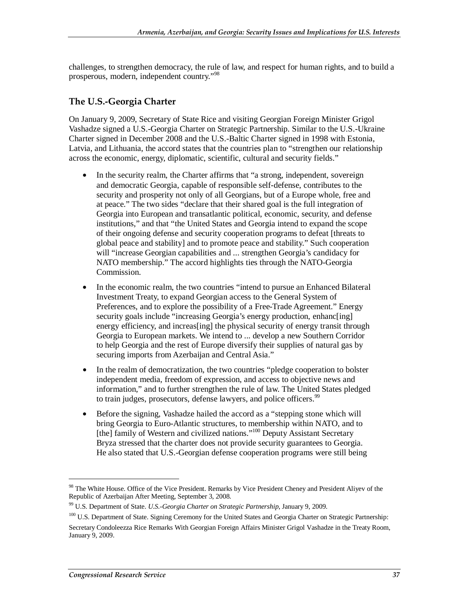challenges, to strengthen democracy, the rule of law, and respect for human rights, and to build a prosperous, modern, independent country."<sup>98</sup>

#### **The U.S.-Georgia Charter**

On January 9, 2009, Secretary of State Rice and visiting Georgian Foreign Minister Grigol Vashadze signed a U.S.-Georgia Charter on Strategic Partnership. Similar to the U.S.-Ukraine Charter signed in December 2008 and the U.S.-Baltic Charter signed in 1998 with Estonia, Latvia, and Lithuania, the accord states that the countries plan to "strengthen our relationship across the economic, energy, diplomatic, scientific, cultural and security fields."

- In the security realm, the Charter affirms that "a strong, independent, sovereign and democratic Georgia, capable of responsible self-defense, contributes to the security and prosperity not only of all Georgians, but of a Europe whole, free and at peace." The two sides "declare that their shared goal is the full integration of Georgia into European and transatlantic political, economic, security, and defense institutions," and that "the United States and Georgia intend to expand the scope of their ongoing defense and security cooperation programs to defeat [threats to global peace and stability] and to promote peace and stability." Such cooperation will "increase Georgian capabilities and ... strengthen Georgia's candidacy for NATO membership." The accord highlights ties through the NATO-Georgia Commission.
- In the economic realm, the two countries "intend to pursue an Enhanced Bilateral Investment Treaty, to expand Georgian access to the General System of Preferences, and to explore the possibility of a Free-Trade Agreement." Energy security goals include "increasing Georgia's energy production, enhanc[ing] energy efficiency, and increas [ing] the physical security of energy transit through Georgia to European markets. We intend to ... develop a new Southern Corridor to help Georgia and the rest of Europe diversify their supplies of natural gas by securing imports from Azerbaijan and Central Asia."
- In the realm of democratization, the two countries "pledge cooperation to bolster independent media, freedom of expression, and access to objective news and information," and to further strengthen the rule of law. The United States pledged to train judges, prosecutors, defense lawyers, and police officers.<sup>99</sup>
- Before the signing, Vashadze hailed the accord as a "stepping stone which will bring Georgia to Euro-Atlantic structures, to membership within NATO, and to [the] family of Western and civilized nations."<sup>100</sup> Deputy Assistant Secretary Bryza stressed that the charter does not provide security guarantees to Georgia. He also stated that U.S.-Georgian defense cooperation programs were still being

<sup>&</sup>lt;sup>98</sup> The White House. Office of the Vice President. Remarks by Vice President Cheney and President Aliyev of the Republic of Azerbaijan After Meeting, September 3, 2008.

<sup>99</sup> U.S. Department of State. *U.S.-Georgia Charter on Strategic Partnership*, January 9, 2009.

<sup>&</sup>lt;sup>100</sup> U.S. Department of State. Signing Ceremony for the United States and Georgia Charter on Strategic Partnership:

Secretary Condoleezza Rice Remarks With Georgian Foreign Affairs Minister Grigol Vashadze in the Treaty Room, January 9, 2009.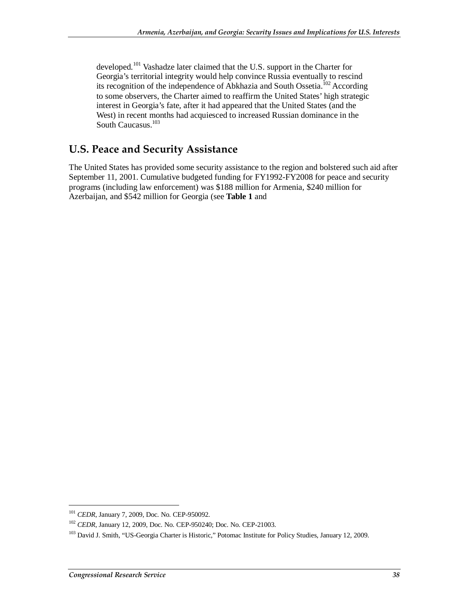developed.101 Vashadze later claimed that the U.S. support in the Charter for Georgia's territorial integrity would help convince Russia eventually to rescind its recognition of the independence of Abkhazia and South Ossetia.<sup>102</sup> According to some observers, the Charter aimed to reaffirm the United States' high strategic interest in Georgia's fate, after it had appeared that the United States (and the West) in recent months had acquiesced to increased Russian dominance in the South Caucasus.<sup>103</sup>

### **U.S. Peace and Security Assistance**

The United States has provided some security assistance to the region and bolstered such aid after September 11, 2001. Cumulative budgeted funding for FY1992-FY2008 for peace and security programs (including law enforcement) was \$188 million for Armenia, \$240 million for Azerbaijan, and \$542 million for Georgia (see **Table 1** and

<sup>101</sup> *CEDR*, January 7, 2009, Doc. No. CEP-950092.

<sup>102</sup> *CEDR*, January 12, 2009, Doc. No. CEP-950240; Doc. No. CEP-21003.

<sup>&</sup>lt;sup>103</sup> David J. Smith, "US-Georgia Charter is Historic," Potomac Institute for Policy Studies, January 12, 2009.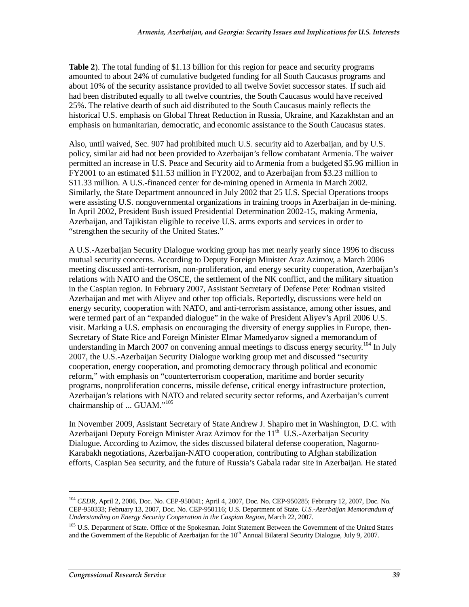**Table 2**). The total funding of \$1.13 billion for this region for peace and security programs amounted to about 24% of cumulative budgeted funding for all South Caucasus programs and about 10% of the security assistance provided to all twelve Soviet successor states. If such aid had been distributed equally to all twelve countries, the South Caucasus would have received 25%. The relative dearth of such aid distributed to the South Caucasus mainly reflects the historical U.S. emphasis on Global Threat Reduction in Russia, Ukraine, and Kazakhstan and an emphasis on humanitarian, democratic, and economic assistance to the South Caucasus states.

Also, until waived, Sec. 907 had prohibited much U.S. security aid to Azerbaijan, and by U.S. policy, similar aid had not been provided to Azerbaijan's fellow combatant Armenia. The waiver permitted an increase in U.S. Peace and Security aid to Armenia from a budgeted \$5.96 million in FY2001 to an estimated \$11.53 million in FY2002, and to Azerbaijan from \$3.23 million to \$11.33 million. A U.S.-financed center for de-mining opened in Armenia in March 2002. Similarly, the State Department announced in July 2002 that 25 U.S. Special Operations troops were assisting U.S. nongovernmental organizations in training troops in Azerbaijan in de-mining. In April 2002, President Bush issued Presidential Determination 2002-15, making Armenia, Azerbaijan, and Tajikistan eligible to receive U.S. arms exports and services in order to "strengthen the security of the United States."

A U.S.-Azerbaijan Security Dialogue working group has met nearly yearly since 1996 to discuss mutual security concerns. According to Deputy Foreign Minister Araz Azimov, a March 2006 meeting discussed anti-terrorism, non-proliferation, and energy security cooperation, Azerbaijan's relations with NATO and the OSCE, the settlement of the NK conflict, and the military situation in the Caspian region. In February 2007, Assistant Secretary of Defense Peter Rodman visited Azerbaijan and met with Aliyev and other top officials. Reportedly, discussions were held on energy security, cooperation with NATO, and anti-terrorism assistance, among other issues, and were termed part of an "expanded dialogue" in the wake of President Aliyev's April 2006 U.S. visit. Marking a U.S. emphasis on encouraging the diversity of energy supplies in Europe, then-Secretary of State Rice and Foreign Minister Elmar Mamedyarov signed a memorandum of understanding in March 2007 on convening annual meetings to discuss energy security.<sup>104</sup> In July 2007, the U.S.-Azerbaijan Security Dialogue working group met and discussed "security cooperation, energy cooperation, and promoting democracy through political and economic reform," with emphasis on "counterterrorism cooperation, maritime and border security programs, nonproliferation concerns, missile defense, critical energy infrastructure protection, Azerbaijan's relations with NATO and related security sector reforms, and Azerbaijan's current chairmanship of ... GUAM."<sup>105</sup>

In November 2009, Assistant Secretary of State Andrew J. Shapiro met in Washington, D.C. with Azerbaijani Deputy Foreign Minister Araz Azimov for the  $11<sup>th</sup>$  U.S.-Azerbaijan Security Dialogue. According to Azimov, the sides discussed bilateral defense cooperation, Nagorno-Karabakh negotiations, Azerbaijan-NATO cooperation, contributing to Afghan stabilization efforts, Caspian Sea security, and the future of Russia's Gabala radar site in Azerbaijan. He stated

<sup>&</sup>lt;sup>104</sup> *CEDR*, April 2, 2006, Doc. No. CEP-950041; April 4, 2007, Doc. No. CEP-950285; February 12, 2007, Doc. No. CEP-950333; February 13, 2007, Doc. No. CEP-950116; U.S. Department of State. *U.S.-Azerbaijan Memorandum of Understanding on Energy Security Cooperation in the Caspian Region*, March 22, 2007.

<sup>&</sup>lt;sup>105</sup> U.S. Department of State. Office of the Spokesman. Joint Statement Between the Government of the United States and the Government of the Republic of Azerbaijan for the 10<sup>th</sup> Annual Bilateral Security Dialogue, July 9, 2007.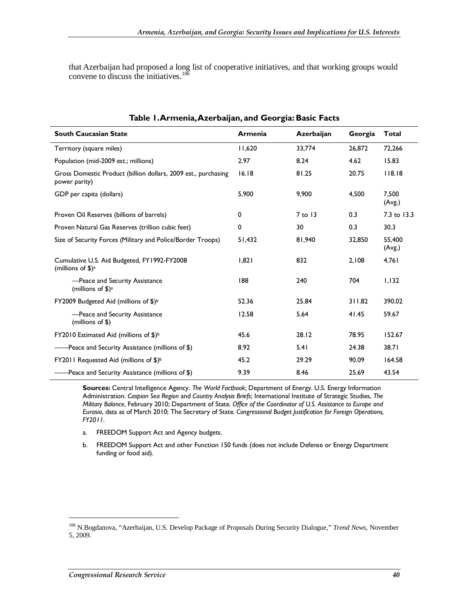that Azerbaijan had proposed a long list of cooperative initiatives, and that working groups would convene to discuss the initiatives. $106$ 

| rabic 1.Antifema, Azerbaijan, and Ocorgia. Dasit Facts                                   |                |            |         |                  |  |  |
|------------------------------------------------------------------------------------------|----------------|------------|---------|------------------|--|--|
| <b>South Caucasian State</b>                                                             | <b>Armenia</b> | Azerbaijan | Georgia | Total            |  |  |
| Territory (square miles)                                                                 | 11,620         | 33,774     | 26,872  | 72,266           |  |  |
| Population (mid-2009 est.; millions)                                                     | 2.97           | 8.24       | 4.62    | 15.83            |  |  |
| Gross Domestic Product (billion dollars, 2009 est., purchasing<br>power parity)          | 16.18          | 81.25      | 20.75   | 118.18           |  |  |
| GDP per capita (dollars)                                                                 | 5,900          | 9,900      | 4,500   | 7.500<br>(Avg.)  |  |  |
| Proven Oil Reserves (billions of barrels)                                                | 0              | $7$ to 13  | 0.3     | 7.3 to 13.3      |  |  |
| Proven Natural Gas Reserves (trillion cubic feet)                                        | 0              | 30         | 0.3     | 30.3             |  |  |
| Size of Security Forces (Military and Police/Border Troops)                              | 51,432         | 81,940     | 32,850  | 55.400<br>(Avg.) |  |  |
| Cumulative U.S. Aid Budgeted, FY1992-FY2008<br>(millions of $\frac{1}{2}$ ) <sup>a</sup> | 1,821          | 832        | 2,108   | 4,761            |  |  |
| -Peace and Security Assistance<br>(millions of $$$ ) <sup>a</sup>                        | 188            | 240        | 704     | 1,132            |  |  |
| FY2009 Budgeted Aid (millions of \$) <sup>b</sup>                                        | 52.36          | 25.84      | 311.82  | 390.02           |  |  |
| -Peace and Security Assistance<br>$(millions$ of \$)                                     | 12.58          | 5.64       | 41.45   | 59.67            |  |  |
| FY2010 Estimated Aid (millions of \$) <sup>b</sup>                                       | 45.6           | 28.12      | 78.95   | 152.67           |  |  |
| Peace and Security Assistance (millions of \$)                                           | 8.92           | 5.41       | 24.38   | 38.71            |  |  |
| FY2011 Requested Aid (millions of \$) <sup>b</sup>                                       | 45.2           | 29.29      | 90.09   | 164.58           |  |  |
| Peace and Security Assistance (millions of \$)                                           | 9.39           | 8.46       | 25.69   | 43.54            |  |  |

#### **Table 1. Armenia, Azerbaijan, and Georgia: Basic Facts**

**Sources:** Central Intelligence Agency. *The World Factbook*; Department of Energy. U.S. Energy Information Administration. *Caspian Sea Region* and *Country Analysis Briefs*; International Institute of Strategic Studies, *The Military Balance*, February 2010; Department of State*. Office of the Coordinator of U.S. Assistance to Europe and Eurasia*, data as of March 2010; The Secretary of State*. Congressional Budget Justification for Foreign Operations, FY2011.*

- a. FREEDOM Support Act and Agency budgets.
- b. FREEDOM Support Act and other Function 150 funds (does not include Defense or Energy Department funding or food aid).

<sup>106</sup> N.Bogdanova, "Azerbaijan, U.S. Develop Package of Proposals During Security Dialogue," *Trend News*, November 5, 2009.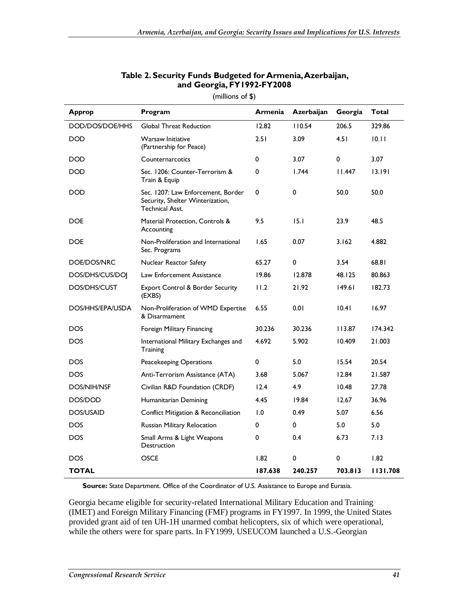| <b>Approp</b>      | Program                                                                                   | <b>Armenia</b> | Azerbaijan | Georgia | <b>Total</b> |
|--------------------|-------------------------------------------------------------------------------------------|----------------|------------|---------|--------------|
| DOD/DOS/DOE/HHS    | <b>Global Threat Reduction</b>                                                            | 12.82          | 110.54     | 206.5   | 329.86       |
| <b>DOD</b>         | <b>Warsaw Initiative</b><br>(Partnership for Peace)                                       | 2.51           | 3.09       | 4.51    | 10.11        |
| <b>DOD</b>         | Counternarcotics                                                                          | 0              | 3.07       | 0       | 3.07         |
| <b>DOD</b>         | Sec. 1206: Counter-Terrorism &<br>Train & Equip                                           | 0              | 1.744      | 11.447  | 13.191       |
| <b>DOD</b>         | Sec. 1207: Law Enforcement, Border<br>Security, Shelter Winterization,<br>Technical Asst. | 0              | 0          | 50.0    | 50.0         |
| <b>DOE</b>         | Material Protection, Controls &<br>Accounting                                             | 9.5            | 15.1       | 23.9    | 48.5         |
| <b>DOE</b>         | Non-Proliferation and International<br>Sec. Programs                                      | 1.65           | 0.07       | 3.162   | 4.882        |
| DOE/DOS/NRC        | Nuclear Reactor Safety                                                                    | 65.27          | 0          | 3.54    | 68.81        |
| DOS/DHS/CUS/DOJ    | Law Enforcement Assistance                                                                | 19.86          | 12.878     | 48.125  | 80.863       |
| DOS/DHS/CUST       | <b>Export Control &amp; Border Security</b><br>(EXBS)                                     | 11.2           | 21.92      | 149.61  | 182.73       |
| DOS/HHS/EPA/USDA   | Non-Proliferation of WMD Expertise<br>& Disarmament                                       | 6.55           | 0.01       | 10.41   | 16.97        |
| <b>DOS</b>         | Foreign Military Financing                                                                | 30.236         | 30.236     | 113.87  | 174.342      |
| <b>DOS</b>         | International Military Exchanges and<br>Training                                          | 4.692          | 5.902      | 10.409  | 21.003       |
| DOS.               | Peacekeeping Operations                                                                   | 0              | 5.0        | 15.54   | 20.54        |
| <b>DOS</b>         | Anti-Terrorism Assistance (ATA)                                                           | 3.68           | 5.067      | 12.84   | 21.587       |
| <b>DOS/NIH/NSF</b> | Civilian R&D Foundation (CRDF)                                                            | 12.4           | 4.9        | 10.48   | 27.78        |
| DOS/DOD            | Humanitarian Demining                                                                     | 4.45           | 19.84      | 12.67   | 36.96        |
| <b>DOS/USAID</b>   | Conflict Mitigation & Reconciliation                                                      | 1.0            | 0.49       | 5.07    | 6.56         |
| <b>DOS</b>         | Russian Military Relocation                                                               | 0              | 0          | 5.0     | 5.0          |
| <b>DOS</b>         | Small Arms & Light Weapons<br>Destruction                                                 | 0              | 0.4        | 6.73    | 7.13         |
| <b>DOS</b>         | <b>OSCE</b>                                                                               | 1.82           | 0          | 0       | 1.82         |
| <b>TOTAL</b>       |                                                                                           | 187.638        | 240.257    | 703.813 | 1131.708     |

#### **Table 2. Security Funds Budgeted for Armenia, Azerbaijan, and Georgia, FY1992-FY2008**

(millions of \$)

**Source:** State Department. Office of the Coordinator of U.S. Assistance to Europe and Eurasia.

Georgia became eligible for security-related International Military Education and Training (IMET) and Foreign Military Financing (FMF) programs in FY1997. In 1999, the United States provided grant aid of ten UH-1H unarmed combat helicopters, six of which were operational, while the others were for spare parts. In FY1999, USEUCOM launched a U.S.-Georgian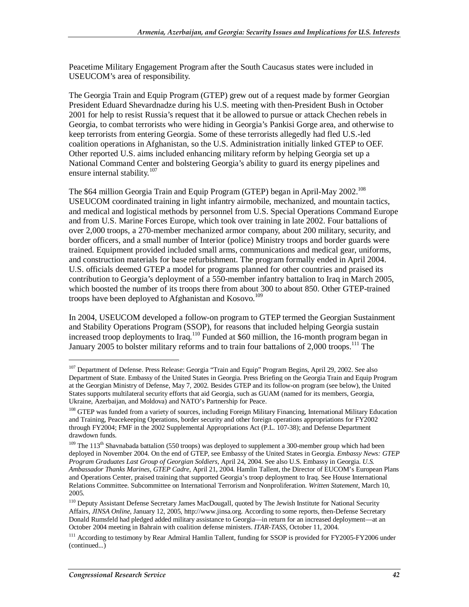Peacetime Military Engagement Program after the South Caucasus states were included in USEUCOM's area of responsibility.

The Georgia Train and Equip Program (GTEP) grew out of a request made by former Georgian President Eduard Shevardnadze during his U.S. meeting with then-President Bush in October 2001 for help to resist Russia's request that it be allowed to pursue or attack Chechen rebels in Georgia, to combat terrorists who were hiding in Georgia's Pankisi Gorge area, and otherwise to keep terrorists from entering Georgia. Some of these terrorists allegedly had fled U.S.-led coalition operations in Afghanistan, so the U.S. Administration initially linked GTEP to OEF. Other reported U.S. aims included enhancing military reform by helping Georgia set up a National Command Center and bolstering Georgia's ability to guard its energy pipelines and ensure internal stability.<sup>107</sup>

The \$64 million Georgia Train and Equip Program (GTEP) began in April-May 2002.108 USEUCOM coordinated training in light infantry airmobile, mechanized, and mountain tactics, and medical and logistical methods by personnel from U.S. Special Operations Command Europe and from U.S. Marine Forces Europe, which took over training in late 2002. Four battalions of over 2,000 troops, a 270-member mechanized armor company, about 200 military, security, and border officers, and a small number of Interior (police) Ministry troops and border guards were trained. Equipment provided included small arms, communications and medical gear, uniforms, and construction materials for base refurbishment. The program formally ended in April 2004. U.S. officials deemed GTEP a model for programs planned for other countries and praised its contribution to Georgia's deployment of a 550-member infantry battalion to Iraq in March 2005, which boosted the number of its troops there from about 300 to about 850. Other GTEP-trained troops have been deployed to Afghanistan and Kosovo.<sup>109</sup>

In 2004, USEUCOM developed a follow-on program to GTEP termed the Georgian Sustainment and Stability Operations Program (SSOP), for reasons that included helping Georgia sustain increased troop deployments to Iraq.<sup>110</sup> Funded at \$60 million, the 16-month program began in January 2005 to bolster military reforms and to train four battalions of  $2,000$  troops.<sup>111</sup> The

<sup>&</sup>lt;sup>107</sup> Department of Defense. Press Release: Georgia "Train and Equip" Program Begins, April 29, 2002. See also Department of State. Embassy of the United States in Georgia. Press Briefing on the Georgia Train and Equip Program at the Georgian Ministry of Defense, May 7, 2002. Besides GTEP and its follow-on program (see below), the United States supports multilateral security efforts that aid Georgia, such as GUAM (named for its members, Georgia, Ukraine, Azerbaijan, and Moldova) and NATO's Partnership for Peace.

<sup>&</sup>lt;sup>108</sup> GTEP was funded from a variety of sources, including Foreign Military Financing, International Military Education and Training, Peacekeeping Operations, border security and other foreign operations appropriations for FY2002 through FY2004; FMF in the 2002 Supplemental Appropriations Act (P.L. 107-38); and Defense Department drawdown funds.

<sup>&</sup>lt;sup>109</sup> The 113<sup>th</sup> Shavnabada battalion (550 troops) was deployed to supplement a 300-member group which had been deployed in November 2004. On the end of GTEP, see Embassy of the United States in Georgia. *Embassy News: GTEP Program Graduates Last Group of Georgian Soldiers*, April 24, 2004. See also U.S. Embassy in Georgia. *U.S. Ambassador Thanks Marines, GTEP Cadre*, April 21, 2004. Hamlin Tallent, the Director of EUCOM's European Plans and Operations Center, praised training that supported Georgia's troop deployment to Iraq. See House International Relations Committee. Subcommittee on International Terrorism and Nonproliferation. *Written Statement*, March 10, 2005.

<sup>&</sup>lt;sup>110</sup> Deputy Assistant Defense Secretary James MacDougall, quoted by The Jewish Institute for National Security Affairs, *JINSA Online*, January 12, 2005, http://www.jinsa.org. According to some reports, then-Defense Secretary Donald Rumsfeld had pledged added military assistance to Georgia—in return for an increased deployment—at an October 2004 meeting in Bahrain with coalition defense ministers. *ITAR-TASS*, October 11, 2004.

<sup>&</sup>lt;sup>111</sup> According to testimony by Rear Admiral Hamlin Tallent, funding for SSOP is provided for FY2005-FY2006 under (continued...)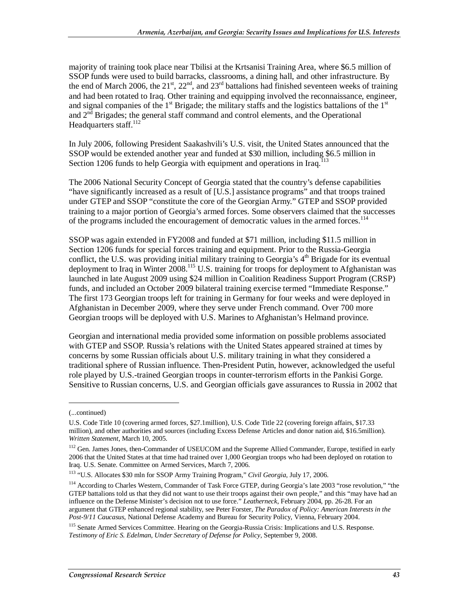majority of training took place near Tbilisi at the Krtsanisi Training Area, where \$6.5 million of SSOP funds were used to build barracks, classrooms, a dining hall, and other infrastructure. By the end of March 2006, the 21<sup>st</sup>, 22<sup>nd</sup>, and 23<sup>rd</sup> battalions had finished seventeen weeks of training and had been rotated to Iraq. Other training and equipping involved the reconnaissance, engineer, and signal companies of the 1<sup>st</sup> Brigade; the military staffs and the logistics battalions of the 1<sup>st</sup> and  $2<sup>nd</sup>$  Brigades; the general staff command and control elements, and the Operational Headquarters staff.<sup>112</sup>

In July 2006, following President Saakashvili's U.S. visit, the United States announced that the SSOP would be extended another year and funded at \$30 million, including \$6.5 million in Section 1206 funds to help Georgia with equipment and operations in Iraq.<sup>1</sup>

The 2006 National Security Concept of Georgia stated that the country's defense capabilities "have significantly increased as a result of [U.S.] assistance programs" and that troops trained under GTEP and SSOP "constitute the core of the Georgian Army." GTEP and SSOP provided training to a major portion of Georgia's armed forces. Some observers claimed that the successes of the programs included the encouragement of democratic values in the armed forces.<sup>114</sup>

SSOP was again extended in FY2008 and funded at \$71 million, including \$11.5 million in Section 1206 funds for special forces training and equipment. Prior to the Russia-Georgia conflict, the U.S. was providing initial military training to Georgia's  $4<sup>th</sup>$  Brigade for its eventual deployment to Iraq in Winter 2008.<sup>115</sup> U.S. training for troops for deployment to Afghanistan was launched in late August 2009 using \$24 million in Coalition Readiness Support Program (CRSP) funds, and included an October 2009 bilateral training exercise termed "Immediate Response." The first 173 Georgian troops left for training in Germany for four weeks and were deployed in Afghanistan in December 2009, where they serve under French command. Over 700 more Georgian troops will be deployed with U.S. Marines to Afghanistan's Helmand province.

Georgian and international media provided some information on possible problems associated with GTEP and SSOP. Russia's relations with the United States appeared strained at times by concerns by some Russian officials about U.S. military training in what they considered a traditional sphere of Russian influence. Then-President Putin, however, acknowledged the useful role played by U.S.-trained Georgian troops in counter-terrorism efforts in the Pankisi Gorge. Sensitive to Russian concerns, U.S. and Georgian officials gave assurances to Russia in 2002 that

<sup>(...</sup>continued)

U.S. Code Title 10 (covering armed forces, \$27.1million), U.S. Code Title 22 (covering foreign affairs, \$17.33 million), and other authorities and sources (including Excess Defense Articles and donor nation aid, \$16.5million). *Written Statement*, March 10, 2005.

<sup>&</sup>lt;sup>112</sup> Gen. James Jones, then-Commander of USEUCOM and the Supreme Allied Commander, Europe, testified in early 2006 that the United States at that time had trained over 1,000 Georgian troops who had been deployed on rotation to Iraq. U.S. Senate. Committee on Armed Services, March 7, 2006.

<sup>113 &</sup>quot;U.S. Allocates \$30 mln for SSOP Army Training Program," *Civil Georgia*, July 17, 2006.

<sup>&</sup>lt;sup>114</sup> According to Charles Western, Commander of Task Force GTEP, during Georgia's late 2003 "rose revolution," "the GTEP battalions told us that they did not want to use their troops against their own people," and this "may have had an influence on the Defense Minister's decision not to use force." *Leatherneck*, February 2004, pp. 26-28. For an argument that GTEP enhanced regional stability, see Peter Forster, *The Paradox of Policy: American Interests in the Post-9/11 Caucasus*, National Defense Academy and Bureau for Security Policy, Vienna, February 2004.

<sup>&</sup>lt;sup>115</sup> Senate Armed Services Committee. Hearing on the Georgia-Russia Crisis: Implications and U.S. Response. *Testimony of Eric S. Edelman, Under Secretary of Defense for Policy*, September 9, 2008.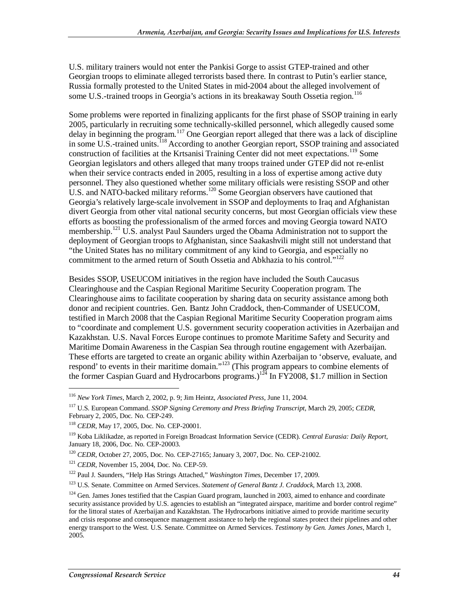U.S. military trainers would not enter the Pankisi Gorge to assist GTEP-trained and other Georgian troops to eliminate alleged terrorists based there. In contrast to Putin's earlier stance, Russia formally protested to the United States in mid-2004 about the alleged involvement of some U.S.-trained troops in Georgia's actions in its breakaway South Ossetia region.<sup>116</sup>

Some problems were reported in finalizing applicants for the first phase of SSOP training in early 2005, particularly in recruiting some technically-skilled personnel, which allegedly caused some delay in beginning the program.<sup>117</sup> One Georgian report alleged that there was a lack of discipline in some U.S.-trained units.<sup>118</sup> According to another Georgian report, SSOP training and associated construction of facilities at the Krtsanisi Training Center did not meet expectations.<sup>119</sup> Some Georgian legislators and others alleged that many troops trained under GTEP did not re-enlist when their service contracts ended in 2005, resulting in a loss of expertise among active duty personnel. They also questioned whether some military officials were resisting SSOP and other U.S. and NATO-backed military reforms.120 Some Georgian observers have cautioned that Georgia's relatively large-scale involvement in SSOP and deployments to Iraq and Afghanistan divert Georgia from other vital national security concerns, but most Georgian officials view these efforts as boosting the professionalism of the armed forces and moving Georgia toward NATO membership.<sup>121</sup> U.S. analyst Paul Saunders urged the Obama Administration not to support the deployment of Georgian troops to Afghanistan, since Saakashvili might still not understand that "the United States has no military commitment of any kind to Georgia, and especially no commitment to the armed return of South Ossetia and Abkhazia to his control."<sup>122</sup>

Besides SSOP, USEUCOM initiatives in the region have included the South Caucasus Clearinghouse and the Caspian Regional Maritime Security Cooperation program. The Clearinghouse aims to facilitate cooperation by sharing data on security assistance among both donor and recipient countries. Gen. Bantz John Craddock, then-Commander of USEUCOM, testified in March 2008 that the Caspian Regional Maritime Security Cooperation program aims to "coordinate and complement U.S. government security cooperation activities in Azerbaijan and Kazakhstan. U.S. Naval Forces Europe continues to promote Maritime Safety and Security and Maritime Domain Awareness in the Caspian Sea through routine engagement with Azerbaijan. These efforts are targeted to create an organic ability within Azerbaijan to 'observe, evaluate, and respond' to events in their maritime domain."<sup>123</sup> (This program appears to combine elements of the former Caspian Guard and Hydrocarbons programs.)<sup>124</sup> In FY2008, \$1.7 million in Section

<sup>116</sup> *New York Times*, March 2, 2002, p. 9; Jim Heintz, *Associated Press*, June 11, 2004.

<sup>117</sup> U.S. European Command. *SSOP Signing Ceremony and Press Briefing Transcript*, March 29, 2005; *CEDR*, February 2, 2005, Doc. No. CEP-249.

<sup>118</sup> *CEDR*, May 17, 2005, Doc. No. CEP-20001.

<sup>119</sup> Koba Liklikadze, as reported in Foreign Broadcast Information Service (CEDR). *Central Eurasia: Daily Report*, January 18, 2006, Doc. No. CEP-20003.

<sup>&</sup>lt;sup>120</sup> *CEDR*, October 27, 2005, Doc. No. CEP-27165; January 3, 2007, Doc. No. CEP-21002. <sup>121</sup> *CEDR*, November 15, 2004, Doc. No. CEP-59.

<sup>122</sup> Paul J. Saunders, "Help Has Strings Attached," *Washington Times*, December 17, 2009.

<sup>123</sup> U.S. Senate. Committee on Armed Services. *Statement of General Bantz J. Craddock*, March 13, 2008.

 $124$  Gen. James Jones testified that the Caspian Guard program, launched in 2003, aimed to enhance and coordinate security assistance provided by U.S. agencies to establish an "integrated airspace, maritime and border control regime" for the littoral states of Azerbaijan and Kazakhstan. The Hydrocarbons initiative aimed to provide maritime security and crisis response and consequence management assistance to help the regional states protect their pipelines and other energy transport to the West. U.S. Senate. Committee on Armed Services. *Testimony by Gen. James Jones*, March 1, 2005.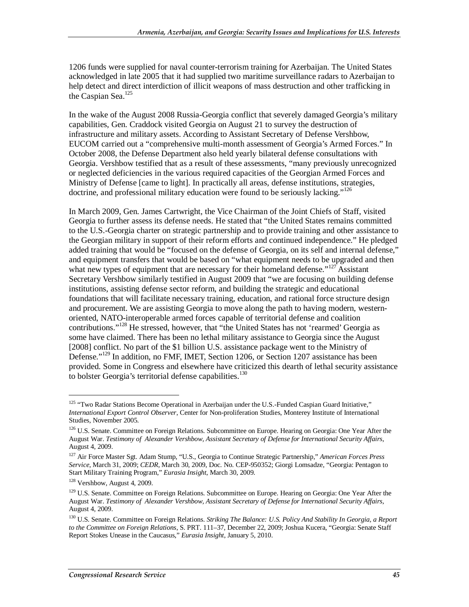1206 funds were supplied for naval counter-terrorism training for Azerbaijan. The United States acknowledged in late 2005 that it had supplied two maritime surveillance radars to Azerbaijan to help detect and direct interdiction of illicit weapons of mass destruction and other trafficking in the Caspian Sea. $^{125}$ 

In the wake of the August 2008 Russia-Georgia conflict that severely damaged Georgia's military capabilities, Gen. Craddock visited Georgia on August 21 to survey the destruction of infrastructure and military assets. According to Assistant Secretary of Defense Vershbow, EUCOM carried out a "comprehensive multi-month assessment of Georgia's Armed Forces." In October 2008, the Defense Department also held yearly bilateral defense consultations with Georgia. Vershbow testified that as a result of these assessments, "many previously unrecognized or neglected deficiencies in the various required capacities of the Georgian Armed Forces and Ministry of Defense [came to light]. In practically all areas, defense institutions, strategies, doctrine, and professional military education were found to be seriously lacking."<sup>126</sup>

In March 2009, Gen. James Cartwright, the Vice Chairman of the Joint Chiefs of Staff, visited Georgia to further assess its defense needs. He stated that "the United States remains committed to the U.S.-Georgia charter on strategic partnership and to provide training and other assistance to the Georgian military in support of their reform efforts and continued independence." He pledged added training that would be "focused on the defense of Georgia, on its self and internal defense," and equipment transfers that would be based on "what equipment needs to be upgraded and then what new types of equipment that are necessary for their homeland defense."<sup>127</sup> Assistant Secretary Vershbow similarly testified in August 2009 that "we are focusing on building defense institutions, assisting defense sector reform, and building the strategic and educational foundations that will facilitate necessary training, education, and rational force structure design and procurement. We are assisting Georgia to move along the path to having modern, westernoriented, NATO-interoperable armed forces capable of territorial defense and coalition contributions."<sup>128</sup> He stressed, however, that "the United States has not 'rearmed' Georgia as some have claimed. There has been no lethal military assistance to Georgia since the August [2008] conflict. No part of the \$1 billion U.S. assistance package went to the Ministry of Defense."<sup>129</sup> In addition, no FMF, IMET, Section 1206, or Section 1207 assistance has been provided. Some in Congress and elsewhere have criticized this dearth of lethal security assistance to bolster Georgia's territorial defense capabilities. $130$ 

<sup>&</sup>lt;sup>125</sup> "Two Radar Stations Become Operational in Azerbaijan under the U.S.-Funded Caspian Guard Initiative," *International Export Control Observer*, Center for Non-proliferation Studies, Monterey Institute of International Studies, November 2005.

<sup>&</sup>lt;sup>126</sup> U.S. Senate. Committee on Foreign Relations. Subcommittee on Europe. Hearing on Georgia: One Year After the August War. *Testimony of Alexander Vershbow, Assistant Secretary of Defense for International Security Affairs*, August 4, 2009.

<sup>127</sup> Air Force Master Sgt. Adam Stump, "U.S., Georgia to Continue Strategic Partnership," *American Forces Press Service*, March 31, 2009; *CEDR*, March 30, 2009, Doc. No. CEP-950352; Giorgi Lomsadze, "Georgia: Pentagon to Start Military Training Program," *Eurasia Insight*, March 30, 2009.

<sup>128</sup> Vershbow, August 4, 2009.

<sup>&</sup>lt;sup>129</sup> U.S. Senate. Committee on Foreign Relations. Subcommittee on Europe. Hearing on Georgia: One Year After the August War. *Testimony of Alexander Vershbow, Assistant Secretary of Defense for International Security Affairs*, August 4, 2009.

<sup>130</sup> U.S. Senate. Committee on Foreign Relations. *Striking The Balance: U.S. Policy And Stability In Georgia, a Report to the Committee on Foreign Relations*, S. PRT. 111–37, December 22, 2009; Joshua Kucera, "Georgia: Senate Staff Report Stokes Unease in the Caucasus," *Eurasia Insight*, January 5, 2010.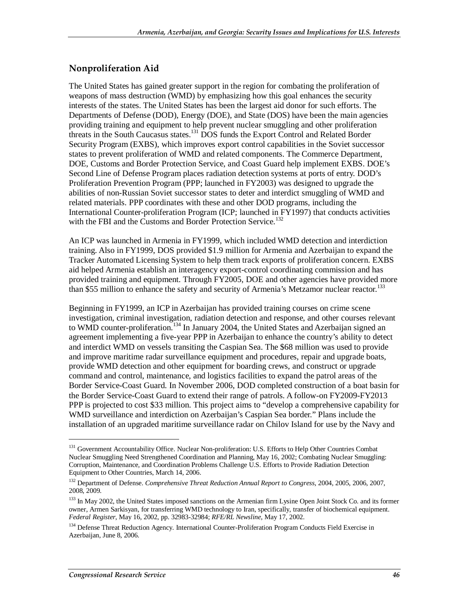#### **Nonproliferation Aid**

The United States has gained greater support in the region for combating the proliferation of weapons of mass destruction (WMD) by emphasizing how this goal enhances the security interests of the states. The United States has been the largest aid donor for such efforts. The Departments of Defense (DOD), Energy (DOE), and State (DOS) have been the main agencies providing training and equipment to help prevent nuclear smuggling and other proliferation threats in the South Caucasus states.131 DOS funds the Export Control and Related Border Security Program (EXBS), which improves export control capabilities in the Soviet successor states to prevent proliferation of WMD and related components. The Commerce Department, DOE, Customs and Border Protection Service, and Coast Guard help implement EXBS. DOE's Second Line of Defense Program places radiation detection systems at ports of entry. DOD's Proliferation Prevention Program (PPP; launched in FY2003) was designed to upgrade the abilities of non-Russian Soviet successor states to deter and interdict smuggling of WMD and related materials. PPP coordinates with these and other DOD programs, including the International Counter-proliferation Program (ICP; launched in FY1997) that conducts activities with the FBI and the Customs and Border Protection Service.<sup>132</sup>

An ICP was launched in Armenia in FY1999, which included WMD detection and interdiction training. Also in FY1999, DOS provided \$1.9 million for Armenia and Azerbaijan to expand the Tracker Automated Licensing System to help them track exports of proliferation concern. EXBS aid helped Armenia establish an interagency export-control coordinating commission and has provided training and equipment. Through FY2005, DOE and other agencies have provided more than \$55 million to enhance the safety and security of Armenia's Metzamor nuclear reactor.<sup>133</sup>

Beginning in FY1999, an ICP in Azerbaijan has provided training courses on crime scene investigation, criminal investigation, radiation detection and response, and other courses relevant to WMD counter-proliferation.<sup>134</sup> In January 2004, the United States and Azerbaijan signed an agreement implementing a five-year PPP in Azerbaijan to enhance the country's ability to detect and interdict WMD on vessels transiting the Caspian Sea. The \$68 million was used to provide and improve maritime radar surveillance equipment and procedures, repair and upgrade boats, provide WMD detection and other equipment for boarding crews, and construct or upgrade command and control, maintenance, and logistics facilities to expand the patrol areas of the Border Service-Coast Guard. In November 2006, DOD completed construction of a boat basin for the Border Service-Coast Guard to extend their range of patrols. A follow-on FY2009-FY2013 PPP is projected to cost \$33 million. This project aims to "develop a comprehensive capability for WMD surveillance and interdiction on Azerbaijan's Caspian Sea border." Plans include the installation of an upgraded maritime surveillance radar on Chilov Island for use by the Navy and

<sup>&</sup>lt;sup>131</sup> Government Accountability Office. Nuclear Non-proliferation: U.S. Efforts to Help Other Countries Combat Nuclear Smuggling Need Strengthened Coordination and Planning, May 16, 2002; Combating Nuclear Smuggling: Corruption, Maintenance, and Coordination Problems Challenge U.S. Efforts to Provide Radiation Detection Equipment to Other Countries, March 14, 2006.

<sup>132</sup> Department of Defense. *Comprehensive Threat Reduction Annual Report to Congress*, 2004, 2005, 2006, 2007, 2008, 2009.

<sup>&</sup>lt;sup>133</sup> In May 2002, the United States imposed sanctions on the Armenian firm Lysine Open Joint Stock Co. and its former owner, Armen Sarkisyan, for transferring WMD technology to Iran, specifically, transfer of biochemical equipment. *Federal Register*, May 16, 2002, pp. 32983-32984; *RFE/RL Newsline*, May 17, 2002.

<sup>&</sup>lt;sup>134</sup> Defense Threat Reduction Agency. International Counter-Proliferation Program Conducts Field Exercise in Azerbaijan, June 8, 2006.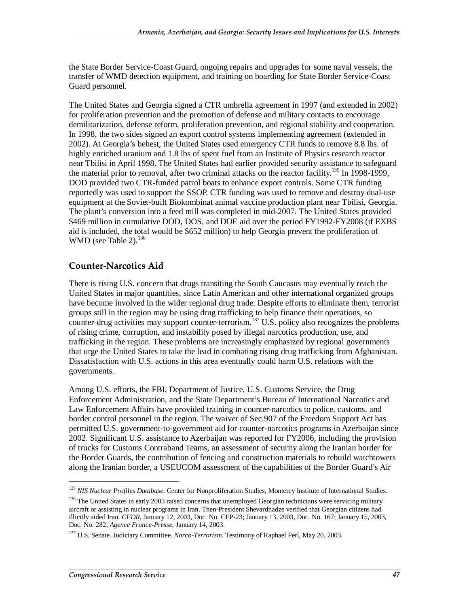the State Border Service-Coast Guard, ongoing repairs and upgrades for some naval vessels, the transfer of WMD detection equipment, and training on boarding for State Border Service-Coast Guard personnel.

The United States and Georgia signed a CTR umbrella agreement in 1997 (and extended in 2002) for proliferation prevention and the promotion of defense and military contacts to encourage demilitarization, defense reform, proliferation prevention, and regional stability and cooperation. In 1998, the two sides signed an export control systems implementing agreement (extended in 2002). At Georgia's behest, the United States used emergency CTR funds to remove 8.8 lbs. of highly enriched uranium and 1.8 lbs of spent fuel from an Institute of Physics research reactor near Tbilisi in April 1998. The United States had earlier provided security assistance to safeguard the material prior to removal, after two criminal attacks on the reactor facility.<sup>135</sup> In 1998-1999, DOD provided two CTR-funded patrol boats to enhance export controls. Some CTR funding reportedly was used to support the SSOP. CTR funding was used to remove and destroy dual-use equipment at the Soviet-built Biokombinat animal vaccine production plant near Tbilisi, Georgia. The plant's conversion into a feed mill was completed in mid-2007. The United States provided \$469 million in cumulative DOD, DOS, and DOE aid over the period FY1992-FY2008 (if EXBS aid is included, the total would be \$652 million) to help Georgia prevent the proliferation of WMD (see Table 2). $^{136}$ 

#### **Counter-Narcotics Aid**

There is rising U.S. concern that drugs transiting the South Caucasus may eventually reach the United States in major quantities, since Latin American and other international organized groups have become involved in the wider regional drug trade. Despite efforts to eliminate them, terrorist groups still in the region may be using drug trafficking to help finance their operations, so counter-drug activities may support counter-terrorism.<sup>137</sup> U.S. policy also recognizes the problems of rising crime, corruption, and instability posed by illegal narcotics production, use, and trafficking in the region. These problems are increasingly emphasized by regional governments that urge the United States to take the lead in combating rising drug trafficking from Afghanistan. Dissatisfaction with U.S. actions in this area eventually could harm U.S. relations with the governments.

Among U.S. efforts, the FBI, Department of Justice, U.S. Customs Service, the Drug Enforcement Administration, and the State Department's Bureau of International Narcotics and Law Enforcement Affairs have provided training in counter-narcotics to police, customs, and border control personnel in the region. The waiver of Sec.907 of the Freedom Support Act has permitted U.S. government-to-government aid for counter-narcotics programs in Azerbaijan since 2002. Significant U.S. assistance to Azerbaijan was reported for FY2006, including the provision of trucks for Customs Contraband Teams, an assessment of security along the Iranian border for the Border Guards, the contribution of fencing and construction materials to rebuild watchtowers along the Iranian border, a USEUCOM assessment of the capabilities of the Border Guard's Air

<sup>135</sup> *NIS Nuclear Profiles Database*. Center for Nonproliferation Studies, Monterey Institute of International Studies.

<sup>&</sup>lt;sup>136</sup> The United States in early 2003 raised concerns that unemployed Georgian technicians were servicing military aircraft or assisting in nuclear programs in Iran. Then-President Shevardnadze verified that Georgian citizens had illicitly aided Iran. *CEDR*, January 12, 2003, Doc. No. CEP-23; January 13, 2003, Doc. No. 167; January 15, 2003, Doc. No. 282; *Agence France-Presse*, January 14, 2003.

<sup>137</sup> U.S. Senate. Judiciary Committee. *Narco-Terrorism*. Testimony of Raphael Perl, May 20, 2003.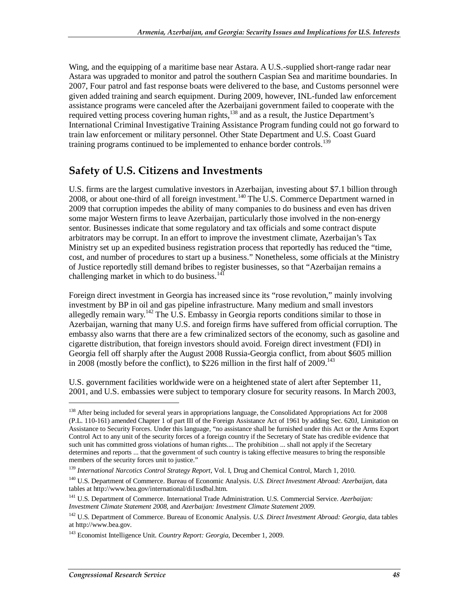Wing, and the equipping of a maritime base near Astara. A U.S.-supplied short-range radar near Astara was upgraded to monitor and patrol the southern Caspian Sea and maritime boundaries. In 2007, Four patrol and fast response boats were delivered to the base, and Customs personnel were given added training and search equipment. During 2009, however, INL-funded law enforcement assistance programs were canceled after the Azerbaijani government failed to cooperate with the required vetting process covering human rights,<sup>138</sup> and as a result, the Justice Department's International Criminal Investigative Training Assistance Program funding could not go forward to train law enforcement or military personnel. Other State Department and U.S. Coast Guard training programs continued to be implemented to enhance border controls.<sup>139</sup>

### **Safety of U.S. Citizens and Investments**

U.S. firms are the largest cumulative investors in Azerbaijan, investing about \$7.1 billion through 2008, or about one-third of all foreign investment.<sup>140</sup> The U.S. Commerce Department warned in 2009 that corruption impedes the ability of many companies to do business and even has driven some major Western firms to leave Azerbaijan, particularly those involved in the non-energy sentor. Businesses indicate that some regulatory and tax officials and some contract dispute arbitrators may be corrupt. In an effort to improve the investment climate, Azerbaijan's Tax Ministry set up an expedited business registration process that reportedly has reduced the "time, cost, and number of procedures to start up a business." Nonetheless, some officials at the Ministry of Justice reportedly still demand bribes to register businesses, so that "Azerbaijan remains a challenging market in which to do business. $141$ 

Foreign direct investment in Georgia has increased since its "rose revolution," mainly involving investment by BP in oil and gas pipeline infrastructure. Many medium and small investors allegedly remain wary.<sup>142</sup> The U.S. Embassy in Georgia reports conditions similar to those in Azerbaijan, warning that many U.S. and foreign firms have suffered from official corruption. The embassy also warns that there are a few criminalized sectors of the economy, such as gasoline and cigarette distribution, that foreign investors should avoid. Foreign direct investment (FDI) in Georgia fell off sharply after the August 2008 Russia-Georgia conflict, from about \$605 million in 2008 (mostly before the conflict), to \$226 million in the first half of  $2009$ .<sup>143</sup>

U.S. government facilities worldwide were on a heightened state of alert after September 11, 2001, and U.S. embassies were subject to temporary closure for security reasons. In March 2003,

<sup>&</sup>lt;sup>138</sup> After being included for several years in appropriations language, the Consolidated Appropriations Act for 2008 (P.L. 110-161) amended Chapter 1 of part III of the Foreign Assistance Act of 1961 by adding Sec. 620J, Limitation on Assistance to Security Forces. Under this language, "no assistance shall be furnished under this Act or the Arms Export Control Act to any unit of the security forces of a foreign country if the Secretary of State has credible evidence that such unit has committed gross violations of human rights.... The prohibition ... shall not apply if the Secretary determines and reports ... that the government of such country is taking effective measures to bring the responsible members of the security forces unit to justice."

<sup>139</sup> *International Narcotics Control Strategy Report*, Vol. I, Drug and Chemical Control, March 1, 2010.

<sup>140</sup> U.S. Department of Commerce. Bureau of Economic Analysis. *U.S. Direct Investment Abroad: Azerbaijan*, data tables at http://www.bea.gov/international/di1usdbal.htm.

<sup>141</sup> U.S. Department of Commerce. International Trade Administration. U.S. Commercial Service. *Azerbaijan: Investment Climate Statement 2008,* and *Azerbaijan: Investment Climate Statement 2009.*

<sup>&</sup>lt;sup>142</sup> U.S. Department of Commerce. Bureau of Economic Analysis. *U.S. Direct Investment Abroad: Georgia*, data tables at http://www.bea.gov.

<sup>143</sup> Economist Intelligence Unit. *Country Report: Georgia*, December 1, 2009*.*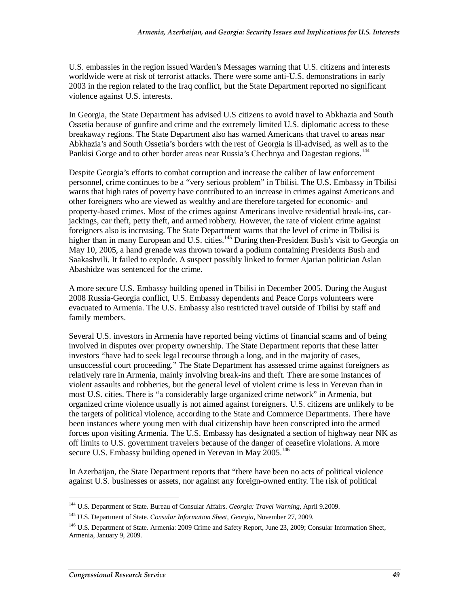U.S. embassies in the region issued Warden's Messages warning that U.S. citizens and interests worldwide were at risk of terrorist attacks. There were some anti-U.S. demonstrations in early 2003 in the region related to the Iraq conflict, but the State Department reported no significant violence against U.S. interests.

In Georgia, the State Department has advised U.S citizens to avoid travel to Abkhazia and South Ossetia because of gunfire and crime and the extremely limited U.S. diplomatic access to these breakaway regions. The State Department also has warned Americans that travel to areas near Abkhazia's and South Ossetia's borders with the rest of Georgia is ill-advised, as well as to the Pankisi Gorge and to other border areas near Russia's Chechnya and Dagestan regions.<sup>144</sup>

Despite Georgia's efforts to combat corruption and increase the caliber of law enforcement personnel, crime continues to be a "very serious problem" in Tbilisi. The U.S. Embassy in Tbilisi warns that high rates of poverty have contributed to an increase in crimes against Americans and other foreigners who are viewed as wealthy and are therefore targeted for economic- and property-based crimes. Most of the crimes against Americans involve residential break-ins, carjackings, car theft, petty theft, and armed robbery. However, the rate of violent crime against foreigners also is increasing. The State Department warns that the level of crime in Tbilisi is higher than in many European and U.S. cities.<sup>145</sup> During then-President Bush's visit to Georgia on May 10, 2005, a hand grenade was thrown toward a podium containing Presidents Bush and Saakashvili. It failed to explode. A suspect possibly linked to former Ajarian politician Aslan Abashidze was sentenced for the crime.

A more secure U.S. Embassy building opened in Tbilisi in December 2005. During the August 2008 Russia-Georgia conflict, U.S. Embassy dependents and Peace Corps volunteers were evacuated to Armenia. The U.S. Embassy also restricted travel outside of Tbilisi by staff and family members.

Several U.S. investors in Armenia have reported being victims of financial scams and of being involved in disputes over property ownership. The State Department reports that these latter investors "have had to seek legal recourse through a long, and in the majority of cases, unsuccessful court proceeding." The State Department has assessed crime against foreigners as relatively rare in Armenia, mainly involving break-ins and theft. There are some instances of violent assaults and robberies, but the general level of violent crime is less in Yerevan than in most U.S. cities. There is "a considerably large organized crime network" in Armenia, but organized crime violence usually is not aimed against foreigners. U.S. citizens are unlikely to be the targets of political violence, according to the State and Commerce Departments. There have been instances where young men with dual citizenship have been conscripted into the armed forces upon visiting Armenia. The U.S. Embassy has designated a section of highway near NK as off limits to U.S. government travelers because of the danger of ceasefire violations. A more secure U.S. Embassy building opened in Yerevan in May  $2005$ <sup>146</sup>

In Azerbaijan, the State Department reports that "there have been no acts of political violence against U.S. businesses or assets, nor against any foreign-owned entity. The risk of political

<sup>144</sup> U.S. Department of State. Bureau of Consular Affairs. *Georgia: Travel Warning*, April 9.2009.

<sup>145</sup> U.S. Department of State. *Consular Information Sheet, Georgia*, November 27, 2009.

<sup>&</sup>lt;sup>146</sup> U.S. Department of State. Armenia: 2009 Crime and Safety Report, June 23, 2009; Consular Information Sheet, Armenia, January 9, 2009.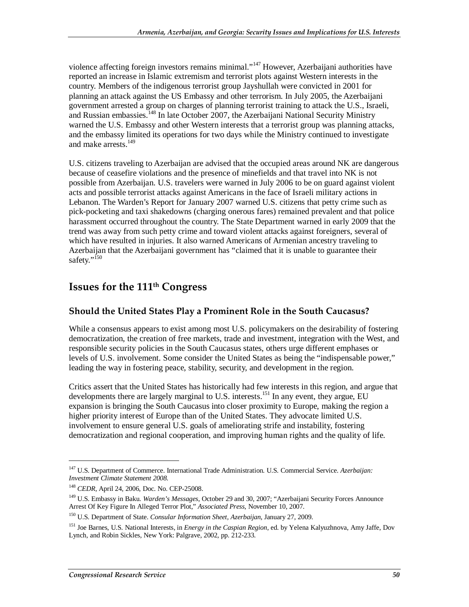violence affecting foreign investors remains minimal."147 However, Azerbaijani authorities have reported an increase in Islamic extremism and terrorist plots against Western interests in the country. Members of the indigenous terrorist group Jayshullah were convicted in 2001 for planning an attack against the US Embassy and other terrorism. In July 2005, the Azerbaijani government arrested a group on charges of planning terrorist training to attack the U.S., Israeli, and Russian embassies.<sup>148</sup> In late October 2007, the Azerbaijani National Security Ministry warned the U.S. Embassy and other Western interests that a terrorist group was planning attacks, and the embassy limited its operations for two days while the Ministry continued to investigate and make arrests.<sup>149</sup>

U.S. citizens traveling to Azerbaijan are advised that the occupied areas around NK are dangerous because of ceasefire violations and the presence of minefields and that travel into NK is not possible from Azerbaijan. U.S. travelers were warned in July 2006 to be on guard against violent acts and possible terrorist attacks against Americans in the face of Israeli military actions in Lebanon. The Warden's Report for January 2007 warned U.S. citizens that petty crime such as pick-pocketing and taxi shakedowns (charging onerous fares) remained prevalent and that police harassment occurred throughout the country. The State Department warned in early 2009 that the trend was away from such petty crime and toward violent attacks against foreigners, several of which have resulted in injuries. It also warned Americans of Armenian ancestry traveling to Azerbaijan that the Azerbaijani government has "claimed that it is unable to guarantee their safety."<sup>150</sup>

### **Issues for the 111th Congress**

#### **Should the United States Play a Prominent Role in the South Caucasus?**

While a consensus appears to exist among most U.S. policymakers on the desirability of fostering democratization, the creation of free markets, trade and investment, integration with the West, and responsible security policies in the South Caucasus states, others urge different emphases or levels of U.S. involvement. Some consider the United States as being the "indispensable power," leading the way in fostering peace, stability, security, and development in the region.

Critics assert that the United States has historically had few interests in this region, and argue that developments there are largely marginal to U.S. interests.<sup>151</sup> In any event, they argue, EU expansion is bringing the South Caucasus into closer proximity to Europe, making the region a higher priority interest of Europe than of the United States. They advocate limited U.S. involvement to ensure general U.S. goals of ameliorating strife and instability, fostering democratization and regional cooperation, and improving human rights and the quality of life.

<sup>147</sup> U.S. Department of Commerce. International Trade Administration. U.S. Commercial Service. *Azerbaijan: Investment Climate Statement 2008*.

<sup>148</sup> *CEDR*, April 24, 2006, Doc. No. CEP-25008.

<sup>149</sup> U.S. Embassy in Baku. *Warden's Messages*, October 29 and 30, 2007; "Azerbaijani Security Forces Announce Arrest Of Key Figure In Alleged Terror Plot," *Associated Press,* November 10, 2007.

<sup>150</sup> U.S. Department of State. *Consular Information Sheet, Azerbaijan*, January 27, 2009.

<sup>151</sup> Joe Barnes, U.S. National Interests, in *Energy in the Caspian Region*, ed. by Yelena Kalyuzhnova, Amy Jaffe, Dov Lynch, and Robin Sickles, New York: Palgrave, 2002, pp. 212-233.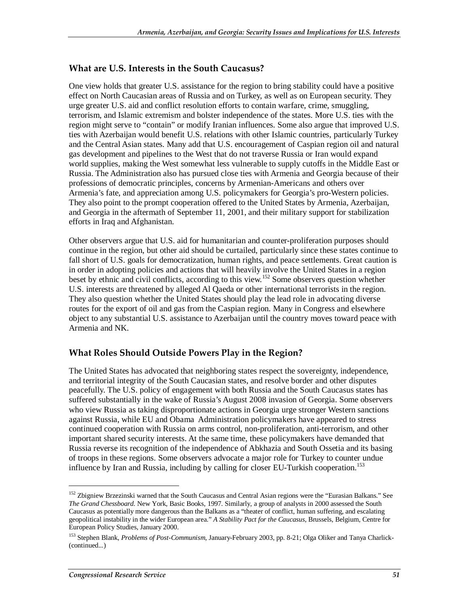#### **What are U.S. Interests in the South Caucasus?**

One view holds that greater U.S. assistance for the region to bring stability could have a positive effect on North Caucasian areas of Russia and on Turkey, as well as on European security. They urge greater U.S. aid and conflict resolution efforts to contain warfare, crime, smuggling, terrorism, and Islamic extremism and bolster independence of the states. More U.S. ties with the region might serve to "contain" or modify Iranian influences. Some also argue that improved U.S. ties with Azerbaijan would benefit U.S. relations with other Islamic countries, particularly Turkey and the Central Asian states. Many add that U.S. encouragement of Caspian region oil and natural gas development and pipelines to the West that do not traverse Russia or Iran would expand world supplies, making the West somewhat less vulnerable to supply cutoffs in the Middle East or Russia. The Administration also has pursued close ties with Armenia and Georgia because of their professions of democratic principles, concerns by Armenian-Americans and others over Armenia's fate, and appreciation among U.S. policymakers for Georgia's pro-Western policies. They also point to the prompt cooperation offered to the United States by Armenia, Azerbaijan, and Georgia in the aftermath of September 11, 2001, and their military support for stabilization efforts in Iraq and Afghanistan.

Other observers argue that U.S. aid for humanitarian and counter-proliferation purposes should continue in the region, but other aid should be curtailed, particularly since these states continue to fall short of U.S. goals for democratization, human rights, and peace settlements. Great caution is in order in adopting policies and actions that will heavily involve the United States in a region beset by ethnic and civil conflicts, according to this view.<sup>152</sup> Some observers question whether U.S. interests are threatened by alleged Al Qaeda or other international terrorists in the region. They also question whether the United States should play the lead role in advocating diverse routes for the export of oil and gas from the Caspian region. Many in Congress and elsewhere object to any substantial U.S. assistance to Azerbaijan until the country moves toward peace with Armenia and NK.

#### **What Roles Should Outside Powers Play in the Region?**

The United States has advocated that neighboring states respect the sovereignty, independence, and territorial integrity of the South Caucasian states, and resolve border and other disputes peacefully. The U.S. policy of engagement with both Russia and the South Caucasus states has suffered substantially in the wake of Russia's August 2008 invasion of Georgia. Some observers who view Russia as taking disproportionate actions in Georgia urge stronger Western sanctions against Russia, while EU and Obama Administration policymakers have appeared to stress continued cooperation with Russia on arms control, non-proliferation, anti-terrorism, and other important shared security interests. At the same time, these policymakers have demanded that Russia reverse its recognition of the independence of Abkhazia and South Ossetia and its basing of troops in these regions. Some observers advocate a major role for Turkey to counter undue influence by Iran and Russia, including by calling for closer EU-Turkish cooperation.<sup>153</sup>

<sup>&</sup>lt;sup>152</sup> Zbigniew Brzezinski warned that the South Caucasus and Central Asian regions were the "Eurasian Balkans." See *The Grand Chessboard*. New York, Basic Books, 1997. Similarly, a group of analysts in 2000 assessed the South Caucasus as potentially more dangerous than the Balkans as a "theater of conflict, human suffering, and escalating geopolitical instability in the wider European area." *A Stability Pact for the Caucasus*, Brussels, Belgium, Centre for European Policy Studies, January 2000.

<sup>153</sup> Stephen Blank, *Problems of Post-Communism*, January-February 2003, pp. 8-21; Olga Oliker and Tanya Charlick- (continued...)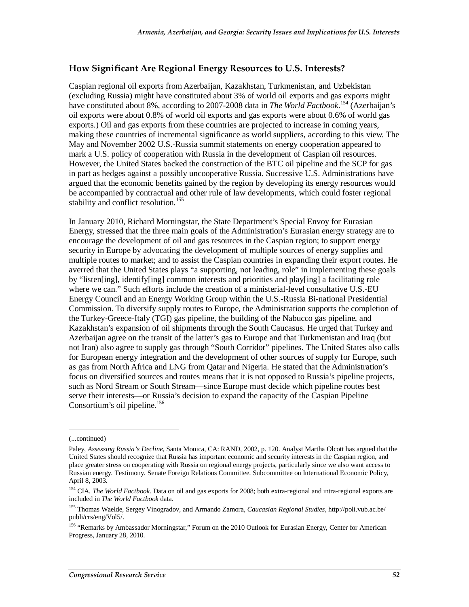#### **How Significant Are Regional Energy Resources to U.S. Interests?**

Caspian regional oil exports from Azerbaijan, Kazakhstan, Turkmenistan, and Uzbekistan (excluding Russia) might have constituted about 3% of world oil exports and gas exports might have constituted about 8%, according to 2007-2008 data in *The World Factbook*. 154 (Azerbaijan's oil exports were about 0.8% of world oil exports and gas exports were about 0.6% of world gas exports.) Oil and gas exports from these countries are projected to increase in coming years, making these countries of incremental significance as world suppliers, according to this view. The May and November 2002 U.S.-Russia summit statements on energy cooperation appeared to mark a U.S. policy of cooperation with Russia in the development of Caspian oil resources. However, the United States backed the construction of the BTC oil pipeline and the SCP for gas in part as hedges against a possibly uncooperative Russia. Successive U.S. Administrations have argued that the economic benefits gained by the region by developing its energy resources would be accompanied by contractual and other rule of law developments, which could foster regional stability and conflict resolution.<sup>155</sup>

In January 2010, Richard Morningstar, the State Department's Special Envoy for Eurasian Energy, stressed that the three main goals of the Administration's Eurasian energy strategy are to encourage the development of oil and gas resources in the Caspian region; to support energy security in Europe by advocating the development of multiple sources of energy supplies and multiple routes to market; and to assist the Caspian countries in expanding their export routes. He averred that the United States plays "a supporting, not leading, role" in implementing these goals by "listen[ing], identify[ing] common interests and priorities and play[ing] a facilitating role where we can." Such efforts include the creation of a ministerial-level consultative U.S.-EU Energy Council and an Energy Working Group within the U.S.-Russia Bi-national Presidential Commission. To diversify supply routes to Europe, the Administration supports the completion of the Turkey-Greece-Italy (TGI) gas pipeline, the building of the Nabucco gas pipeline, and Kazakhstan's expansion of oil shipments through the South Caucasus. He urged that Turkey and Azerbaijan agree on the transit of the latter's gas to Europe and that Turkmenistan and Iraq (but not Iran) also agree to supply gas through "South Corridor" pipelines. The United States also calls for European energy integration and the development of other sources of supply for Europe, such as gas from North Africa and LNG from Qatar and Nigeria. He stated that the Administration's focus on diversified sources and routes means that it is not opposed to Russia's pipeline projects, such as Nord Stream or South Stream—since Europe must decide which pipeline routes best serve their interests—or Russia's decision to expand the capacity of the Caspian Pipeline Consortium's oil pipeline. $156$ 

<sup>(...</sup>continued)

Paley, *Assessing Russia's Decline*, Santa Monica, CA: RAND, 2002, p. 120. Analyst Martha Olcott has argued that the United States should recognize that Russia has important economic and security interests in the Caspian region, and place greater stress on cooperating with Russia on regional energy projects, particularly since we also want access to Russian energy. Testimony. Senate Foreign Relations Committee. Subcommittee on International Economic Policy, April 8, 2003.

<sup>154</sup> CIA. *The World Factbook*. Data on oil and gas exports for 2008; both extra-regional and intra-regional exports are included in *The World Factbook* data.

<sup>155</sup> Thomas Waelde, Sergey Vinogradov, and Armando Zamora, *Caucasian Regional Studies*, http://poli.vub.ac.be/ publi/crs/eng/Vol5/.

<sup>&</sup>lt;sup>156</sup> "Remarks by Ambassador Morningstar," Forum on the 2010 Outlook for Eurasian Energy, Center for American Progress, January 28, 2010.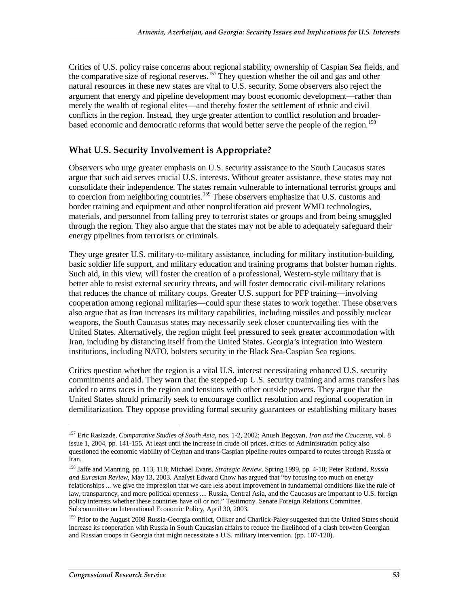Critics of U.S. policy raise concerns about regional stability, ownership of Caspian Sea fields, and the comparative size of regional reserves.<sup>157</sup> They question whether the oil and gas and other natural resources in these new states are vital to U.S. security. Some observers also reject the argument that energy and pipeline development may boost economic development—rather than merely the wealth of regional elites—and thereby foster the settlement of ethnic and civil conflicts in the region. Instead, they urge greater attention to conflict resolution and broaderbased economic and democratic reforms that would better serve the people of the region.<sup>158</sup>

#### **What U.S. Security Involvement is Appropriate?**

Observers who urge greater emphasis on U.S. security assistance to the South Caucasus states argue that such aid serves crucial U.S. interests. Without greater assistance, these states may not consolidate their independence. The states remain vulnerable to international terrorist groups and to coercion from neighboring countries.<sup>159</sup> These observers emphasize that U.S. customs and border training and equipment and other nonproliferation aid prevent WMD technologies, materials, and personnel from falling prey to terrorist states or groups and from being smuggled through the region. They also argue that the states may not be able to adequately safeguard their energy pipelines from terrorists or criminals.

They urge greater U.S. military-to-military assistance, including for military institution-building, basic soldier life support, and military education and training programs that bolster human rights. Such aid, in this view, will foster the creation of a professional, Western-style military that is better able to resist external security threats, and will foster democratic civil-military relations that reduces the chance of military coups. Greater U.S. support for PFP training—involving cooperation among regional militaries—could spur these states to work together. These observers also argue that as Iran increases its military capabilities, including missiles and possibly nuclear weapons, the South Caucasus states may necessarily seek closer countervailing ties with the United States. Alternatively, the region might feel pressured to seek greater accommodation with Iran, including by distancing itself from the United States. Georgia's integration into Western institutions, including NATO, bolsters security in the Black Sea-Caspian Sea regions.

Critics question whether the region is a vital U.S. interest necessitating enhanced U.S. security commitments and aid. They warn that the stepped-up U.S. security training and arms transfers has added to arms races in the region and tensions with other outside powers. They argue that the United States should primarily seek to encourage conflict resolution and regional cooperation in demilitarization. They oppose providing formal security guarantees or establishing military bases

<sup>157</sup> Eric Rasizade, *Comparative Studies of South Asia*, nos. 1-2, 2002; Anush Begoyan, *Iran and the Caucasus*, vol. 8 issue 1, 2004, pp. 141-155. At least until the increase in crude oil prices, critics of Administration policy also questioned the economic viability of Ceyhan and trans-Caspian pipeline routes compared to routes through Russia or Iran.

<sup>158</sup> Jaffe and Manning, pp. 113, 118; Michael Evans, *Strategic Review*, Spring 1999, pp. 4-10; Peter Rutland, *Russia and Eurasian Review*, May 13, 2003. Analyst Edward Chow has argued that "by focusing too much on energy relationships ... we give the impression that we care less about improvement in fundamental conditions like the rule of law, transparency, and more political openness .... Russia, Central Asia, and the Caucasus are important to U.S. foreign policy interests whether these countries have oil or not." Testimony. Senate Foreign Relations Committee. Subcommittee on International Economic Policy, April 30, 2003.

<sup>&</sup>lt;sup>159</sup> Prior to the August 2008 Russia-Georgia conflict, Oliker and Charlick-Paley suggested that the United States should increase its cooperation with Russia in South Caucasian affairs to reduce the likelihood of a clash between Georgian and Russian troops in Georgia that might necessitate a U.S. military intervention. (pp. 107-120).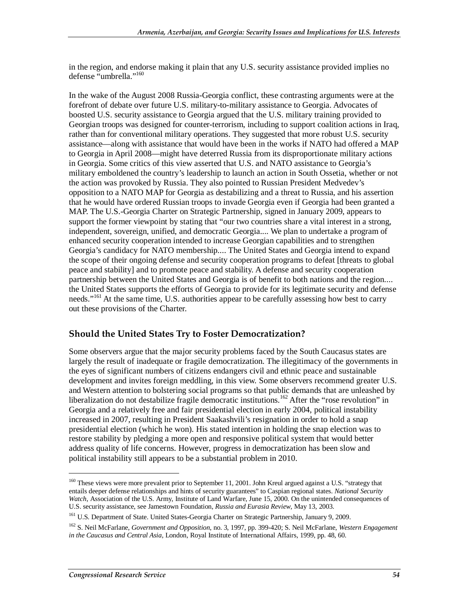in the region, and endorse making it plain that any U.S. security assistance provided implies no defense "umbrella."<sup>160</sup>

In the wake of the August 2008 Russia-Georgia conflict, these contrasting arguments were at the forefront of debate over future U.S. military-to-military assistance to Georgia. Advocates of boosted U.S. security assistance to Georgia argued that the U.S. military training provided to Georgian troops was designed for counter-terrorism, including to support coalition actions in Iraq, rather than for conventional military operations. They suggested that more robust U.S. security assistance—along with assistance that would have been in the works if NATO had offered a MAP to Georgia in April 2008—might have deterred Russia from its disproportionate military actions in Georgia. Some critics of this view asserted that U.S. and NATO assistance to Georgia's military emboldened the country's leadership to launch an action in South Ossetia, whether or not the action was provoked by Russia. They also pointed to Russian President Medvedev's opposition to a NATO MAP for Georgia as destabilizing and a threat to Russia, and his assertion that he would have ordered Russian troops to invade Georgia even if Georgia had been granted a MAP. The U.S.-Georgia Charter on Strategic Partnership, signed in January 2009, appears to support the former viewpoint by stating that "our two countries share a vital interest in a strong, independent, sovereign, unified, and democratic Georgia.... We plan to undertake a program of enhanced security cooperation intended to increase Georgian capabilities and to strengthen Georgia's candidacy for NATO membership.... The United States and Georgia intend to expand the scope of their ongoing defense and security cooperation programs to defeat [threats to global peace and stability] and to promote peace and stability. A defense and security cooperation partnership between the United States and Georgia is of benefit to both nations and the region.... the United States supports the efforts of Georgia to provide for its legitimate security and defense needs."<sup>161</sup> At the same time, U.S. authorities appear to be carefully assessing how best to carry out these provisions of the Charter.

#### **Should the United States Try to Foster Democratization?**

Some observers argue that the major security problems faced by the South Caucasus states are largely the result of inadequate or fragile democratization. The illegitimacy of the governments in the eyes of significant numbers of citizens endangers civil and ethnic peace and sustainable development and invites foreign meddling, in this view. Some observers recommend greater U.S. and Western attention to bolstering social programs so that public demands that are unleashed by liberalization do not destabilize fragile democratic institutions.<sup>162</sup> After the "rose revolution" in Georgia and a relatively free and fair presidential election in early 2004, political instability increased in 2007, resulting in President Saakashvili's resignation in order to hold a snap presidential election (which he won). His stated intention in holding the snap election was to restore stability by pledging a more open and responsive political system that would better address quality of life concerns. However, progress in democratization has been slow and political instability still appears to be a substantial problem in 2010.

<sup>&</sup>lt;sup>160</sup> These views were more prevalent prior to September 11, 2001. John Kreul argued against a U.S. "strategy that entails deeper defense relationships and hints of security guarantees" to Caspian regional states. *National Security Watch*, Association of the U.S. Army, Institute of Land Warfare, June 15, 2000. On the unintended consequences of U.S. security assistance, see Jamestown Foundation, *Russia and Eurasia Review*, May 13, 2003.

<sup>&</sup>lt;sup>161</sup> U.S. Department of State. United States-Georgia Charter on Strategic Partnership, January 9, 2009.

<sup>162</sup> S. Neil McFarlane, *Government and Opposition*, no. 3, 1997, pp. 399-420; S. Neil McFarlane, *Western Engagement in the Caucasus and Central Asia*, London, Royal Institute of International Affairs, 1999, pp. 48, 60.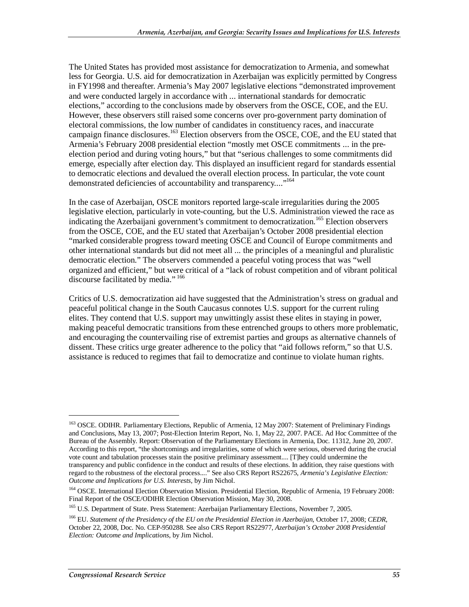The United States has provided most assistance for democratization to Armenia, and somewhat less for Georgia. U.S. aid for democratization in Azerbaijan was explicitly permitted by Congress in FY1998 and thereafter. Armenia's May 2007 legislative elections "demonstrated improvement and were conducted largely in accordance with ... international standards for democratic elections," according to the conclusions made by observers from the OSCE, COE, and the EU. However, these observers still raised some concerns over pro-government party domination of electoral commissions, the low number of candidates in constituency races, and inaccurate campaign finance disclosures.<sup>163</sup> Election observers from the OSCE, COE, and the EU stated that Armenia's February 2008 presidential election "mostly met OSCE commitments ... in the preelection period and during voting hours," but that "serious challenges to some commitments did emerge, especially after election day. This displayed an insufficient regard for standards essential to democratic elections and devalued the overall election process. In particular, the vote count demonstrated deficiencies of accountability and transparency...."<sup>164</sup>

In the case of Azerbaijan, OSCE monitors reported large-scale irregularities during the 2005 legislative election, particularly in vote-counting, but the U.S. Administration viewed the race as indicating the Azerbaijani government's commitment to democratization.<sup>165</sup> Election observers from the OSCE, COE, and the EU stated that Azerbaijan's October 2008 presidential election "marked considerable progress toward meeting OSCE and Council of Europe commitments and other international standards but did not meet all ... the principles of a meaningful and pluralistic democratic election." The observers commended a peaceful voting process that was "well organized and efficient," but were critical of a "lack of robust competition and of vibrant political discourse facilitated by media." 166

Critics of U.S. democratization aid have suggested that the Administration's stress on gradual and peaceful political change in the South Caucasus connotes U.S. support for the current ruling elites. They contend that U.S. support may unwittingly assist these elites in staying in power, making peaceful democratic transitions from these entrenched groups to others more problematic, and encouraging the countervailing rise of extremist parties and groups as alternative channels of dissent. These critics urge greater adherence to the policy that "aid follows reform," so that U.S. assistance is reduced to regimes that fail to democratize and continue to violate human rights.

<sup>&</sup>lt;sup>163</sup> OSCE. ODIHR. Parliamentary Elections, Republic of Armenia, 12 May 2007: Statement of Preliminary Findings and Conclusions, May 13, 2007; Post-Election Interim Report, No. 1, May 22, 2007. PACE. Ad Hoc Committee of the Bureau of the Assembly. Report: Observation of the Parliamentary Elections in Armenia, Doc. 11312, June 20, 2007. According to this report, "the shortcomings and irregularities, some of which were serious, observed during the crucial vote count and tabulation processes stain the positive preliminary assessment.... [T]hey could undermine the transparency and public confidence in the conduct and results of these elections. In addition, they raise questions with regard to the robustness of the electoral process...." See also CRS Report RS22675, *Armenia's Legislative Election: Outcome and Implications for U.S. Interests*, by Jim Nichol.

<sup>&</sup>lt;sup>164</sup> OSCE. International Election Observation Mission. Presidential Election, Republic of Armenia, 19 February 2008: Final Report of the OSCE/ODIHR Election Observation Mission, May 30, 2008.

<sup>&</sup>lt;sup>165</sup> U.S. Department of State. Press Statement: Azerbaijan Parliamentary Elections, November 7, 2005.

<sup>166</sup> EU. *Statement of the Presidency of the EU on the Presidential Election in Azerbaijan*, October 17, 2008; *CEDR*, October 22, 2008, Doc. No. CEP-950288. See also CRS Report RS22977, *Azerbaijan's October 2008 Presidential Election: Outcome and Implications*, by Jim Nichol.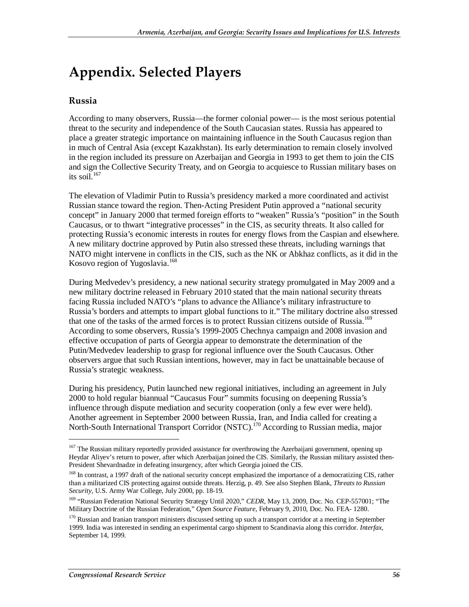# **Appendix. Selected Players**

#### **Russia**

According to many observers, Russia—the former colonial power— is the most serious potential threat to the security and independence of the South Caucasian states. Russia has appeared to place a greater strategic importance on maintaining influence in the South Caucasus region than in much of Central Asia (except Kazakhstan). Its early determination to remain closely involved in the region included its pressure on Azerbaijan and Georgia in 1993 to get them to join the CIS and sign the Collective Security Treaty, and on Georgia to acquiesce to Russian military bases on its soil.<sup>167</sup>

The elevation of Vladimir Putin to Russia's presidency marked a more coordinated and activist Russian stance toward the region. Then-Acting President Putin approved a "national security concept" in January 2000 that termed foreign efforts to "weaken" Russia's "position" in the South Caucasus, or to thwart "integrative processes" in the CIS, as security threats. It also called for protecting Russia's economic interests in routes for energy flows from the Caspian and elsewhere. A new military doctrine approved by Putin also stressed these threats, including warnings that NATO might intervene in conflicts in the CIS, such as the NK or Abkhaz conflicts, as it did in the Kosovo region of Yugoslavia.<sup>168</sup>

During Medvedev's presidency, a new national security strategy promulgated in May 2009 and a new military doctrine released in February 2010 stated that the main national security threats facing Russia included NATO's "plans to advance the Alliance's military infrastructure to Russia's borders and attempts to impart global functions to it." The military doctrine also stressed that one of the tasks of the armed forces is to protect Russian citizens outside of Russia.<sup>169</sup> According to some observers, Russia's 1999-2005 Chechnya campaign and 2008 invasion and effective occupation of parts of Georgia appear to demonstrate the determination of the Putin/Medvedev leadership to grasp for regional influence over the South Caucasus. Other observers argue that such Russian intentions, however, may in fact be unattainable because of Russia's strategic weakness.

During his presidency, Putin launched new regional initiatives, including an agreement in July 2000 to hold regular biannual "Caucasus Four" summits focusing on deepening Russia's influence through dispute mediation and security cooperation (only a few ever were held). Another agreement in September 2000 between Russia, Iran, and India called for creating a North-South International Transport Corridor (NSTC).170 According to Russian media, major

<sup>&</sup>lt;sup>167</sup> The Russian military reportedly provided assistance for overthrowing the Azerbaijani government, opening up Heydar Aliyev's return to power, after which Azerbaijan joined the CIS. Similarly, the Russian military assisted then-President Shevardnadze in defeating insurgency, after which Georgia joined the CIS.

<sup>&</sup>lt;sup>168</sup> In contrast, a 1997 draft of the national security concept emphasized the importance of a democratizing CIS, rather than a militarized CIS protecting against outside threats. Herzig, p. 49. See also Stephen Blank, *Threats to Russian Security*, U.S. Army War College, July 2000, pp. 18-19.

<sup>&</sup>lt;sup>169</sup> "Russian Federation National Security Strategy Until 2020," *CEDR*, May 13, 2009, Doc. No. CEP-557001; "The Military Doctrine of the Russian Federation," *Open Source Feature*, February 9, 2010, Doc. No. FEA- 1280.

<sup>&</sup>lt;sup>170</sup> Russian and Iranian transport ministers discussed setting up such a transport corridor at a meeting in September 1999. India was interested in sending an experimental cargo shipment to Scandinavia along this corridor. *Interfax,* September 14, 1999.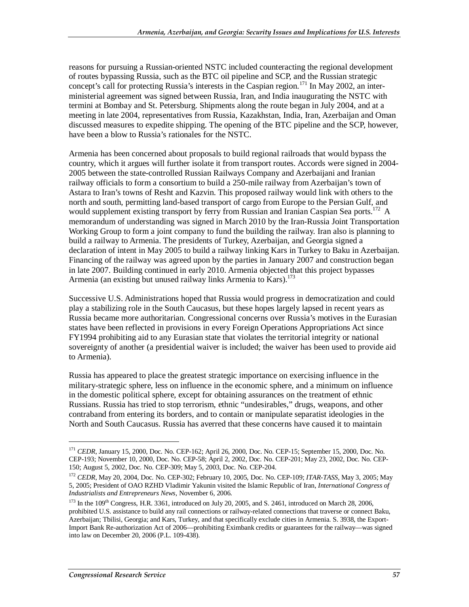reasons for pursuing a Russian-oriented NSTC included counteracting the regional development of routes bypassing Russia, such as the BTC oil pipeline and SCP, and the Russian strategic concept's call for protecting Russia's interests in the Caspian region.<sup>171</sup> In May 2002, an interministerial agreement was signed between Russia, Iran, and India inaugurating the NSTC with termini at Bombay and St. Petersburg. Shipments along the route began in July 2004, and at a meeting in late 2004, representatives from Russia, Kazakhstan, India, Iran, Azerbaijan and Oman discussed measures to expedite shipping. The opening of the BTC pipeline and the SCP, however, have been a blow to Russia's rationales for the NSTC.

Armenia has been concerned about proposals to build regional railroads that would bypass the country, which it argues will further isolate it from transport routes. Accords were signed in 2004- 2005 between the state-controlled Russian Railways Company and Azerbaijani and Iranian railway officials to form a consortium to build a 250-mile railway from Azerbaijan's town of Astara to Iran's towns of Resht and Kazvin. This proposed railway would link with others to the north and south, permitting land-based transport of cargo from Europe to the Persian Gulf, and would supplement existing transport by ferry from Russian and Iranian Caspian Sea ports.<sup>172</sup> A memorandum of understanding was signed in March 2010 by the Iran-Russia Joint Transportation Working Group to form a joint company to fund the building the railway. Iran also is planning to build a railway to Armenia. The presidents of Turkey, Azerbaijan, and Georgia signed a declaration of intent in May 2005 to build a railway linking Kars in Turkey to Baku in Azerbaijan. Financing of the railway was agreed upon by the parties in January 2007 and construction began in late 2007. Building continued in early 2010. Armenia objected that this project bypasses Armenia (an existing but unused railway links Armenia to Kars).<sup>173</sup>

Successive U.S. Administrations hoped that Russia would progress in democratization and could play a stabilizing role in the South Caucasus, but these hopes largely lapsed in recent years as Russia became more authoritarian. Congressional concerns over Russia's motives in the Eurasian states have been reflected in provisions in every Foreign Operations Appropriations Act since FY1994 prohibiting aid to any Eurasian state that violates the territorial integrity or national sovereignty of another (a presidential waiver is included; the waiver has been used to provide aid to Armenia).

Russia has appeared to place the greatest strategic importance on exercising influence in the military-strategic sphere, less on influence in the economic sphere, and a minimum on influence in the domestic political sphere, except for obtaining assurances on the treatment of ethnic Russians. Russia has tried to stop terrorism, ethnic "undesirables," drugs, weapons, and other contraband from entering its borders, and to contain or manipulate separatist ideologies in the North and South Caucasus. Russia has averred that these concerns have caused it to maintain

<sup>&</sup>lt;sup>171</sup> *CEDR*, January 15, 2000, Doc. No. CEP-162; April 26, 2000, Doc. No. CEP-15; September 15, 2000, Doc. No. CEP-193; November 10, 2000, Doc. No. CEP-58; April 2, 2002, Doc. No. CEP-201; May 23, 2002, Doc. No. CEP-150; August 5, 2002, Doc. No. CEP-309; May 5, 2003, Doc. No. CEP-204.

<sup>172</sup> *CEDR*, May 20, 2004, Doc. No. CEP-302; February 10, 2005, Doc. No. CEP-109; *ITAR-TASS*, May 3, 2005; May 5, 2005; President of OAO RZHD Vladimir Yakunin visited the Islamic Republic of Iran, *International Congress of Industrialists and Entrepreneurs News*, November 6, 2006.

 $173$  In the  $109<sup>th</sup>$  Congress, H.R. 3361, introduced on July 20, 2005, and S. 2461, introduced on March 28, 2006, prohibited U.S. assistance to build any rail connections or railway-related connections that traverse or connect Baku, Azerbaijan; Tbilisi, Georgia; and Kars, Turkey, and that specifically exclude cities in Armenia. S. 3938, the Export-Import Bank Re-authorization Act of 2006—prohibiting Eximbank credits or guarantees for the railway—was signed into law on December 20, 2006 (P.L. 109-438).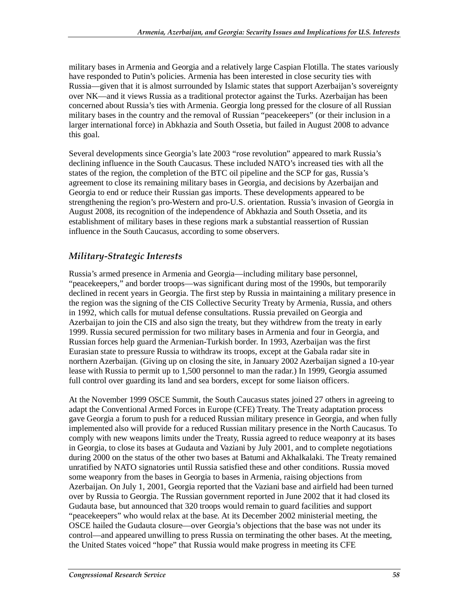military bases in Armenia and Georgia and a relatively large Caspian Flotilla. The states variously have responded to Putin's policies. Armenia has been interested in close security ties with Russia—given that it is almost surrounded by Islamic states that support Azerbaijan's sovereignty over NK—and it views Russia as a traditional protector against the Turks. Azerbaijan has been concerned about Russia's ties with Armenia. Georgia long pressed for the closure of all Russian military bases in the country and the removal of Russian "peacekeepers" (or their inclusion in a larger international force) in Abkhazia and South Ossetia, but failed in August 2008 to advance this goal.

Several developments since Georgia's late 2003 "rose revolution" appeared to mark Russia's declining influence in the South Caucasus. These included NATO's increased ties with all the states of the region, the completion of the BTC oil pipeline and the SCP for gas, Russia's agreement to close its remaining military bases in Georgia, and decisions by Azerbaijan and Georgia to end or reduce their Russian gas imports. These developments appeared to be strengthening the region's pro-Western and pro-U.S. orientation. Russia's invasion of Georgia in August 2008, its recognition of the independence of Abkhazia and South Ossetia, and its establishment of military bases in these regions mark a substantial reassertion of Russian influence in the South Caucasus, according to some observers.

#### *Military-Strategic Interests*

Russia's armed presence in Armenia and Georgia—including military base personnel, "peacekeepers," and border troops—was significant during most of the 1990s, but temporarily declined in recent years in Georgia. The first step by Russia in maintaining a military presence in the region was the signing of the CIS Collective Security Treaty by Armenia, Russia, and others in 1992, which calls for mutual defense consultations. Russia prevailed on Georgia and Azerbaijan to join the CIS and also sign the treaty, but they withdrew from the treaty in early 1999. Russia secured permission for two military bases in Armenia and four in Georgia, and Russian forces help guard the Armenian-Turkish border. In 1993, Azerbaijan was the first Eurasian state to pressure Russia to withdraw its troops, except at the Gabala radar site in northern Azerbaijan. (Giving up on closing the site, in January 2002 Azerbaijan signed a 10-year lease with Russia to permit up to 1,500 personnel to man the radar.) In 1999, Georgia assumed full control over guarding its land and sea borders, except for some liaison officers.

At the November 1999 OSCE Summit, the South Caucasus states joined 27 others in agreeing to adapt the Conventional Armed Forces in Europe (CFE) Treaty. The Treaty adaptation process gave Georgia a forum to push for a reduced Russian military presence in Georgia, and when fully implemented also will provide for a reduced Russian military presence in the North Caucasus. To comply with new weapons limits under the Treaty, Russia agreed to reduce weaponry at its bases in Georgia, to close its bases at Gudauta and Vaziani by July 2001, and to complete negotiations during 2000 on the status of the other two bases at Batumi and Akhalkalaki. The Treaty remained unratified by NATO signatories until Russia satisfied these and other conditions. Russia moved some weaponry from the bases in Georgia to bases in Armenia, raising objections from Azerbaijan. On July 1, 2001, Georgia reported that the Vaziani base and airfield had been turned over by Russia to Georgia. The Russian government reported in June 2002 that it had closed its Gudauta base, but announced that 320 troops would remain to guard facilities and support "peacekeepers" who would relax at the base. At its December 2002 ministerial meeting, the OSCE hailed the Gudauta closure—over Georgia's objections that the base was not under its control—and appeared unwilling to press Russia on terminating the other bases. At the meeting, the United States voiced "hope" that Russia would make progress in meeting its CFE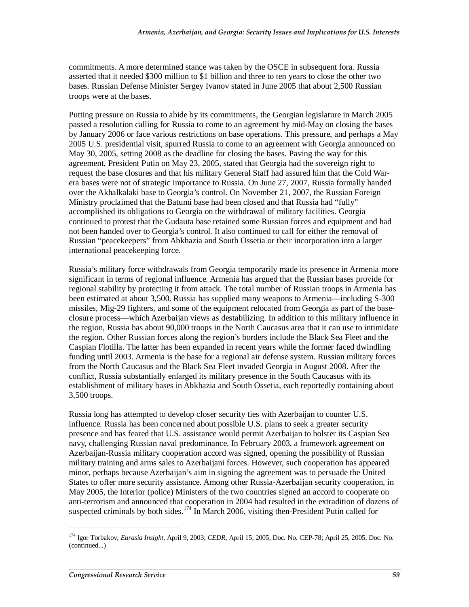commitments. A more determined stance was taken by the OSCE in subsequent fora. Russia asserted that it needed \$300 million to \$1 billion and three to ten years to close the other two bases. Russian Defense Minister Sergey Ivanov stated in June 2005 that about 2,500 Russian troops were at the bases.

Putting pressure on Russia to abide by its commitments, the Georgian legislature in March 2005 passed a resolution calling for Russia to come to an agreement by mid-May on closing the bases by January 2006 or face various restrictions on base operations. This pressure, and perhaps a May 2005 U.S. presidential visit, spurred Russia to come to an agreement with Georgia announced on May 30, 2005, setting 2008 as the deadline for closing the bases. Paving the way for this agreement, President Putin on May 23, 2005, stated that Georgia had the sovereign right to request the base closures and that his military General Staff had assured him that the Cold Warera bases were not of strategic importance to Russia. On June 27, 2007, Russia formally handed over the Akhalkalaki base to Georgia's control. On November 21, 2007, the Russian Foreign Ministry proclaimed that the Batumi base had been closed and that Russia had "fully" accomplished its obligations to Georgia on the withdrawal of military facilities. Georgia continued to protest that the Gudauta base retained some Russian forces and equipment and had not been handed over to Georgia's control. It also continued to call for either the removal of Russian "peacekeepers" from Abkhazia and South Ossetia or their incorporation into a larger international peacekeeping force.

Russia's military force withdrawals from Georgia temporarily made its presence in Armenia more significant in terms of regional influence. Armenia has argued that the Russian bases provide for regional stability by protecting it from attack. The total number of Russian troops in Armenia has been estimated at about 3,500. Russia has supplied many weapons to Armenia—including S-300 missiles, Mig-29 fighters, and some of the equipment relocated from Georgia as part of the baseclosure process—which Azerbaijan views as destabilizing. In addition to this military influence in the region, Russia has about 90,000 troops in the North Caucasus area that it can use to intimidate the region. Other Russian forces along the region's borders include the Black Sea Fleet and the Caspian Flotilla. The latter has been expanded in recent years while the former faced dwindling funding until 2003. Armenia is the base for a regional air defense system. Russian military forces from the North Caucasus and the Black Sea Fleet invaded Georgia in August 2008. After the conflict, Russia substantially enlarged its military presence in the South Caucasus with its establishment of military bases in Abkhazia and South Ossetia, each reportedly containing about 3,500 troops.

Russia long has attempted to develop closer security ties with Azerbaijan to counter U.S. influence. Russia has been concerned about possible U.S. plans to seek a greater security presence and has feared that U.S. assistance would permit Azerbaijan to bolster its Caspian Sea navy, challenging Russian naval predominance. In February 2003, a framework agreement on Azerbaijan-Russia military cooperation accord was signed, opening the possibility of Russian military training and arms sales to Azerbaijani forces. However, such cooperation has appeared minor, perhaps because Azerbaijan's aim in signing the agreement was to persuade the United States to offer more security assistance. Among other Russia-Azerbaijan security cooperation, in May 2005, the Interior (police) Ministers of the two countries signed an accord to cooperate on anti-terrorism and announced that cooperation in 2004 had resulted in the extradition of dozens of suspected criminals by both sides.<sup>174</sup> In March 2006, visiting then-President Putin called for

<sup>174</sup> Igor Torbakov, *Eurasia Insight*, April 9, 2003; *CEDR*, April 15, 2005, Doc. No. CEP-78; April 25, 2005, Doc. No. (continued...)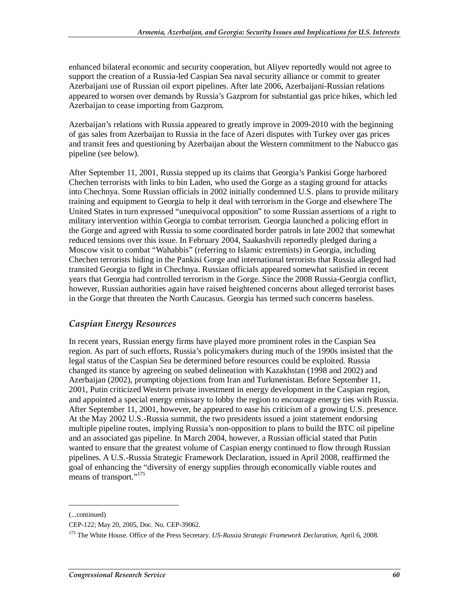enhanced bilateral economic and security cooperation, but Aliyev reportedly would not agree to support the creation of a Russia-led Caspian Sea naval security alliance or commit to greater Azerbaijani use of Russian oil export pipelines. After late 2006, Azerbaijani-Russian relations appeared to worsen over demands by Russia's Gazprom for substantial gas price hikes, which led Azerbaijan to cease importing from Gazprom.

Azerbaijan's relations with Russia appeared to greatly improve in 2009-2010 with the beginning of gas sales from Azerbaijan to Russia in the face of Azeri disputes with Turkey over gas prices and transit fees and questioning by Azerbaijan about the Western commitment to the Nabucco gas pipeline (see below).

After September 11, 2001, Russia stepped up its claims that Georgia's Pankisi Gorge harbored Chechen terrorists with links to bin Laden, who used the Gorge as a staging ground for attacks into Chechnya. Some Russian officials in 2002 initially condemned U.S. plans to provide military training and equipment to Georgia to help it deal with terrorism in the Gorge and elsewhere The United States in turn expressed "unequivocal opposition" to some Russian assertions of a right to military intervention within Georgia to combat terrorism. Georgia launched a policing effort in the Gorge and agreed with Russia to some coordinated border patrols in late 2002 that somewhat reduced tensions over this issue. In February 2004, Saakashvili reportedly pledged during a Moscow visit to combat "Wahabbis" (referring to Islamic extremists) in Georgia, including Chechen terrorists hiding in the Pankisi Gorge and international terrorists that Russia alleged had transited Georgia to fight in Chechnya. Russian officials appeared somewhat satisfied in recent years that Georgia had controlled terrorism in the Gorge. Since the 2008 Russia-Georgia conflict, however, Russian authorities again have raised heightened concerns about alleged terrorist bases in the Gorge that threaten the North Caucasus. Georgia has termed such concerns baseless.

#### *Caspian Energy Resources*

In recent years, Russian energy firms have played more prominent roles in the Caspian Sea region. As part of such efforts, Russia's policymakers during much of the 1990s insisted that the legal status of the Caspian Sea be determined before resources could be exploited. Russia changed its stance by agreeing on seabed delineation with Kazakhstan (1998 and 2002) and Azerbaijan (2002), prompting objections from Iran and Turkmenistan. Before September 11, 2001, Putin criticized Western private investment in energy development in the Caspian region, and appointed a special energy emissary to lobby the region to encourage energy ties with Russia. After September 11, 2001, however, he appeared to ease his criticism of a growing U.S. presence. At the May 2002 U.S.-Russia summit, the two presidents issued a joint statement endorsing multiple pipeline routes, implying Russia's non-opposition to plans to build the BTC oil pipeline and an associated gas pipeline. In March 2004, however, a Russian official stated that Putin wanted to ensure that the greatest volume of Caspian energy continued to flow through Russian pipelines. A U.S.-Russia Strategic Framework Declaration, issued in April 2008, reaffirmed the goal of enhancing the "diversity of energy supplies through economically viable routes and means of transport."<sup>175</sup>

<sup>(...</sup>continued)

CEP-122; May 20, 2005, Doc. No. CEP-39062.

<sup>175</sup> The White House. Office of the Press Secretary. *US-Russia Strategic Framework Declaration*, April 6, 2008.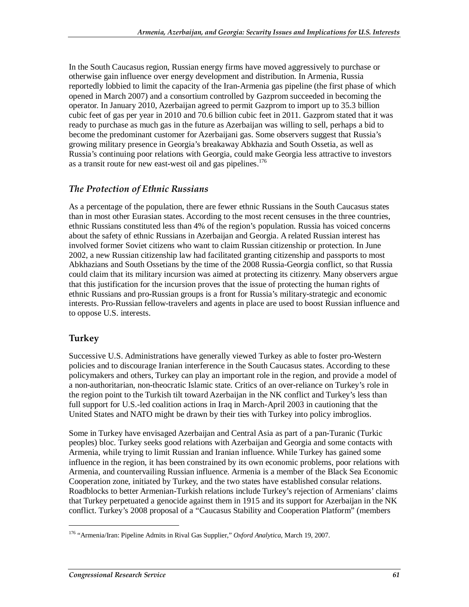In the South Caucasus region, Russian energy firms have moved aggressively to purchase or otherwise gain influence over energy development and distribution. In Armenia, Russia reportedly lobbied to limit the capacity of the Iran-Armenia gas pipeline (the first phase of which opened in March 2007) and a consortium controlled by Gazprom succeeded in becoming the operator. In January 2010, Azerbaijan agreed to permit Gazprom to import up to 35.3 billion cubic feet of gas per year in 2010 and 70.6 billion cubic feet in 2011. Gazprom stated that it was ready to purchase as much gas in the future as Azerbaijan was willing to sell, perhaps a bid to become the predominant customer for Azerbaijani gas. Some observers suggest that Russia's growing military presence in Georgia's breakaway Abkhazia and South Ossetia, as well as Russia's continuing poor relations with Georgia, could make Georgia less attractive to investors as a transit route for new east-west oil and gas pipelines.<sup>176</sup>

#### *The Protection of Ethnic Russians*

As a percentage of the population, there are fewer ethnic Russians in the South Caucasus states than in most other Eurasian states. According to the most recent censuses in the three countries, ethnic Russians constituted less than 4% of the region's population. Russia has voiced concerns about the safety of ethnic Russians in Azerbaijan and Georgia. A related Russian interest has involved former Soviet citizens who want to claim Russian citizenship or protection. In June 2002, a new Russian citizenship law had facilitated granting citizenship and passports to most Abkhazians and South Ossetians by the time of the 2008 Russia-Georgia conflict, so that Russia could claim that its military incursion was aimed at protecting its citizenry. Many observers argue that this justification for the incursion proves that the issue of protecting the human rights of ethnic Russians and pro-Russian groups is a front for Russia's military-strategic and economic interests. Pro-Russian fellow-travelers and agents in place are used to boost Russian influence and to oppose U.S. interests.

#### **Turkey**

1

Successive U.S. Administrations have generally viewed Turkey as able to foster pro-Western policies and to discourage Iranian interference in the South Caucasus states. According to these policymakers and others, Turkey can play an important role in the region, and provide a model of a non-authoritarian, non-theocratic Islamic state. Critics of an over-reliance on Turkey's role in the region point to the Turkish tilt toward Azerbaijan in the NK conflict and Turkey's less than full support for U.S.-led coalition actions in Iraq in March-April 2003 in cautioning that the United States and NATO might be drawn by their ties with Turkey into policy imbroglios.

Some in Turkey have envisaged Azerbaijan and Central Asia as part of a pan-Turanic (Turkic peoples) bloc. Turkey seeks good relations with Azerbaijan and Georgia and some contacts with Armenia, while trying to limit Russian and Iranian influence. While Turkey has gained some influence in the region, it has been constrained by its own economic problems, poor relations with Armenia, and countervailing Russian influence. Armenia is a member of the Black Sea Economic Cooperation zone, initiated by Turkey, and the two states have established consular relations. Roadblocks to better Armenian-Turkish relations include Turkey's rejection of Armenians' claims that Turkey perpetuated a genocide against them in 1915 and its support for Azerbaijan in the NK conflict. Turkey's 2008 proposal of a "Caucasus Stability and Cooperation Platform" (members

<sup>176 &</sup>quot;Armenia/Iran: Pipeline Admits in Rival Gas Supplier," *Oxford Analytica*, March 19, 2007.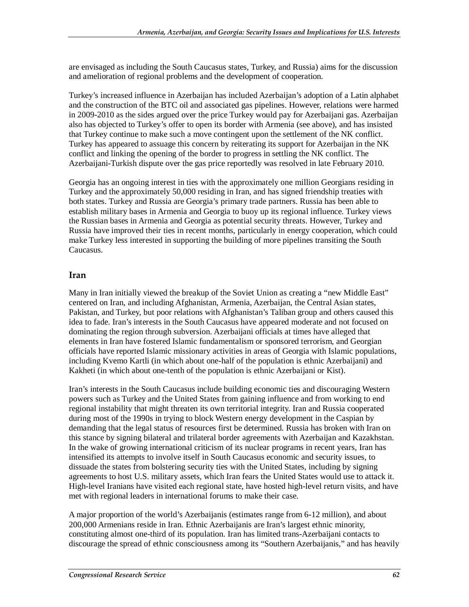are envisaged as including the South Caucasus states, Turkey, and Russia) aims for the discussion and amelioration of regional problems and the development of cooperation.

Turkey's increased influence in Azerbaijan has included Azerbaijan's adoption of a Latin alphabet and the construction of the BTC oil and associated gas pipelines. However, relations were harmed in 2009-2010 as the sides argued over the price Turkey would pay for Azerbaijani gas. Azerbaijan also has objected to Turkey's offer to open its border with Armenia (see above), and has insisted that Turkey continue to make such a move contingent upon the settlement of the NK conflict. Turkey has appeared to assuage this concern by reiterating its support for Azerbaijan in the NK conflict and linking the opening of the border to progress in settling the NK conflict. The Azerbaijani-Turkish dispute over the gas price reportedly was resolved in late February 2010.

Georgia has an ongoing interest in ties with the approximately one million Georgians residing in Turkey and the approximately 50,000 residing in Iran, and has signed friendship treaties with both states. Turkey and Russia are Georgia's primary trade partners. Russia has been able to establish military bases in Armenia and Georgia to buoy up its regional influence. Turkey views the Russian bases in Armenia and Georgia as potential security threats. However, Turkey and Russia have improved their ties in recent months, particularly in energy cooperation, which could make Turkey less interested in supporting the building of more pipelines transiting the South Caucasus.

#### **Iran**

Many in Iran initially viewed the breakup of the Soviet Union as creating a "new Middle East" centered on Iran, and including Afghanistan, Armenia, Azerbaijan, the Central Asian states, Pakistan, and Turkey, but poor relations with Afghanistan's Taliban group and others caused this idea to fade. Iran's interests in the South Caucasus have appeared moderate and not focused on dominating the region through subversion. Azerbaijani officials at times have alleged that elements in Iran have fostered Islamic fundamentalism or sponsored terrorism, and Georgian officials have reported Islamic missionary activities in areas of Georgia with Islamic populations, including Kvemo Kartli (in which about one-half of the population is ethnic Azerbaijani) and Kakheti (in which about one-tenth of the population is ethnic Azerbaijani or Kist).

Iran's interests in the South Caucasus include building economic ties and discouraging Western powers such as Turkey and the United States from gaining influence and from working to end regional instability that might threaten its own territorial integrity. Iran and Russia cooperated during most of the 1990s in trying to block Western energy development in the Caspian by demanding that the legal status of resources first be determined. Russia has broken with Iran on this stance by signing bilateral and trilateral border agreements with Azerbaijan and Kazakhstan. In the wake of growing international criticism of its nuclear programs in recent years, Iran has intensified its attempts to involve itself in South Caucasus economic and security issues, to dissuade the states from bolstering security ties with the United States, including by signing agreements to host U.S. military assets, which Iran fears the United States would use to attack it. High-level Iranians have visited each regional state, have hosted high-level return visits, and have met with regional leaders in international forums to make their case.

A major proportion of the world's Azerbaijanis (estimates range from 6-12 million), and about 200,000 Armenians reside in Iran. Ethnic Azerbaijanis are Iran's largest ethnic minority, constituting almost one-third of its population. Iran has limited trans-Azerbaijani contacts to discourage the spread of ethnic consciousness among its "Southern Azerbaijanis," and has heavily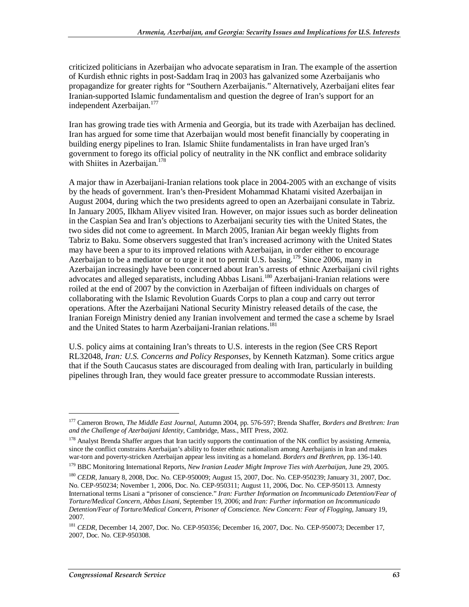criticized politicians in Azerbaijan who advocate separatism in Iran. The example of the assertion of Kurdish ethnic rights in post-Saddam Iraq in 2003 has galvanized some Azerbaijanis who propagandize for greater rights for "Southern Azerbaijanis." Alternatively, Azerbaijani elites fear Iranian-supported Islamic fundamentalism and question the degree of Iran's support for an independent Azerbaijan.<sup>177</sup>

Iran has growing trade ties with Armenia and Georgia, but its trade with Azerbaijan has declined. Iran has argued for some time that Azerbaijan would most benefit financially by cooperating in building energy pipelines to Iran. Islamic Shiite fundamentalists in Iran have urged Iran's government to forego its official policy of neutrality in the NK conflict and embrace solidarity with Shiites in Azerbaijan.<sup>178</sup>

A major thaw in Azerbaijani-Iranian relations took place in 2004-2005 with an exchange of visits by the heads of government. Iran's then-President Mohammad Khatami visited Azerbaijan in August 2004, during which the two presidents agreed to open an Azerbaijani consulate in Tabriz. In January 2005, Ilkham Aliyev visited Iran. However, on major issues such as border delineation in the Caspian Sea and Iran's objections to Azerbaijani security ties with the United States, the two sides did not come to agreement. In March 2005, Iranian Air began weekly flights from Tabriz to Baku. Some observers suggested that Iran's increased acrimony with the United States may have been a spur to its improved relations with Azerbaijan, in order either to encourage Azerbaijan to be a mediator or to urge it not to permit U.S. basing.<sup>179</sup> Since 2006, many in Azerbaijan increasingly have been concerned about Iran's arrests of ethnic Azerbaijani civil rights advocates and alleged separatists, including Abbas Lisani.<sup>180</sup> Azerbaijani-Iranian relations were roiled at the end of 2007 by the conviction in Azerbaijan of fifteen individuals on charges of collaborating with the Islamic Revolution Guards Corps to plan a coup and carry out terror operations. After the Azerbaijani National Security Ministry released details of the case, the Iranian Foreign Ministry denied any Iranian involvement and termed the case a scheme by Israel and the United States to harm Azerbaijani-Iranian relations.<sup>181</sup>

U.S. policy aims at containing Iran's threats to U.S. interests in the region (See CRS Report RL32048, *Iran: U.S. Concerns and Policy Responses*, by Kenneth Katzman). Some critics argue that if the South Caucasus states are discouraged from dealing with Iran, particularly in building pipelines through Iran, they would face greater pressure to accommodate Russian interests.

<sup>177</sup> Cameron Brown, *The Middle East Journal*, Autumn 2004, pp. 576-597; Brenda Shaffer, *Borders and Brethren: Iran and the Challenge of Azerbaijani Identity*, Cambridge, Mass., MIT Press, 2002.

<sup>&</sup>lt;sup>178</sup> Analyst Brenda Shaffer argues that Iran tacitly supports the continuation of the NK conflict by assisting Armenia, since the conflict constrains Azerbaijan's ability to foster ethnic nationalism among Azerbaijanis in Iran and makes war-torn and poverty-stricken Azerbaijan appear less inviting as a homeland. *Borders and Brethren*, pp. 136-140.

<sup>179</sup> BBC Monitoring International Reports, *New Iranian Leader Might Improve Ties with Azerbaijan*, June 29, 2005.

<sup>&</sup>lt;sup>180</sup> *CEDR*, January 8, 2008, Doc. No. CEP-950009; August 15, 2007, Doc. No. CEP-950239; January 31, 2007, Doc. No. CEP-950234; November 1, 2006, Doc. No. CEP-950311; August 11, 2006, Doc. No. CEP-950113. Amnesty International terms Lisani a "prisoner of conscience." *Iran: Further Information on Incommunicado Detention/Fear of Torture/Medical Concern, Abbas Lisani*, September 19, 2006; and *Iran: Further information on Incommunicado Detention/Fear of Torture/Medical Concern, Prisoner of Conscience. New Concern: Fear of Flogging*, January 19, 2007.

<sup>181</sup> *CEDR*, December 14, 2007, Doc. No. CEP-950356; December 16, 2007, Doc. No. CEP-950073; December 17, 2007, Doc. No. CEP-950308.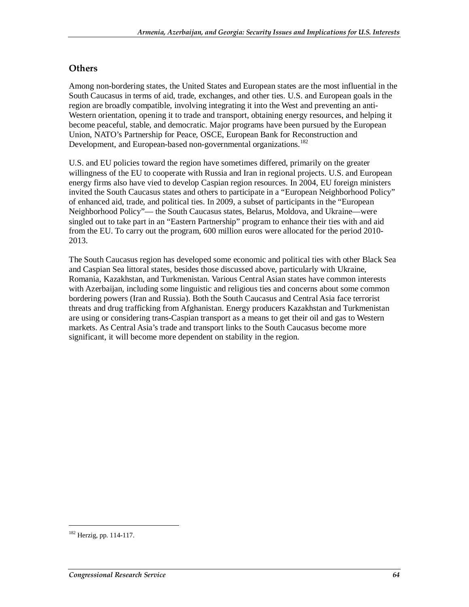#### **Others**

Among non-bordering states, the United States and European states are the most influential in the South Caucasus in terms of aid, trade, exchanges, and other ties. U.S. and European goals in the region are broadly compatible, involving integrating it into the West and preventing an anti-Western orientation, opening it to trade and transport, obtaining energy resources, and helping it become peaceful, stable, and democratic. Major programs have been pursued by the European Union, NATO's Partnership for Peace, OSCE, European Bank for Reconstruction and Development, and European-based non-governmental organizations.<sup>182</sup>

U.S. and EU policies toward the region have sometimes differed, primarily on the greater willingness of the EU to cooperate with Russia and Iran in regional projects. U.S. and European energy firms also have vied to develop Caspian region resources. In 2004, EU foreign ministers invited the South Caucasus states and others to participate in a "European Neighborhood Policy" of enhanced aid, trade, and political ties. In 2009, a subset of participants in the "European Neighborhood Policy"— the South Caucasus states, Belarus, Moldova, and Ukraine—were singled out to take part in an "Eastern Partnership" program to enhance their ties with and aid from the EU. To carry out the program, 600 million euros were allocated for the period 2010- 2013.

The South Caucasus region has developed some economic and political ties with other Black Sea and Caspian Sea littoral states, besides those discussed above, particularly with Ukraine, Romania, Kazakhstan, and Turkmenistan. Various Central Asian states have common interests with Azerbaijan, including some linguistic and religious ties and concerns about some common bordering powers (Iran and Russia). Both the South Caucasus and Central Asia face terrorist threats and drug trafficking from Afghanistan. Energy producers Kazakhstan and Turkmenistan are using or considering trans-Caspian transport as a means to get their oil and gas to Western markets. As Central Asia's trade and transport links to the South Caucasus become more significant, it will become more dependent on stability in the region.

<sup>182</sup> Herzig, pp. 114-117.